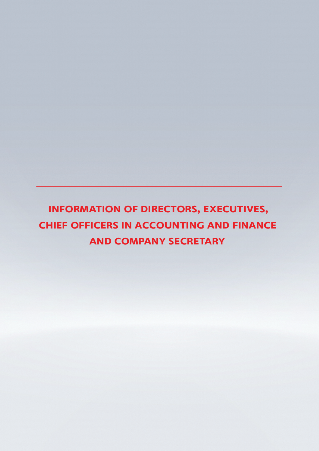# **INFORMATION OF DIRECTORS, EXECUTIVES, CHIEF OFFICERS IN ACCOUNTING AND FINANCE AND COMPANY SECRETARY**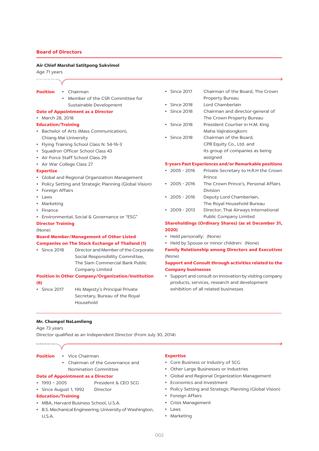# **Board of Directors**

#### Air Chief Marshal Satitpong Sukvimol

#### Age 71 years

#### ...................

- **Position** • Chairman
	- Member of the CSR Committee for Sustainable Development

#### **Date of Appointment as a Director**

• March 28, 2018

#### **Education/Training**

- Bachelor of Arts (Mass Communication), Chiang Mai University
- Flying Training School Class N. 54-16-3
- · Squadron Officer School Class 43
- Air Force Staff School Class 29
- Air War College Class 27

#### **Expertise**

- Global and Regional Organization Management
- Policy Setting and Strategic Planning (Global Vision)
- Foreign Affairs
- $\bullet$  Laws
- Marketing
- $\cdot$  Finance
- Environmental, Social & Governance or "ESG"

#### **Director Training**

#### (None)

#### **Board Member/Management of Other Listed**

#### **Companies on The Stock Exchange of Thailand (1)**

• Since 2018 Director and Member of the Corporate Social Responsibility Committee, The Siam Commercial Bank Public Company Limited

#### **Position in Other Company/Organization/Institution**  $(6)$

 $\cdot$  Since 2017 His Majesty's Principal Private Secretary, Bureau of the Royal Household

- Since 2017 Chairman of the Board, The Crown Property Bureau
- Since 2018 Lord Chamberlain
- Since 2018 Chairman and director-general of The Crown Property Bureau
- Since 2018 President Courtier in H.M. King Maha Vajiralongkorn
- Since 2018 Chairman of the Board, CPB Equity Co., Ltd. and its group of companies as being assigned

#### 5-years Past Experiences and/or Remarkable positions

- $\cdot$  2005 2016 Private Secretary to H.R.H the Crown Prince
- $\cdot$  2005 2016 The Crown Prince's, Personal Affairs Division
- $\cdot$  2005 2016 Deputy Lord Chamberlain, The Royal Household Bureau
- $\cdot$  2009 2013 Director, Thai Airways International **Public Company Limited**

# **Shareholdings (Ordinary Shares) (as at December 31,** 2020)

- Held personally: (None)
- Held by Spouse or minor children: (None)

**Family Relationship among Directors and Executives** (None)

# Support and Consult through activities related to the **Company businesses**

• Support and consult on innovation by visiting company products, services, research and development exhibition of all related businesses

**Mr. Chumpol NaLamlieng** 

Age 73 years

Director qualified as an Independent Director (From July 30, 2014)

- **Position** 
	- · Vice Chairman
	- Chairman of the Governance and Nomination Committee

President & CEO SCG

#### **Date of Appointment as a Director**

- $\cdot$  1993 2005
- · Since August 1, 1992 Director

# **Education/Training**

- MBA, Harvard Business School, U.S.A.
- B.S. Mechanical Engineering, University of Washington, U.S.A.

#### **Expertise**

- Core Business or Industry of SCG
- Other Large Businesses or Industries
- Global and Regional Organization Management
- Economics and Investment
- Policy Setting and Strategic Planning (Global Vision)
- Foreign Affairs
- Crisis Management
- $\cdot$  laws
- Marketing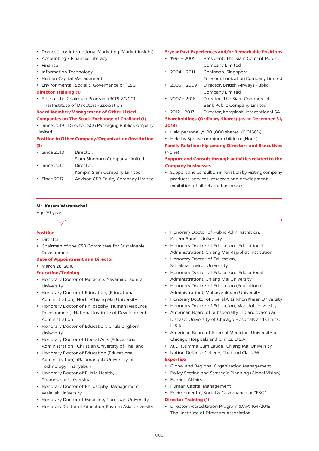- Domestic or International Marketing (Market Insight)
- Accounting / Financial Literacy
- $\cdot$  Finance
- Information Technology
- Human Capital Management
- Environmental, Social & Governance or "ESG"
- **Director Training (1)**
- Role of the Chairman Program (RCP) 2/2001, Thai Institute of Directors Association

**Board Member/Management of Other Listed Companies on The Stock Exchange of Thailand (1)** 

• Since 2019 Director, SCG Packaging Public Company Limited

# **Position in Other Company/Organization/Institution**  $(3)$

| $\cdot$ Since 2010 | Director,                     |
|--------------------|-------------------------------|
|                    | Siam Sindhorn Company Limited |
| $\cdot$ Since 2012 | Director,                     |
|                    | Kempin Siam Company Limited   |

• Since 2017 Advisor, CPB Equity Company Limited

#### **5-year Past Experiences and/or Remarkable Positions**

- $\cdot$  1993 2005 President, The Siam Cement Public Company Limited
- $\cdot$  2004 2011 Chairman, Singapore Telecommunication Company Limited
- $\cdot$  2005 2009 Director, British Airways Public Company Limited
- $\cdot$  2007 2016 Director, The Siam Commercial **Bank Public Company Limited**

#### $\cdot$  2012 - 2017 Director, Kempinski International SA

**Shareholdings (Ordinary Shares) (as at December 31,**  $2019$ 

- Held personally: 201,000 shares (0.0168%)
- Held by Spouse or minor children: (None) **Family Relationship among Directors and Executives**

 $(None)$ 

#### Support and Consult through activities related to the **Company businesses**

• Support and consult on innovation by visiting company products, services, research and development exhibition of all related businesses

#### Mr. Kasem Watanachai

#### Age 79 years ...................

#### **Position**

- $\bullet$  Director
- Chairman of the CSR Committee for Sustainable Development

#### **Date of Appointment as a Director**

• March 28, 2018

#### **Education/Training**

- Honorary Doctor of Medicine, Navamindradhiraj University
- Honorary Doctor of Education, (Educational Administration), North-Chiang Mai University
- Honorary Doctor of Philosophy (Human Resource Development), National Institute of Development Administration
- Honorary Doctor of Education, Chulalongkorn University
- Honorary Doctor of Liberal Arts (Educational Administration), Christian University of Thailand
- Honorary Doctor of Education (Educational Administration), (Rajamangala University of Technology Thanyaburi
- Honorary Doctor of Public Health, Thammasat University
- Honorary Doctor of Philosophy (Management), **Walailak University**
- Honorary Doctor of Medicine, Naresuan University
- Honorary Doctor of Education, Eastern Asia University
- Honorary Doctor of Public Administration, Kasem Bundit University
- Honorary Doctor of Education, (Educational Administration), Chiang Mai Rajabhat Institution
- Honorary Doctor of Education, Srinakharinwirot University
- Honorary Doctor of Education, (Educational Administration), Chiang Mai University
- Honorary Doctor of Education (Educational Administration), Mahasarakham University
- Honorary Doctor of Liberal Arts, Khon Khaen University
- Honorary Doctor of Education, Mahidol University
- American Board of Subspecialty in Cardiovascular Disease, University of Chicago Hospitals and Clinics,  $U.S.A$
- American Board of Internal Medicine, University of Chicago Hospitals and Clinics, U.S.A.
- M.D. (Summa Cum Laude) Chiang Mai University
- Nation Defense College, Thailand Class 36

#### **Expertise**

- Global and Regional Organization Management
- Policy Setting and Strategic Planning (Global Vision)
- Foreign Affairs
- Human Capital Management
- · Environmental, Social & Governance or "ESG"

#### **Director Training (1)**

• Director Accreditation Program (DAP) 164/2019, Thai Institute of Directors Association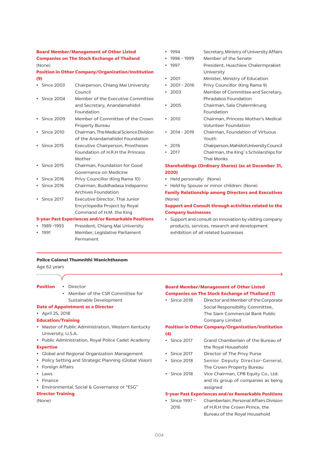# **Board Member/Management of Other Listed Companies on The Stock Exchange of Thailand**  $(None)$

# **Position in Other Company/Organization/Institution**  $(9)$

|           | • Since 2003       | Chairperson, Chiang Mai University<br>Council                                                |
|-----------|--------------------|----------------------------------------------------------------------------------------------|
|           | $\cdot$ Since 2004 | Member of the Executive Committee<br>and Secretary, Anandamahidol<br>Foundation              |
|           | • Since 2009       | Member of Committee of the Crown<br>Property Bureau                                          |
|           | • Since 2010       | Chairman, The Medical Science Division<br>of the Anandamahidol Foundation                    |
|           | • Since 2015       | Executive Chairperson, Prostheses<br>Foundation of H.R.H the Princess<br>Mother              |
|           | • Since 2015       | Chairman, Foundation for Good<br>Governance on Medicine                                      |
|           | $\cdot$ Since 2016 | Privy Councillor (King Rama 10)                                                              |
| $\bullet$ | <b>Since 2016</b>  | Chairman, Buddhadasa Indapanno<br>Archives Foundation                                        |
|           | $\cdot$ Since 2017 | Executive Director, Thai Junior<br>Encyclopedia Project by Royal<br>Command of H.M. the King |
|           |                    | 5-year Past Experiences and/or Remarkable Positions                                          |

 $\cdot$  1989 -1993 President, Chiang Mai University Member, Legislative Parliament  $.1991$ Permanent

- $-1994$ Secretary, Ministry of University Affairs
- $\cdot$  1996 1999 Member of the Senate
- President, Huachiew Chalermprakiet  $-1997$ University
- $2001$ Minister, Ministry of Education
- $\cdot$  2001 2016 Privy Councillor (King Rama 9)
- $.7003$ Member of Committee and Secretary. Phradabos Foundation
- $2005$ Chairman, Sala Chalermkrung Foundation
- Chairman, Princess Mother's Medical  $• 2010$ Volunteer Foundation
- $\cdot$  2014 2019 Chairman, Foundation of Virtuous Youth
- $.7016$ Chairperson, Mahidol University Council
- $\cdot$  2017 Chairman, the King's Scholarships for Thai Monks

# **Shareholdings (Ordinary Shares) (as at December 31,** 2020)

- Held personally: (None)
- Held by Spouse or minor children: (None)

**Family Relationship among Directors and Executives** (None)

# Support and Consult through activities related to the **Company businesses**

• Support and consult on innovation by visiting company products, services, research and development exhibition of all related businesses

# **Police Colonel Thumnithi Wanichthanom**

Age 62 years ....................

| <b>Position</b> | Director |
|-----------------|----------|
|                 |          |

• Member of the CSR Committee for Sustainable Development

#### **Date of Appointment as a Director**

• April 25, 2018

#### **Education/Training**

- Master of Public Administration, Western Kentucky University, U.S.A.
- Public Administration, Royal Police Cadet Academy

#### **Expertise**

- Global and Regional Organization Management
- Policy Setting and Strategic Planning (Global Vision)
- Foreign Affairs
- $\cdot$  laws
- $\cdot$  Finance
- · Environmental, Social & Governance or "ESG"

#### **Director Training**

 $(None)$ 

#### **Board Member/Management of Other Listed Companies on The Stock Exchange of Thailand (1)**

• Since 2018 Director and Member of the Corporate Social Responsibility Committee, The Siam Commercial Bank Public Company Limited

#### **Position in Other Company/Organization/Institution**  $(4)$

- Since 2017 Grand Chamberlain of the Bureau of the Royal Household
- Since 2017 Director of The Privy Purse
- Since 2018 Senior Deputy Director-General, The Crown Property Bureau
- Since 2018 Vice Chairman, CPB Equity Co., Ltd. and its group of companies as being assigned

#### **5-year Past Experiences and/or Remarkable Positions**

• Since 1997 -Chamberlain, Personal Affairs Division 2016 of H.R.H the Crown Prince, the Bureau of the Royal Household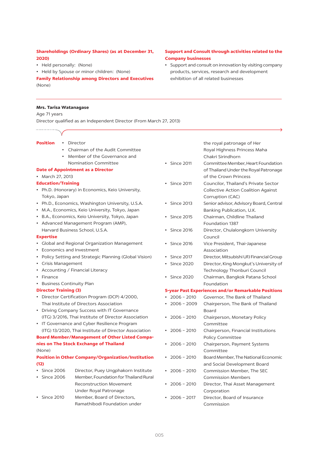# Shareholdings (Ordinary Shares) (as at December 31, 2020)

- Held personally: (None)
- Held by Spouse or minor children: (None)

**Family Relationship among Directors and Executives** (None)

# Support and Consult through activities related to the **Company businesses**

• Support and consult on innovation by visiting company products, services, research and development exhibition of all related businesses

## **Mrs. Tarisa Watanagase**

Age 71 years

Director qualified as an Independent Director (From March 27, 2013)

#### **Position** • Director

- Chairman of the Audit Committee
- Member of the Governance and
- Nomination Committee

#### **Date of Appointment as a Director**

• March 27, 2013

#### **Education/Training**

- Ph.D. (Honorary) in Economics, Keio University, Tokyo, Japan
- Ph.D., Economics, Washington University, U.S.A.
- M.A., Economics, Keio University, Tokyo, Japan
- B.A., Economics, Keio University, Tokyo, Japan
- Advanced Management Program (AMP), Harvard Business School, U.S.A.

#### **Expertise**

- Global and Regional Organization Management
- Economics and Investment
- Policy Setting and Strategic Planning (Global Vision)
- Crisis Management
- Accounting / Financial Literacy
- Finance
- Business Continuity Plan

#### **Director Training (3)**

- Director Certification Program (DCP) 4/2000. Thai Institute of Directors Association
- Driving Company Success with IT Governance (ITG) 3/2016, Thai Institute of Director Association
- IT Governance and Cyber Resilience Program (ITG) 13/2020, Thai Institute of Director Association

# **Board Member/Management of Other Listed Compa-**

#### nies on The Stock Exchange of Thailand (None)

# **Position in Other Company/Organization/Institution**  $(12)$

- Since 2006 Director, Puey Ungphakorn Institute • Since 2006 Member, Foundation for Thailand Rural **Reconstruction Movement** Under Royal Patronage
- · Since 2010 Member, Board of Directors. Ramathibodi Foundation under

the royal patronage of Her Royal Highness Princess Maha Chakri Sirindhorn

- Committee Member, Heart Foundation • Since 2011 of Thailand Under the Royal Patronage of the Crown Princess
- Since 2011 Councilor, Thailand's Private Sector **Collective Action Coalition Against** Corruption (CAC)
- $\cdot$  Since 2013 Senior advisor, Advisory Board, Central Banking Publication, U.K.
- · Since 2015 Chairman, Childline Thailand Foundation 1387
- Since 2016 Director, Chulalongkorn University Council
- Since 2016 Vice President, Thai-Japanese Association
- · Since 2017 Director, Mitsubishi UFJ Financial Group
- Since 2020 Director, King Mongkut's University of Technology Thonburi Council
- Chairman, Bangkok Patana School  $\cdot$  Since 2020 Foundation

# **5-year Past Experiences and/or Remarkable Positions**

- $\cdot$  2006 2010 Governor, The Bank of Thailand
- $.2006 2009$ Chairperson. The Bank of Thailand **Board**
- $\cdot$  2006 2010 Chairperson, Monetary Policy Committee
- $\cdot$  2006 2010 Chairperson, Financial Institutions **Policy Committee**
- $\cdot$  2006 2010 Chairperson, Payment Systems Committee
- $\cdot$  2006 2010 Board Member, The National Economic and Social Development Board
- $\cdot$  2006 2010 Commission Member, The SEC **Commission Members**
- $\cdot$  2006 2010 Director, Thai Asset Management Corporation
- $\cdot$  2006 2017 Director, Board of Insurance Commission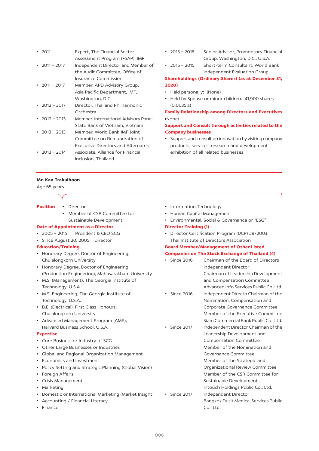| - 2011              | Expert, The Financial Sector              |
|---------------------|-------------------------------------------|
|                     | Assessment Program (FSAP), IMF            |
| $2011 - 2017$       | Independent Director and Member of        |
|                     | the Audit Committee, Office of            |
|                     | Insurance Commission                      |
| $\cdot$ 2011 – 2017 | Member, APD Advisory Group,               |
|                     | Asia Pacific Department, IMF,             |
|                     | Washington, D.C.                          |
| • $2012 - 2017$     | Director, Thailand Philharmonic           |
|                     | Orchestra                                 |
| $2012 - 2013$       | Member, International Advisory Panel,     |
|                     | State Bank of Vietnam, Vietnam            |
| 2013 - 2013         | Member, World Bank-IMF Joint              |
|                     | Committee on Remuneration of              |
|                     | <b>Executive Directors and Alternates</b> |
| $2013 - 2014$       | Associate. Alliance for Financial         |
|                     | Inclusion, Thailand                       |

- Senior Advisor, Promontory Financial  $\cdot$  2013 - 2018 Group, Washington, D.C., U.S.A.
- Short-term Consultant, World Bank  $\cdot$  2015 - 2015 Independent Evaluation Group

# **Shareholdings (Ordinary Shares) (as at December 31,** 2020)

- Held personally: (None)
- Held by Spouse or minor children: 41,900 shares  $(0.0035%)$

# **Family Relationship among Directors and Executives** (None)

# Support and Consult through activities related to the **Company businesses**

• Support and consult on innovation by visiting company products, services, research and development exhibition of all related businesses

# Mr. Kan Trakulhoon

Age 65 years

. . . . . . . . . . . . . . . . . . . .

- **Position** · Director • Information Technology • Member of CSR Committee for • Human Capital Management Sustainable Development • Environmental, Social & Governance or "ESG" **Date of Appointment as a Director Director Training (1)**  $\cdot$  2005 - 2015 President & CEO SCG • Director Certification Program (DCP) 29/2003. · Since August 20, 2005 Director Thai Institute of Directors Association **Education/Training Board Member/Management of Other Listed** • Honorary Degree, Doctor of Engineering, **Companies on The Stock Exchange of Thailand (4)** Chulalongkorn University • Since 2016 Chairman of the Board of Directors • Honorary Degree, Doctor of Engineering Independent Director (Production Engineering), Mahasarakham University Chairman of Leadership Development • M.S. (Management), The Georgia Institute of and Compensation Committee Advanced Info Services Public Co. Ltd. Technology, U.S.A. • M.S. Engineering, The Georgia Institute of  $\cdot$  Since 2016 Independent Directo Chairman of the Technology, U.S.A. Nomination, Compensation and • B.E. (Electrical), First Class Honours, Corporate Governance Committee Chulalongkorn University Member of the Executive Committee • Advanced Management Program (AMP), Siam Commercial Bank Public Co., Ltd. Harvard Business School, U.S.A. • Since 2017 Independent Director Chairman of the **Expertise** Leadership Development and • Core Business or Industry of SCG **Compensation Committee** • Other Large Businesses or Industries Member of the Nomination and • Global and Regional Organization Management Governance Committee • Economics and Investment Member of the Strategic and • Policy Setting and Strategic Planning (Global Vision) Organizational Review Committee • Foreign Affairs Member of the CSR Committee for • Crisis Management Sustainable Development • Marketing Intouch Holdings Public Co., Ltd. • Domestic or International Marketing (Market Insight) • Since 2017 Independent Director • Accounting / Financial Literacy Bangkok Dusit Medical Services Public
- Finance

006

Co., Ltd.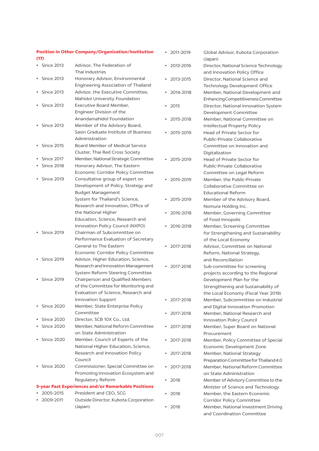# **Position in Other Company/Organization/Institution**  $(17)$

| <b>Since 2013</b> | Advisor. The Federation of                          |
|-------------------|-----------------------------------------------------|
|                   | Thai Industries                                     |
| <b>Since 2013</b> | Honorary Advisor, Environmental                     |
|                   | Engineering Association of Thailand                 |
| <b>Since 2013</b> | Advisor, the Executive Committee,                   |
|                   | Mahidol University Foundation                       |
| <b>Since 2013</b> | Executive Board Member,                             |
|                   | Engineer Division of the                            |
|                   | Anandamahidol Foundation                            |
| <b>Since 2013</b> | Member of the Advisory Board,                       |
|                   | Sasin Graduate Institute of Business                |
|                   | Administration                                      |
| <b>Since 2015</b> | Board Member of Medical Service                     |
|                   | Cluster, Thai Red Cross Society                     |
| <b>Since 2017</b> | Member, National Strategic Committee                |
| <b>Since 2018</b> | Honorary Advisor, The Eastern                       |
|                   | Economic Corridor Policy Committee                  |
| <b>Since 2019</b> | Consultative group of expert on                     |
|                   | Development of Policy, Strategy and                 |
|                   | <b>Budget Management</b>                            |
|                   | System for Thailand's Science,                      |
|                   | Research and Innovation, Office of                  |
|                   | the National Higher                                 |
|                   | Education, Science, Research and                    |
|                   | Innovation Policy Council (NXPO)                    |
| <b>Since 2019</b> | Chairman of Subcommittee on                         |
|                   | Performance Evaluation of Secretary                 |
|                   | <b>General to The Eastern</b>                       |
|                   | Economic Corridor Policy Committee                  |
| <b>Since 2019</b> | Advisor, Higher Education, Science,                 |
|                   | Research and Innovation Management                  |
|                   | System Reform Steering Committee                    |
| <b>Since 2019</b> | Chairperson and Qualified Members                   |
|                   | of the Committee for Monitoring and                 |
|                   | Evaluation of Science, Research and                 |
|                   | <b>Innovation Support</b>                           |
| <b>Since 2020</b> | Member, State Enterprise Policy                     |
|                   | Committee                                           |
| <b>Since 2020</b> | Director, SCB 10X Co., Ltd.                         |
| <b>Since 2020</b> | Member, National Reform Committee                   |
|                   | on State Administration                             |
| <b>Since 2020</b> | Member, Council of Experts of the                   |
|                   | National Higher Education, Science,                 |
|                   | Research and Innovation Policy                      |
|                   | Council                                             |
| <b>Since 2020</b> | Commissioner, Special Committee on                  |
|                   | Promoting Innovation Ecosystem and                  |
|                   | Regulatory Reform                                   |
|                   | 5-year Past Experiences and/or Remarkable Positions |
| 2005-2015         | President and CEO, SCG                              |
| 2009-2011         | Outside Director, Kubota Corporation                |
|                   | (Japan)                                             |
|                   |                                                     |

| 2011-2019 | Global Advisor, Kubota Corporation<br>(Japan)                       |
|-----------|---------------------------------------------------------------------|
| 2013-2016 | Director, National Science Technology                               |
|           | and Innovation Policy Office                                        |
| 2013-2015 | Director, National Science and                                      |
| 2014-2018 | Technology Development Office<br>Member, National Development and   |
|           | Enhancing Competitiveness Committee                                 |
| 2015      | Director, National Innovation System                                |
|           | Development Committee                                               |
| 2015-2018 | Member, National Committee on                                       |
|           | Intellectual Property Policy                                        |
| 2015-2019 | <b>Head of Private Sector for</b>                                   |
|           | Public-Private Collaborative                                        |
|           | Committee on Innovation and                                         |
|           | Digitalization                                                      |
| 2015-2019 | Head of Private Sector for                                          |
|           | Public-Private Collaborative                                        |
|           | Committee on Legal Reform                                           |
| 2015-2019 | Member, the Public-Private                                          |
|           | Collaborative Committee on                                          |
|           | <b>Educational Reform</b>                                           |
| 2015-2019 | Member of the Advisory Board,                                       |
|           | Nomura Holding Inc.                                                 |
| 2016-2018 | Member, Governing Committee                                         |
| 2016-2018 | of Food Innopolis                                                   |
|           | Member, Screening Committee<br>for Strengthening and Sustainability |
|           | of the Local Economy                                                |
| 2017-2018 | Advisor, Committee on National                                      |
|           | Reform, National Strategy,                                          |
|           | and Reconciliation                                                  |
| 2017-2018 | Sub-committee for screening                                         |
|           | projects according to the Regional                                  |
|           | Development Plan for the                                            |
|           | Strengthening and Sustainability of                                 |
|           | the Local Economy (Fiscal Year 2018)                                |
| 2017-2018 | Member, Subcommittee on Industrial                                  |
|           | and Digital Innovation Promotion                                    |
| 2017-2018 | Member, National Research and                                       |
|           | Innovation Policy Council                                           |
| 2017-2018 | Member, Super Board on National                                     |
| 2017-2018 | Procurement                                                         |
|           | Member, Policy Committee of Special<br>Economic Development Zone    |
| 2017-2018 | Member, National Strategy                                           |
|           | Preparation Committee for Thailand 4.0                              |
| 2017-2018 | Member, National Reform Committee                                   |
|           | on State Administration                                             |
| 2018      | Member of Advisory Committee to the                                 |
|           | Minister of Science and Technology                                  |
| 2018      | Member, the Eastern Economic                                        |
|           | Corridor Policy Committee                                           |
| 2018      | Member, National Investment Driving                                 |
|           | and Coordination Committee                                          |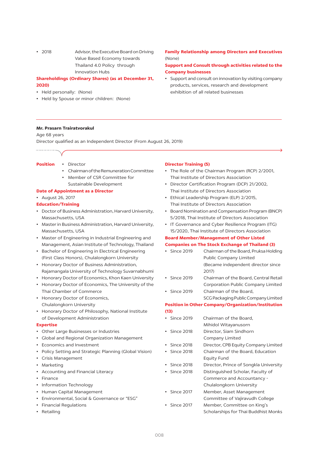$.7018$ Advisor, the Executive Board on Driving Value Based Economy towards Thailand 4.0 Policy through **Innovation Hubs** 

# **Shareholdings (Ordinary Shares) (as at December 31,** 2020)

- Held personally: (None)
- Held by Spouse or minor children: (None)

#### **Mr. Prasarn Trairatvorakul**

Age 68 years

Director qualified as an Independent Director (From August 26, 2019)

#### **Position** • Director

- Chairman of the Remuneration Committee
- Member of CSR Committee for Sustainable Development

#### **Date of Appointment as a Director**

- August 26, 2017
- **Education/Training**
- Doctor of Business Administration, Harvard University, Massachusetts, USA
- Master in Business Administration, Harvard University, Massachusetts, USA
- Master of Engineering in Industrial Engineering and Management, Asian Institute of Technology, Thailand
- Bachelor of Engineering in Electrical Engineering (First Class Honors), Chulalongkorn University
- Honorary Doctor of Business Administration, Rajamangala University of Technology Suvarnabhumi
- Honorary Doctor of Economics, Khon Kaen University
- Honorary Doctor of Economics, The University of the Thai Chamber of Commerce
- Honorary Doctor of Economics, Chulalongkorn University
- Honorary Doctor of Philosophy, National Institute of Development Administration

#### **Expertise**

- Other Large Businesses or Industries
- Global and Regional Organization Management
- Economics and Investment
- Policy Setting and Strategic Planning (Global Vision)
- Crisis Management
- Marketing
- Accounting and Financial Literacy
- Finance
- Information Technology
- Human Capital Management
- Environmental, Social & Governance or "ESG"
- Financial Regulations
- Retailing

#### **Director Training (5)**

- The Role of the Chairman Program (RCP) 2/2001, Thai Institute of Directors Association
- Director Certification Program (DCP) 21/2002, Thai Institute of Directors Association
- Ethical Leadership Program (ELP) 2/2015, Thai Institute of Directors Association
- Board Nomination and Compensation Program (BNCP) 5/2018, Thai Institute of Directors Association
- IT Governance and Cyber Resilience Program (ITG) 15/2020, Thai Institute of Directors Association

#### **Board Member/Management of Other Listed**

#### **Companies on The Stock Exchange of Thailand (3)**

- Chairman of the Board, Pruksa Holding  $\cdot$  Since 2019 Public Company Limited (Became independent director since  $2017$
- Since 2019 Chairman of the Board, Central Retail Corporation Public Company Limited
- Since 2019 Chairman of the Board, SCG Packaging Public Company Limited

# **Position in Other Company/Organization/Institution**  $(13)$

- · Since 2019 Chairman of the Board, Mihidol Witayanusorn  $\cdot$  Since 2018 Director, Siam Sindhorn Company Limited  $\cdot$  Since 2018 Director, CPB Equity Company Limited • Since 2018 Chairman of the Board, Education **Equity Fund** • Since 2018 Director, Prince of Songkla University • Since 2018 Distinguished Scholar, Faculty of Commerce and Accountancy -Chulalongkorn University  $\cdot$  Since 2017 Member, Asset Management Committee of Vajiravudh College
- Since 2017 Member, Committee on King's Scholarships for Thai Buddhist Monks

# **Family Relationship among Directors and Executives** (None)

# Support and Consult through activities related to the **Company businesses**

• Support and consult on innovation by visiting company products, services, research and development exhibition of all related businesses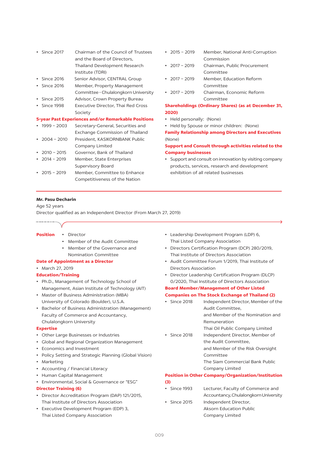| Since 2017         | Chairman of the Council of Trustees                 |
|--------------------|-----------------------------------------------------|
|                    | and the Board of Directors,                         |
|                    | <b>Thailand Development Research</b>                |
|                    | Institute (TDRI)                                    |
| $\cdot$ Since 2016 | Senior Advisor, CENTRAL Group                       |
| <b>Since 2016</b>  | Member, Property Management                         |
|                    | Committee - Chulalongkorn University                |
| Since 2015         | Advisor, Crown Property Bureau                      |
| Since 1998         | <b>Executive Director, Thai Red Cross</b>           |
|                    | Society                                             |
|                    | 5-year Past Experiences and/or Remarkable Positions |
|                    |                                                     |
| $1999 - 2003$      | Secretary-General, Securities and                   |
|                    | Exchange Commission of Thailand                     |
| $2004 - 2010$      | President, KASIKORNBANK Public                      |
|                    | Company Limited                                     |
| $2010 - 2015$      | Governor, Bank of Thailand                          |
| $2014 - 2019$      | Member, State Enterprises                           |
|                    | Supervisory Board                                   |
| $2015 - 2019$      | Member, Committee to Enhance                        |

- $\cdot$  2015 2019 Member, National Anti-Corruption Commission
- $\cdot$  2017 2019 Chairman, Public Procurement Committee
- $\cdot$  2017 2019 Member, Education Reform Committee
- $.7017 2019$ Chairman, Economic Reform  $Committo$

# **Shareholdings (Ordinary Shares) (as at December 31,** 2020)

- Held personally: (None)
- Held by Spouse or minor children: (None)

**Family Relationship among Directors and Executives**  $(None)$ 

# Support and Consult through activities related to the **Company businesses**

• Support and consult on innovation by visiting company products, services, research and development exhibition of all related businesses

#### Mr. Pasu Decharin

#### Age 52 years

Director qualified as an Independent Director (From March 27, 2019)

- **Position** · Director
	- Member of the Audit Committee
	- Member of the Governance and Nomination Committee

#### **Date of Appointment as a Director**

• March 27, 2019

#### **Education/Training**

- Ph.D., Management of Technology School of Management, Asian Institute of Technology (AIT)
- Master of Business Administration (MBA) University of Colorado (Boulder), U.S.A.
- Bachelor of Business Administration (Management) Faculty of Commerce and Accountancy, Chulalongkorn University

#### **Expertise**

- Other Large Businesses or Industries
- Global and Regional Organization Management
- Economics and Investment
- Policy Setting and Strategic Planning (Global Vision)
- Marketing
- Accounting / Financial Literacy
- Human Capital Management
- Environmental, Social & Governance or "ESG"

# **Director Training (6)**

- Director Accreditation Program (DAP) 121/2015, Thai Institute of Directors Association
- Executive Development Program (EDP) 3, Thai Listed Company Association
- Leadership Development Program (LDP) 6, Thai Listed Company Association
- Directors Certification Program (DCP) 280/2019, Thai Institute of Directors Association
- Audit Committee Forum 1/2019, Thai Institute of **Directors Association**
- Director Leadership Certification Program (DLCP) 0/2020, Thai Institute of Directors Association

# **Board Member/Management of Other Listed Companies on The Stock Exchange of Thailand (2)**

- Since 2018 Independent Director, Member of the Audit Committee, and Member of the Nomination and **Remuneration**
- Thai Oil Public Company Limited • Since 2018 Independent Director, Member of the Audit Committee,
	- and Member of the Risk Oversight Committee

The Siam Commercial Bank Public Company Limited

# **Position in Other Company/Organization/Institution**  $(3)$

- Lecturer, Faculty of Commerce and • Since 1993 Accountancy, Chulalongkorn University
- Independent Director, • Since 2015 **Aksorn Education Public** Company Limited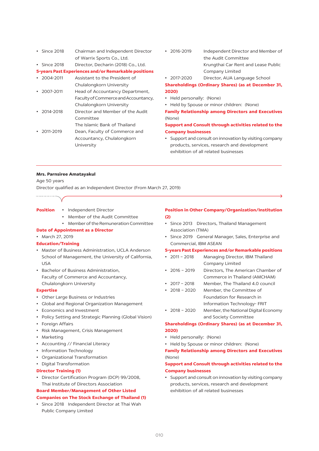- Since 2018 Chairman and Independent Director of Warrix Sports Co., Ltd.
- Since 2018 Director, Decharin (2018) Co., Ltd.

#### 5-years Past Experiences and/or Remarkable positions

- $\cdot$  2004-2011 Assistant to the President of
- Chulalongkorn University  $\cdot$  2007-2011 Head of Accountancy Department, Faculty of Commerce and Accountancy. Chulalongkorn University
- $\cdot$  2014-2018 Director and Member of the Audit Committee
- The Islamic Bank of Thailand  $.7011 - 2019$ Dean, Faculty of Commerce and Accountancy, Chulalongkorn

University

- $\cdot$  2016-2019 Independent Director and Member of the Audit Committee Krungthai Car Rent and Lease Public Company Limited
- $\cdot$  2017-2020 Director, AUA Language School

# **Shareholdings (Ordinary Shares) (as at December 31,** 2020)

- Held personally: (None)
- Held by Spouse or minor children: (None)

# **Family Relationship among Directors and Executives**  $(None)$

# Support and Consult through activities related to the **Company businesses**

• Support and consult on innovation by visiting company products, services, research and development exhibition of all related businesses

#### **Mrs. Parnsiree Amatayakul**

#### Age 50 years

Director qualified as an Independent Director (From March 27, 2019)

- **Position** • Independent Director
	- Member of the Audit Committee
	- Member of the Remuneration Committee

#### **Date of Appointment as a Director**

• March 27, 2019

#### **Education/Training**

- Master of Business Administration, UCLA Anderson School of Management, the University of California,  $I$   $I$  $S$  $A$
- Bachelor of Business Administration, Faculty of Commerce and Accountancy, Chulalongkorn University

#### **Expertise**

- Other Large Business or Industries
- Global and Regional Organization Management
- Economics and Investment
- Policy Setting and Strategic Planning (Global Vision)
- Foreign Affairs
- Risk Management, Crisis Management
- Marketing
- Accounting // Financial Literacy
- Information Technology
- Organizational Transformation
- Digital Transformation

#### **Director Training (1)**

• Director Certification Program (DCP) 99/2008, Thai Institute of Directors Association

# **Board Member/Management of Other Listed**

#### **Companies on The Stock Exchange of Thailand (1)**

• Since 2018 Independent Director at Thai Wah Public Company Limited

#### **Position in Other Company/Organization/Institution**  $(2)$

- Since 2013 Directors, Thailand Management Association (TMA)
- Since 2019 General Manager, Sales, Enterprise and Commercial, IBM ASEAN

#### 5-years Past Experiences and/or Remarkable positions

- $\cdot$  2011 2018 Managing Director, IBM Thailand Company Limited
- $\cdot$  2016 2019 Directors, The American Chamber of Commerce in Thailand (AMCHAM)
- $\cdot$  2017 2018 Member, The Thailand 4.0 council
- $\cdot$  2018 2020 Member, the Committee of Foundation for Research in Information Technology- FRIT
- $\cdot$  2018 2020 Member, the National Digital Economy and Society Committee

# **Shareholdings (Ordinary Shares) (as at December 31,** 2020)

- Held personally: (None)
- Held by Spouse or minor children: (None)

# **Family Relationship among Directors and Executives** (None)

# Support and Consult through activities related to the **Company businesses**

• Support and consult on innovation by visiting company products, services, research and development exhibition of all related businesses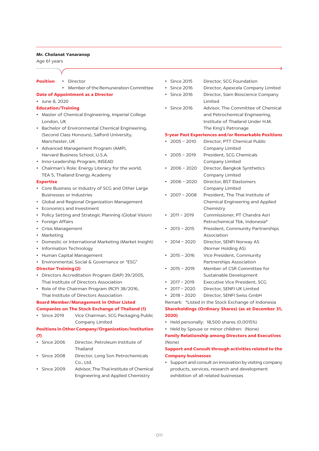#### Mr. Cholanat Yanaranop

Age 61 years

- **Position** · Director
	- - Member of the Remuneration Committee

#### **Date of Appointment as a Director**

· June 8, 2020

#### **Education/Training**

- Master of Chemical Engineering, Imperial College London, UK
- Bachelor of Environmental Chemical Engineering, (Second Class Honours), Salford University, Manchester, UK
- Advanced Management Program (AMP), Harvard Business School, U.S.A.
- Inno-Leadership Program, INSEAD
- Chairman's Role: Energy Literacy for the world, TEA 5, Thailand Energy Academy

#### **Expertise**

- Core Business or Industry of SCG and Other Large **Businesses or Industries**
- Global and Regional Organization Management
- Economics and Investment
- Policy Setting and Strategic Planning (Global Vision)
- Foreign Affairs
- Crisis Management
- Marketing
- Domestic or International Marketing (Market Insight)
- Information Technology
- Human Capital Management
- Environmental, Social & Governance or "ESG"

# **Director Training (2)**

- Directors Accreditation Program (DAP) 39/2005, Thai Institute of Directors Association
- Role of the Chairman Program (RCP) 38/2016, Thai Institute of Directors Association

# **Board Member/Management in Other Listed**

#### **Companies on The Stock Exchange of Thailand (1)**

• Since 2019 Vice Chairman, SCG Packaging Public Company Limited

#### **Positions in Other Company/Organization/Institution**  $(7)$

- 
- Since 2006 Director, Petroleum Institute of Thailand
- Since 2008 Director, Long Son Petrochemicals  $Co.1td.$
- Since 2009 Advisor, The Thai Institute of Chemical **Engineering and Applied Chemistry**
- · Since 2015 Director, SCG Foundation
- · Since 2016 Director, Apexcela Company Limited
- Since 2016 Director, Siam Bioscience Company Limited
- Since 2016 Advisor, The Committee of Chemical and Petrochemical Engineering, Institute of Thailand Under H.M. The King's Patronage

#### **5-year Past Experiences and/or Remarkable Positions**

- $\cdot$  2005 2010 Director, PTT Chemical Public Company Limited
- $\cdot$  2005 2019 President, SCG Chemicals Company Limited
- $\cdot$  2006 2020 Director, Bangkok Synthetics Company Limited
- $-2006 2020$ Director, BST Elastomers Company Limited

 $\cdot$  2007 - 2008 President, The Thai Institute of Chemical Engineering and Applied Chemistry

- $\cdot$  2011 2019 Commissioner, PT Chandra Asri Petrochemical Tbk, Indonesia\*
- $\cdot$  2013 2015 President, Community Partnerships Association
- $\cdot$  2014 2020 Director, SENFI Norway AS (Norner Holding AS)
- $\cdot$  2015 2016 Vice President, Community Partnerships Association
- $\cdot$  2015 2019 Member of CSR Committee for Sustainable Development
- $2017 2019$ Executive Vice President, SCG
- $\cdot$  2017 2020 Director, SENFI UK Limited
- $\cdot$  2018 2020 Director, SENFI Swiss GmbH
- Remark: \*Listed in the Stock Exchange of Indonesia

# **Shareholdings (Ordinary Shares) (as at December 31,** 2020)

- Held personally: 18,500 shares (0.0015%)
- Held by Spouse or minor children: (None)

# **Family Relationship among Directors and Executives** (None)

# Support and Consult through activities related to the **Company businesses**

• Support and consult on innovation by visiting company products, services, research and development exhibition of all related businesses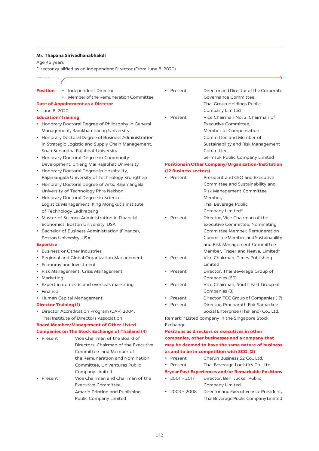#### Mr. Thapana Sirivadhanabhakdi

Age 46 years

Director qualified as an Independent Director (From June 8, 2020)

| у                                                                |  |  |  |  |  |  |  |  |  |
|------------------------------------------------------------------|--|--|--|--|--|--|--|--|--|
| Position<br>• Independent Director                               |  |  |  |  |  |  |  |  |  |
| Member of the Remuneration Committee<br>٠                        |  |  |  |  |  |  |  |  |  |
| <b>Date of Appointment as a Director</b>                         |  |  |  |  |  |  |  |  |  |
| June 8, 2020                                                     |  |  |  |  |  |  |  |  |  |
| <b>Education/Training</b>                                        |  |  |  |  |  |  |  |  |  |
| Honorary Doctoral Degree of Philosophy in General                |  |  |  |  |  |  |  |  |  |
| Management, Ramkhamhaeng University                              |  |  |  |  |  |  |  |  |  |
| Honorary Doctoral Degree of Business Administration<br>$\bullet$ |  |  |  |  |  |  |  |  |  |
| in Strategic Logistic and Supply Chain Management,               |  |  |  |  |  |  |  |  |  |
| Suan Sunandha Rajabhat University                                |  |  |  |  |  |  |  |  |  |
| Honorary Doctoral Degree in Community<br>٠                       |  |  |  |  |  |  |  |  |  |
| Development, Chiang Mai Rajabhat University                      |  |  |  |  |  |  |  |  |  |
| Honorary Doctoral Degree in Hospitality,<br>$\bullet$            |  |  |  |  |  |  |  |  |  |
| Rajamangala University of Technology Krungthep                   |  |  |  |  |  |  |  |  |  |
| Honorary Doctoral Degree of Arts, Rajamangala<br>$\bullet$       |  |  |  |  |  |  |  |  |  |
| University of Technology Phra Nakhon                             |  |  |  |  |  |  |  |  |  |
| Honorary Doctoral Degree in Science,<br>٠                        |  |  |  |  |  |  |  |  |  |
| Logistics Management, King Mongkut's institute                   |  |  |  |  |  |  |  |  |  |
| of Technology Ladkrabang                                         |  |  |  |  |  |  |  |  |  |
| Master of Science Administration in Financial<br>٠               |  |  |  |  |  |  |  |  |  |
| Economics, Boston University, USA                                |  |  |  |  |  |  |  |  |  |
| Bachelor of Business Administration (Finance),                   |  |  |  |  |  |  |  |  |  |
| Boston University, USA                                           |  |  |  |  |  |  |  |  |  |
| <b>Expertise</b>                                                 |  |  |  |  |  |  |  |  |  |
| Business or Other Industries                                     |  |  |  |  |  |  |  |  |  |
| Regional and Global Organization Management<br>$\bullet$         |  |  |  |  |  |  |  |  |  |
| Economy and Investment<br>$\bullet$                              |  |  |  |  |  |  |  |  |  |

- Risk Management, Crisis Management
- Marketing
- Expert in domestic and overseas marketing
- $\cdot$  Finance
- Human Capital Management

#### **Director Training (1)**

• Director Accreditation Program (DAP) 2004, Thai Institute of Directors Association

#### **Board Member/Management of Other Listed Companies on The Stock Exchange of Thailand (4)**

- Present Vice Chairman of the Board of Directors. Chairman of the Executive Committee and Member of the Remuneration and Nomination Committee, Univentures Public Company Limited
- Vice Chairman and Chairman of the • Present Executive Committee. Amarin Printing and Publishing **Public Company Limited**

• Present Director and Director of the Corporate Governance Committee, Thai Group Holdings Public Company Limited • Present Vice Chairman No. 3, Chairman of Executive Committee, Member of Compensation Committee and Member of Sustainability and Risk Management Committee.

Sermsuk Public Company Limited

#### **Positions in Other Company/Organization/Institution** (12 Business sectors)

#### • Present President and CEO and Executive Committee and Sustainability and Risk Management Committee Member. Thai Beverage Public Company Limited\* • Present Director, Vice Chairman of the Executive Committee, Nominating Committee Member, Remuneration Committee Member, and Sustainability and Risk Management Committee Member, Fraser and Neave, Limited\* Vice Chairman, Times Publishing • Present Limited  $\cdot$  Present Director, Thai Beverage Group of Companies (60)

- Present Vice Chairman, South East Group of Companies (3)
- Present Director, TCC Group of Companies (17)
- Present Director, Pracharath Rak Samakkee Social Enterprise (Thailand) Co., Ltd.

Remark: \*Listed company in the Singapore Stock Exchange

# Positions as directors or executives in other companies, other businesses and a company that may be deemed to have the same nature of business as and to be in competition with SCG (2)

- Charun Business 52 Co., Ltd.  $\cdot$  Present
- Present Thai Beverage Logistics Co., Ltd.

#### **5-year Past Experiences and/or Remarkable Positions**

- $2001 2017$ Director, Berli Jucker Public Company Limited
- $\cdot$  2003 2008 Director and Executive Vice President, Thai Beverage Public Company Limited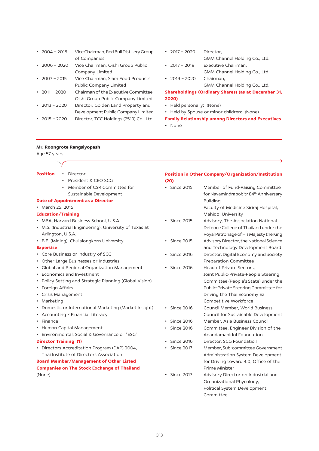| $\cdot$ 2004 - 2018 | Vice Chairman, Red Bull Distillery Group |
|---------------------|------------------------------------------|
|                     | of Companies                             |
| $\cdot$ 2006 - 2020 | Vice Chairman, Oishi Group Public        |
|                     | Company Limited                          |
| $\cdot$ 2007 - 2015 | Vice Chairman, Siam Food Products        |
|                     | Public Company Limited                   |
| $\cdot$ 2011 - 2020 | Chairman of the Executive Committee,     |
|                     | Oishi Group Public Company Limited       |
| $\cdot$ 2013 - 2020 | Director, Golden Land Property and       |
|                     | Development Public Company Limited       |
| $\cdot$ 2015 – 2020 | Director, TCC Holdings (2519) Co., Ltd.  |
|                     |                                          |

- $2017 2020$ Director, GMM Channel Holding Co., Ltd.  $\cdot$  2017 - 2019 Executive Chairman,
	- GMM Channel Holding Co., Ltd.
- $\cdot$  2019 2020 Chairman, GMM Channel Holding Co., Ltd.

# **Shareholdings (Ordinary Shares) (as at December 31,** 2020)

- Held personally: (None)
- Held by Spouse or minor children: (None)

# **Family Relationship among Directors and Executives**

• None

#### Mr. Roongrote Rangsiyopash

| Age 57 years                                          |                         |                                                           |
|-------------------------------------------------------|-------------------------|-----------------------------------------------------------|
|                                                       |                         |                                                           |
| <b>Position</b><br>Director<br>$\bullet$              |                         | <b>Position in Other Company/Organization/Institution</b> |
| President & CEO SCG                                   | (20)                    |                                                           |
| Member of CSR Committee for                           | • Since 2015            | Member of Fund-Raising Committee                          |
| Sustainable Development                               |                         | for Navamindrapobitr 84 <sup>th</sup> Anniversary         |
| <b>Date of Appointment as a Director</b>              |                         | <b>Building</b>                                           |
| • March 25, 2015                                      |                         | Faculty of Medicine Siriraj Hospital,                     |
| <b>Education/Training</b>                             |                         | <b>Mahidol University</b>                                 |
| MBA, Harvard Business School, U.S.A                   | • Since 2015            | Advisory, The Association National                        |
| M.S. (Industrial Engineering), University of Texas at |                         | Defence College of Thailand under the                     |
| Arlington, U.S.A.                                     |                         | Royal Patronage of His Majesty the King                   |
| • B.E. (Mining), Chulalongkorn University             | • Since 2015            | Advisory Director, the National Science                   |
| <b>Expertise</b>                                      |                         | and Technology Development Board                          |
| • Core Business or Industry of SCG                    | Since 2016<br>$\bullet$ | Director, Digital Economy and Society                     |
| • Other Large Businesses or Industries                |                         | Preparation Committee                                     |
| <b>Global and Regional Organization Management</b>    | Since 2016              | Head of Private Sectors,                                  |
| Economics and Investment                              |                         | Joint Public-Private-People Steering                      |
| Policy Setting and Strategic Planning (Global Vision) |                         | Committee (People's State) under the                      |
| Foreign Affairs                                       |                         | Public-Private Steering Committee for                     |
| Crisis Management                                     |                         | Driving the Thai Economy E2                               |
| Marketing                                             |                         | Competitive Workforce                                     |
| Domestic or International Marketing (Market Insight)  | <b>Since 2016</b>       | Council Member, World Business                            |
| Accounting / Financial Literacy                       |                         | Council for Sustainable Development                       |
| Finance                                               | <b>Since 2016</b><br>٠  | Member, Asia Business Council                             |
| • Human Capital Management                            | <b>Since 2016</b>       | Committee, Engineer Division of the                       |
| Environmental, Social & Governance or "ESG"           |                         | Anandamahidol Foundation                                  |
| <b>Director Training (1)</b>                          | <b>Since 2016</b>       | Director, SCG Foundation                                  |
| • Directors Accreditation Program (DAP) 2004,         | <b>Since 2017</b>       | Member, Sub-committee Government                          |
| Thai Institute of Directors Association               |                         | Administration System Development                         |
| <b>Board Member/Management of Other Listed</b>        |                         | for Driving toward 4.0, Office of the                     |
| <b>Companies on The Stock Exchange of Thailand</b>    |                         | Prime Minister                                            |
| (None)                                                | Since 2017              | Advisory Director on Industrial and                       |
|                                                       |                         | Organizational Phycology,                                 |
|                                                       |                         | Political System Development                              |
|                                                       |                         | Committee                                                 |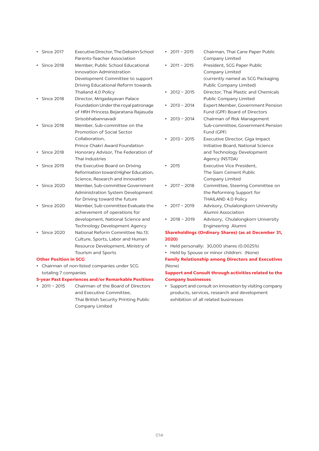| Since 2017                   | Executive Director, The Debsirin School    |
|------------------------------|--------------------------------------------|
|                              | Parents-Teacher Association                |
| <b>Since 2018</b>            | Member, Public School Educational          |
|                              | Innovation Administration                  |
|                              | Development Committee to support           |
|                              | Driving Educational Reform towards         |
|                              | Thailand 4.0 Policy                        |
| <b>Since 2018</b>            | Director, Mrigadayavan Palace              |
|                              | Foundation Under the royal patronage       |
|                              | of HRH Princess Bejaratana Rajasuda        |
|                              | Sirisobhabannavadi                         |
| <b>Since 2018</b>            | Member, Sub-committee on the               |
|                              | Promotion of Social Sector                 |
|                              | Collaboration.                             |
|                              | Prince Chakri Award Foundation             |
| <b>Since 2018</b>            | Honorary Advisor, The Federation of        |
|                              | Thai Industries                            |
| <b>Since 2019</b>            | the Executive Board on Driving             |
|                              | Reformation toward Higher Education,       |
|                              | Science, Research and Innovation           |
| <b>Since 2020</b>            | Member, Sub-committee Government           |
|                              | Administration System Development          |
|                              | for Driving toward the future              |
| <b>Since 2020</b>            | Member, Sub-committee Evaluate the         |
|                              | achievement of operations for              |
|                              | development, National Science and          |
|                              | Technology Development Agency              |
| <b>Since 2020</b>            | National Reform Committee No.13:           |
|                              | Culture, Sports, Labor and Human           |
|                              | Resource Development, Ministry of          |
|                              | Tourism and Sports                         |
| <b>Other Position in SCG</b> |                                            |
|                              | Chairman of non-listed companies under SCG |
| totaling 7 companies         |                                            |

#### **5-year Past Experiences and/or Remarkable Positions**

 $\cdot$  2011 - 2015 Chairman of the Board of Directors and Executive Committee, Thai British Security Printing Public Company Limited

 $\cdot$  2011 - 2015 Chairman, Thai Cane Paper Public Company Limited  $\cdot$  2011 - 2015 President, SCG Paper Public Company Limited (currently named as SCG Packaging Public Company Limited)  $\cdot$  2012 - 2015 Director, Thai Plastic and Chemicals Public Company Limited  $\cdot$  2013 - 2014 Expert Member, Government Pension Fund (GPF) Board of Directors  $\cdot$  2013 - 2014 Chairman of Risk Management Sub-committee, Government Pension Fund (GPF)  $\cdot$  2013 - 2015 Executive Director, Giga Impact Initiative Board, National Science and Technology Development Agency (NSTDA)  $\cdot$  2015 Executive Vice President, The Siam Cement Public Company Limited  $\cdot$  2017 - 2018 Committee, Steering Committee on the Reforming Support for THAILAND 4.0 Policy  $\cdot$  2017 - 2019 Advisory, Chulalongkorn University Alumni Association  $\cdot$  2018 - 2019 Advisory, Chulalongkorn University Engineering Alumni

# **Shareholdings (Ordinary Shares) (as at December 31,** 2020)

- Held personally: 30,000 shares (0.0025%)
- Held by Spouse or minor children: (None)

# **Family Relationship among Directors and Executives** (None)

# Support and Consult through activities related to the **Company businesses**

• Support and consult on innovation by visiting company products, services, research and development exhibition of all related businesses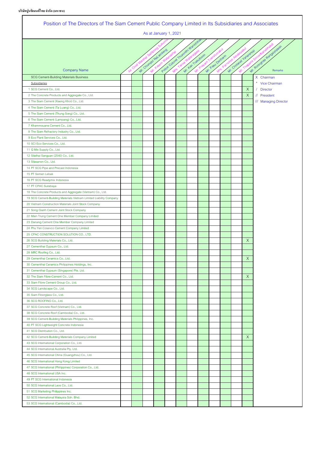**บริษัทปูนซิเมนต์ไทยจากํ ัด (มหาชน)**

| Position of The Directors of The Siam Cement Public Company Limited in Its Subsidiaries and Associates<br>As at January 1, 2021                          |  |  |  |  |  |  |  |  |  |                    |                               |
|----------------------------------------------------------------------------------------------------------------------------------------------------------|--|--|--|--|--|--|--|--|--|--------------------|-------------------------------|
| Police Calored mummint wanted that<br>Mr. Roomave Renderated<br>Mr. Chumpy Hab antique<br>Mr. Ordana Vanarando<br>Mr. Kan Trakilhoon<br>Mr. Pasu Decharm |  |  |  |  |  |  |  |  |  |                    |                               |
| <b>Company Name</b>                                                                                                                                      |  |  |  |  |  |  |  |  |  |                    |                               |
|                                                                                                                                                          |  |  |  |  |  |  |  |  |  |                    |                               |
| SCG Cement-Building Materials Business<br>Subsidiaries                                                                                                   |  |  |  |  |  |  |  |  |  |                    | X Chairman<br>* Vice Chairman |
| 1 SCG Cement Co., Ltd.                                                                                                                                   |  |  |  |  |  |  |  |  |  | X                  | / Director                    |
| 2 The Concrete Products and Aggregate Co., Ltd.                                                                                                          |  |  |  |  |  |  |  |  |  | $\mathsf{X}$       | // President                  |
| 3 The Siam Cement (Kaeng Khoi) Co., Ltd.                                                                                                                 |  |  |  |  |  |  |  |  |  |                    | /// Managing Director         |
| 4 The Siam Cement (Ta Luang) Co., Ltd.                                                                                                                   |  |  |  |  |  |  |  |  |  |                    |                               |
| 5 The Siam Cement (Thung Song) Co., Ltd.                                                                                                                 |  |  |  |  |  |  |  |  |  |                    |                               |
| 6 The Siam Cement (Lampang) Co., Ltd.                                                                                                                    |  |  |  |  |  |  |  |  |  |                    |                               |
| 7 Khammouane Cement Co., Ltd.                                                                                                                            |  |  |  |  |  |  |  |  |  |                    |                               |
| 8 The Siam Refractory Industry Co., Ltd.                                                                                                                 |  |  |  |  |  |  |  |  |  |                    |                               |
| 9 Eco Plant Services Co., Ltd.                                                                                                                           |  |  |  |  |  |  |  |  |  |                    |                               |
| 10 SCI Eco Services Co., Ltd.                                                                                                                            |  |  |  |  |  |  |  |  |  |                    |                               |
| 11 Q Mix Supply Co., Ltd.                                                                                                                                |  |  |  |  |  |  |  |  |  |                    |                               |
| 12 Silathai Sanguan (2540) Co., Ltd.                                                                                                                     |  |  |  |  |  |  |  |  |  |                    |                               |
| 13 Silasanon Co., Ltd.                                                                                                                                   |  |  |  |  |  |  |  |  |  |                    |                               |
| 14 PT SCG Pipe and Precast Indonesia                                                                                                                     |  |  |  |  |  |  |  |  |  |                    |                               |
| 15 PT Semen Lebak                                                                                                                                        |  |  |  |  |  |  |  |  |  |                    |                               |
| 16 PT SCG Readymix Indonesia                                                                                                                             |  |  |  |  |  |  |  |  |  |                    |                               |
| 17 PT CPAC Surabaya                                                                                                                                      |  |  |  |  |  |  |  |  |  |                    |                               |
| 18 The Concrete Products and Aggregate (Vietnam) Co., Ltd.                                                                                               |  |  |  |  |  |  |  |  |  |                    |                               |
| 19 SCG Cement-Building Materials Vietnam Limited Liability Company                                                                                       |  |  |  |  |  |  |  |  |  |                    |                               |
| 20 Vietnam Construction Materials Joint Stock Company                                                                                                    |  |  |  |  |  |  |  |  |  |                    |                               |
| 21 Song Gianh Cement Joint Stock Company                                                                                                                 |  |  |  |  |  |  |  |  |  |                    |                               |
| 22 Mien Trung Cement One Member Company Limited                                                                                                          |  |  |  |  |  |  |  |  |  |                    |                               |
| 23 Danang Cement One Member Company Limited                                                                                                              |  |  |  |  |  |  |  |  |  |                    |                               |
| 24 Phu Yen Cosevco Cement Company Limited                                                                                                                |  |  |  |  |  |  |  |  |  |                    |                               |
| 25 CPAC CONSTRUCTION SOLUTION CO., LTD.                                                                                                                  |  |  |  |  |  |  |  |  |  |                    |                               |
| 26 SCG Building Materials Co., Ltd.                                                                                                                      |  |  |  |  |  |  |  |  |  | $\mathsf X$        |                               |
| 27 Cementhai Gypsum Co., Ltd.                                                                                                                            |  |  |  |  |  |  |  |  |  |                    |                               |
| 28 MRC Roofing Co., Ltd.                                                                                                                                 |  |  |  |  |  |  |  |  |  |                    |                               |
| 29 Cementhai Ceramics Co., Ltd.                                                                                                                          |  |  |  |  |  |  |  |  |  | $\mathsf{X}% _{0}$ |                               |
| 30 Cementhai Ceramics Philippines Holdings, Inc.                                                                                                         |  |  |  |  |  |  |  |  |  |                    |                               |
| 31 Cementhai Gypsum (Singapore) Pte. Ltd.                                                                                                                |  |  |  |  |  |  |  |  |  |                    |                               |
| 32 The Siam Fibre-Cement Co., Ltd.                                                                                                                       |  |  |  |  |  |  |  |  |  | X                  |                               |
| 33 Siam Fibre Cement Group Co., Ltd.                                                                                                                     |  |  |  |  |  |  |  |  |  |                    |                               |
| 34 SCG Landscape Co., Ltd.                                                                                                                               |  |  |  |  |  |  |  |  |  |                    |                               |
| 35 Siam Fiberglass Co., Ltd.                                                                                                                             |  |  |  |  |  |  |  |  |  |                    |                               |
| 36 SCG ROOFING Co., Ltd.                                                                                                                                 |  |  |  |  |  |  |  |  |  |                    |                               |
| 37 SCG Concrete Roof (Vietnam) Co., Ltd.                                                                                                                 |  |  |  |  |  |  |  |  |  |                    |                               |
| 38 SCG Concrete Roof (Cambodia) Co., Ltd.                                                                                                                |  |  |  |  |  |  |  |  |  |                    |                               |
| 39 SCG Cement-Building Materials Philippines, Inc.                                                                                                       |  |  |  |  |  |  |  |  |  |                    |                               |
| 40 PT SCG Lightweight Concrete Indonesia                                                                                                                 |  |  |  |  |  |  |  |  |  |                    |                               |
| 41 SCG Distribution Co., Ltd.                                                                                                                            |  |  |  |  |  |  |  |  |  |                    |                               |
| 42 SCG Cement-Building Materials Company Limited                                                                                                         |  |  |  |  |  |  |  |  |  | X                  |                               |
| 43 SCG International Corporation Co., Ltd.                                                                                                               |  |  |  |  |  |  |  |  |  |                    |                               |
| 44 SCG International Australia Pty. Ltd.                                                                                                                 |  |  |  |  |  |  |  |  |  |                    |                               |
| 45 SCG International China (Guangzhou) Co., Ltd.                                                                                                         |  |  |  |  |  |  |  |  |  |                    |                               |
| 46 SCG International Hong Kong Limited                                                                                                                   |  |  |  |  |  |  |  |  |  |                    |                               |
| 47 SCG International (Philippines) Corporation Co., Ltd.                                                                                                 |  |  |  |  |  |  |  |  |  |                    |                               |
| 48 SCG International USA Inc.                                                                                                                            |  |  |  |  |  |  |  |  |  |                    |                               |
| 49 PT SCG International Indonesia                                                                                                                        |  |  |  |  |  |  |  |  |  |                    |                               |
| 50 SCG International Laos Co., Ltd.                                                                                                                      |  |  |  |  |  |  |  |  |  |                    |                               |
| 51 SCG Marketing Philippines Inc.                                                                                                                        |  |  |  |  |  |  |  |  |  |                    |                               |
| 52 SCG International Malaysia Sdn. Bhd.                                                                                                                  |  |  |  |  |  |  |  |  |  |                    |                               |
| 53 SCG International (Cambodia) Co., Ltd.                                                                                                                |  |  |  |  |  |  |  |  |  |                    |                               |

h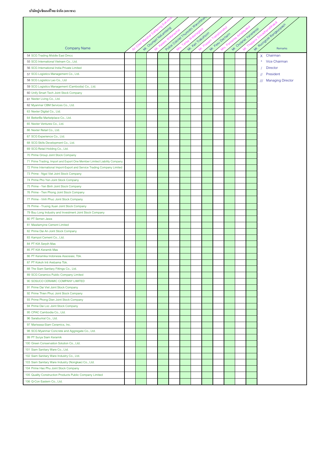|                                                                          |  |                          |  | Police Colored Tournalis Walcottes |                   |                 |  |                       |                        |
|--------------------------------------------------------------------------|--|--------------------------|--|------------------------------------|-------------------|-----------------|--|-----------------------|------------------------|
|                                                                          |  | Mr. Official Asia amiend |  |                                    |                   |                 |  | M. Orolanay Janalando | Mr. Roomgae Bangyongan |
|                                                                          |  |                          |  |                                    |                   |                 |  |                       |                        |
|                                                                          |  |                          |  |                                    |                   |                 |  |                       |                        |
| <b>Company Name</b>                                                      |  |                          |  |                                    | M. Kan Trakilhoon | Mr. Pasu Decham |  |                       |                        |
| 54 SCG Trading Middle East Dmcc                                          |  |                          |  |                                    |                   |                 |  |                       | X Chairman             |
| 55 SCG International Vietnam Co., Ltd.                                   |  |                          |  |                                    |                   |                 |  |                       | * Vice Chairman        |
| 56 SCG International India Private Limited                               |  |                          |  |                                    |                   |                 |  |                       | <b>Director</b>        |
| 57 SCG Logistics Management Co., Ltd.                                    |  |                          |  |                                    |                   |                 |  |                       | President<br>11        |
| 58 SCG Logistics Lao Co., Ltd                                            |  |                          |  |                                    |                   |                 |  |                       | /// Managing Director  |
| 59 SCG Logistics Management (Cambodia) Co., Ltd.                         |  |                          |  |                                    |                   |                 |  |                       |                        |
| 60 Unify Smart Tech Joint Stock Company                                  |  |                          |  |                                    |                   |                 |  |                       |                        |
| 61 Nexter Living Co., Ltd.                                               |  |                          |  |                                    |                   |                 |  |                       |                        |
| 62 Myanmar CBM Services Co., Ltd.                                        |  |                          |  |                                    |                   |                 |  |                       |                        |
| 63 Nexter Digital Co., Ltd.                                              |  |                          |  |                                    |                   |                 |  |                       |                        |
| 64 BetterBe Marketplace Co., Ltd.                                        |  |                          |  |                                    |                   |                 |  |                       |                        |
| 65 Nexter Ventures Co., Ltd.                                             |  |                          |  |                                    |                   |                 |  |                       |                        |
| 66 Nexter Retail Co., Ltd.                                               |  |                          |  |                                    |                   |                 |  |                       |                        |
| 67 SCG Experience Co., Ltd.                                              |  |                          |  |                                    |                   |                 |  |                       |                        |
| 68 SCG Skills Development Co., Ltd.                                      |  |                          |  |                                    |                   |                 |  |                       |                        |
| 69 SCG Retail Holding Co., Ltd.                                          |  |                          |  |                                    |                   |                 |  |                       |                        |
| 70 Prime Group Joint Stock Company                                       |  |                          |  |                                    |                   |                 |  |                       |                        |
| 71 Prime Trading, Import and Export One Member Limited Liability Company |  |                          |  |                                    |                   |                 |  |                       |                        |
| 72 Prime International Import-Export and Service Trading Company Limited |  |                          |  |                                    |                   |                 |  |                       |                        |
| 73 Prime - Ngoi Viet Joint Stock Company                                 |  |                          |  |                                    |                   |                 |  |                       |                        |
| 74 Prime Pho Yen Joint Stock Company                                     |  |                          |  |                                    |                   |                 |  |                       |                        |
| 75 Prime - Yen Binh Joint Stock Company                                  |  |                          |  |                                    |                   |                 |  |                       |                        |
| 76 Prime - Tien Phong Joint Stock Company                                |  |                          |  |                                    |                   |                 |  |                       |                        |
| 77 Prime - Vinh Phuc Joint Stock Company                                 |  |                          |  |                                    |                   |                 |  |                       |                        |
| 78 Prime - Truong Xuan Joint Stock Company                               |  |                          |  |                                    |                   |                 |  |                       |                        |
| 79 Buu Long Industry and Investment Joint Stock Company                  |  |                          |  |                                    |                   |                 |  |                       |                        |
| 80 PT Semen Jawa                                                         |  |                          |  |                                    |                   |                 |  |                       |                        |
| 81 Mawlamyine Cement Limited                                             |  |                          |  |                                    |                   |                 |  |                       |                        |
| 82 Prime Dai An Joint Stock Company                                      |  |                          |  |                                    |                   |                 |  |                       |                        |
| 83 Kampot Cement Co., Ltd.                                               |  |                          |  |                                    |                   |                 |  |                       |                        |
| 84 PT KIA Serpih Mas                                                     |  |                          |  |                                    |                   |                 |  |                       |                        |
| 85 PT KIA Keramik Mas                                                    |  |                          |  |                                    |                   |                 |  |                       |                        |
| 86 PT Keramika Indonesia Assosiasi, Tbk.                                 |  |                          |  |                                    |                   |                 |  |                       |                        |
| 87 PT Kokoh Inti Arebama Tbk.                                            |  |                          |  |                                    |                   |                 |  |                       |                        |
| 88 The Siam Sanitary Fittings Co., Ltd.                                  |  |                          |  |                                    |                   |                 |  |                       |                        |
| 89 SCG Ceramics Public Company Limited                                   |  |                          |  |                                    |                   |                 |  |                       |                        |
| 90 SOSUCO CERAMIC COMPANY LIMITED                                        |  |                          |  |                                    |                   |                 |  |                       |                        |
| 91 Prime Dai Viet Joint Stock Company                                    |  |                          |  |                                    |                   |                 |  |                       |                        |
| 92 Prime Thien Phuc Joint Stock Company                                  |  |                          |  |                                    |                   |                 |  |                       |                        |
| 93 Prime Phong Dien Joint Stock Company                                  |  |                          |  |                                    |                   |                 |  |                       |                        |
| 94 Prime Dai Loc Joint Stock Company                                     |  |                          |  |                                    |                   |                 |  |                       |                        |
| 95 CPAC Cambodia Co., Ltd.                                               |  |                          |  |                                    |                   |                 |  |                       |                        |
| 96 Saraburirat Co., Ltd.                                                 |  |                          |  |                                    |                   |                 |  |                       |                        |
| 97 Mariwasa-Siam Ceramics, Inc.                                          |  |                          |  |                                    |                   |                 |  |                       |                        |
| 98 SCG Myanmar Concrete and Aggregate Co., Ltd.                          |  |                          |  |                                    |                   |                 |  |                       |                        |
| 99 PT Surya Siam Keramik                                                 |  |                          |  |                                    |                   |                 |  |                       |                        |
| 100 Green Conservation Solution Co., Ltd.                                |  |                          |  |                                    |                   |                 |  |                       |                        |
| 101 Siam Sanitary Ware Co., Ltd.                                         |  |                          |  |                                    |                   |                 |  |                       |                        |
| 102 Siam Sanitary Ware Industry Co., Ltd.                                |  |                          |  |                                    |                   |                 |  |                       |                        |
| 103 Siam Sanitary Ware Industry (Nongkae) Co., Ltd.                      |  |                          |  |                                    |                   |                 |  |                       |                        |
| 104 Prime Hao Phu Joint Stock Company                                    |  |                          |  |                                    |                   |                 |  |                       |                        |
| 105 Quality Construction Products Public Company Limited                 |  |                          |  |                                    |                   |                 |  |                       |                        |
| 106 Q-Con Eastern Co., Ltd.                                              |  |                          |  |                                    |                   |                 |  |                       |                        |
|                                                                          |  |                          |  |                                    |                   |                 |  |                       |                        |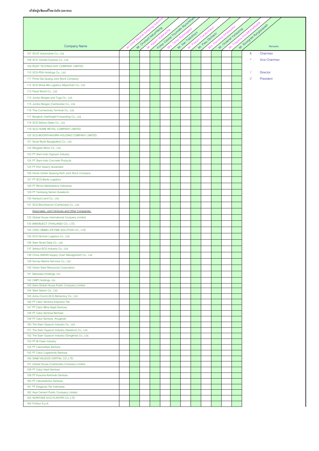|                                                                                 |  | Mr. Orwingo Nabanjiero | Police Calore Truminin | Wanich           |                  |                      |    | MY ROOMBOD ROMANDARY |  |
|---------------------------------------------------------------------------------|--|------------------------|------------------------|------------------|------------------|----------------------|----|----------------------|--|
|                                                                                 |  |                        |                        | Mr. Kan Tokuhoon | Mr. Pasu Dechain | M. Ordered Yeregardo |    |                      |  |
|                                                                                 |  |                        |                        |                  |                  |                      |    |                      |  |
| <b>Company Name</b>                                                             |  |                        |                        |                  |                  |                      |    | Remarks              |  |
| 107 SCGT Automobile Co., Ltd.                                                   |  |                        |                        |                  |                  |                      | X  | Chairman             |  |
| 108 SCG Yamato Express Co., Ltd.                                                |  |                        |                        |                  |                  |                      |    | <b>Vice Chairman</b> |  |
| 109 RUDY TECHNOLOGY COMPANY LIMITED                                             |  |                        |                        |                  |                  |                      |    | Director             |  |
| 110 SCG-PSA Holdings Co., Ltd.<br>111 Prime Dai Quang Joint Stock Company       |  |                        |                        |                  |                  |                      | 11 | President            |  |
| 112 SCG-Shwe Me Logistics (Myanmar) Co., Ltd.                                   |  |                        |                        |                  |                  |                      |    |                      |  |
| 113 Panel World Co., Ltd.                                                       |  |                        |                        |                  |                  |                      |    |                      |  |
| 114 Jumbo Barges and Tugs Co., Ltd.                                             |  |                        |                        |                  |                  |                      |    |                      |  |
| 115 Jumbo Barges (Cambodia) Co., Ltd.                                           |  |                        |                        |                  |                  |                      |    |                      |  |
| 116 Thai Connectivity Terminal Co., Ltd.                                        |  |                        |                        |                  |                  |                      |    |                      |  |
| 117 Bangkok Interfreight Forwarding Co., Ltd.                                   |  |                        |                        |                  |                  |                      |    |                      |  |
| 118 SCG-Sekisui Sales Co., Ltd.                                                 |  |                        |                        |                  |                  |                      |    |                      |  |
| 119 SCG HOME RETAIL COMPANY LIMITED                                             |  |                        |                        |                  |                  |                      |    |                      |  |
| 120 SCG-BOONTHAVORN HOLDING COMPANY LIMITED                                     |  |                        |                        |                  |                  |                      |    |                      |  |
| 121 Smart Build Bangladesh Co., Ltd.                                            |  |                        |                        |                  |                  |                      |    |                      |  |
| 122 Mingalar Motor Co., Ltd.                                                    |  |                        |                        |                  |                  |                      |    |                      |  |
| 123 PT Siam-Indo Gypsum Industry                                                |  |                        |                        |                  |                  |                      |    |                      |  |
| 124 PT Siam-Indo Concrete Products                                              |  |                        |                        |                  |                  |                      |    |                      |  |
| 125 PT Pion Quarry Nusantara                                                    |  |                        |                        |                  |                  |                      |    |                      |  |
| 126 Home Center Quaung Ninh Joint Stock Company                                 |  |                        |                        |                  |                  |                      |    |                      |  |
| 127 PT SCG Barito Logistics                                                     |  |                        |                        |                  |                  |                      |    |                      |  |
| 128 PT Renos Marketplace Indonesia                                              |  |                        |                        |                  |                  |                      |    |                      |  |
| 129 PT Tambang Semen Sukabumi                                                   |  |                        |                        |                  |                  |                      |    |                      |  |
| 130 Kampot Land Co., Ltd.                                                       |  |                        |                        |                  |                  |                      |    |                      |  |
| 131 SCG-Boonthavorn (Cambodia) Co., Ltd.                                        |  |                        |                        |                  |                  |                      |    |                      |  |
| Associates, Joint Ventures and Other Companies                                  |  |                        |                        |                  |                  |                      |    |                      |  |
| 132 Global House International Company Limited                                  |  |                        |                        |                  |                  |                      |    |                      |  |
| 133 BIMOBJECT (THAILAND) CO., LTD.<br>134 CPAC SB&M LIFETIME SOLUTION CO., LTD. |  |                        |                        |                  |                  |                      |    |                      |  |
| 135 SCG Nichirei Logistics Co., Ltd.                                            |  |                        |                        |                  |                  |                      |    |                      |  |
| 136 Siam Smart Data Co., Ltd.                                                   |  |                        |                        |                  |                  |                      |    |                      |  |
| 137 Sekisui-SCG Industry Co., Ltd.                                              |  |                        |                        |                  |                  |                      |    |                      |  |
| 138 China ASEAN Supply Chain Management Co., Ltd.                               |  |                        |                        |                  |                  |                      |    |                      |  |
| 139 Survey Marine Services Co., Ltd.                                            |  |                        |                        |                  |                  |                      |    |                      |  |
| 140 Green Siam Resources Corporation                                            |  |                        |                        |                  |                  |                      |    |                      |  |
| 141 Mariwasa Holdings, Inc.                                                     |  |                        |                        |                  |                  |                      |    |                      |  |
| 142 CMPI Holdings, Inc.                                                         |  |                        |                        |                  |                  |                      |    |                      |  |
| 143 Siam Global House Public Company Limited                                    |  |                        |                        |                  |                  |                      |    |                      |  |
| 144 Siam Saison Co., Ltd.                                                       |  |                        |                        |                  |                  |                      |    |                      |  |
| 145 Anhui Conch-SCG Refractory Co., Ltd.<br>146 PT Catur Sentosa Adiprana Tbk   |  |                        |                        |                  |                  |                      |    |                      |  |
| 147 PT Catur Mitra Sejati Sentosa                                               |  |                        |                        |                  |                  |                      |    |                      |  |
| 148 PT Catur Sentosa Berhasil                                                   |  |                        |                        |                  |                  |                      |    |                      |  |
| 149 PT Catur Sentosa Anugerah                                                   |  |                        |                        |                  |                  |                      |    |                      |  |
| 150 The Siam Gypsum Industry Co., Ltd.                                          |  |                        |                        |                  |                  |                      |    |                      |  |
| 151 The Siam Gypsum Industry (Saraburi) Co., Ltd.                               |  |                        |                        |                  |                  |                      |    |                      |  |
| 152 The Siam Gypsum Industry (Songkhla) Co., Ltd.                               |  |                        |                        |                  |                  |                      |    |                      |  |
| 153 PT M Class Industry<br>154 PT Caturaditya Sentosa                           |  |                        |                        |                  |                  |                      |    |                      |  |
| 155 PT Catur Logamindo Sentosa                                                  |  |                        |                        |                  |                  |                      |    |                      |  |
| 156 SIAM VALIDUS CAPITAL CO.,LTD.                                               |  |                        |                        |                  |                  |                      |    |                      |  |
| 157 Global House (Cambodia) Company Limited                                     |  |                        |                        |                  |                  |                      |    |                      |  |
| 158 PT Catur Hasil Sentosa                                                      |  |                        |                        |                  |                  |                      |    |                      |  |
| 159 PT Kusuma Kemindo Sentosa                                                   |  |                        |                        |                  |                  |                      |    |                      |  |
| 160 PT Caturadiluhur Sentosa                                                    |  |                        |                        |                  |                  |                      |    |                      |  |
| 161 PT Eleganza Tile Indonesia<br>162 Asia Cement Public Company Limited        |  |                        |                        |                  |                  |                      |    |                      |  |
| 163 NORITAKE SCG PLASTER CO.,LTD                                                |  |                        |                        |                  |                  |                      |    |                      |  |
| 164 Finfloor S.p.A.                                                             |  |                        |                        |                  |                  |                      |    |                      |  |
|                                                                                 |  |                        |                        |                  |                  |                      |    |                      |  |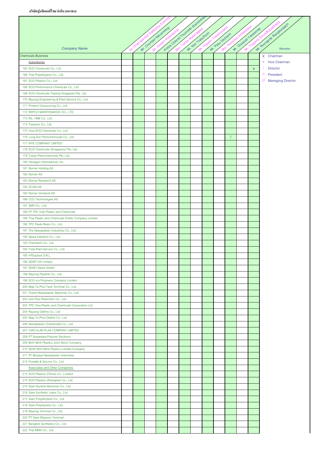|                                                                                        |  |                        | Police Colored Thumanity Manicotral |                   |                 |            |                        |             |                       |
|----------------------------------------------------------------------------------------|--|------------------------|-------------------------------------|-------------------|-----------------|------------|------------------------|-------------|-----------------------|
|                                                                                        |  | Mr. Orwings Nationales |                                     |                   |                 |            | M. Ordered Y exercises |             | Mr. Rongoe Rangylopen |
|                                                                                        |  |                        |                                     | M. Kan Trakilhoon | Mr. Pasu Decham | Parnsiree. |                        |             |                       |
| <b>Company Name</b>                                                                    |  |                        |                                     |                   |                 |            |                        |             |                       |
| <b>Chemicals Business</b>                                                              |  |                        |                                     |                   |                 |            |                        |             | X Chairman            |
| Subsidiaries                                                                           |  |                        |                                     |                   |                 |            |                        |             | * Vice Chairman       |
| 165 SCG Chemicals Co., Ltd.                                                            |  |                        |                                     |                   |                 |            |                        | $\mathsf X$ | <b>Director</b>       |
| 166 Thai Polyethylene Co., Ltd.                                                        |  |                        |                                     |                   |                 |            |                        |             | // President          |
| 167 SCG Plastics Co., Ltd.                                                             |  |                        |                                     |                   |                 |            |                        |             | /// Managing Director |
| 168 SCG Performance Chemicals Co., Ltd.                                                |  |                        |                                     |                   |                 |            |                        |             |                       |
| 169 SCG Chemicals Trading Singapore Pte. Ltd.                                          |  |                        |                                     |                   |                 |            |                        |             |                       |
| 170 Rayong Engineering & Plant Service Co., Ltd.                                       |  |                        |                                     |                   |                 |            |                        |             |                       |
| 171 Protech Outsourcing Co., Ltd.                                                      |  |                        |                                     |                   |                 |            |                        |             |                       |
| 172 REPCO MAINTENANCE CO., LTD.                                                        |  |                        |                                     |                   |                 |            |                        |             |                       |
| 173 RIL 1996 Co., Ltd.<br>174 Texplore Co., Ltd.                                       |  |                        |                                     |                   |                 |            |                        |             |                       |
| 175 Vina SCG Chemicals Co., Ltd.                                                       |  |                        |                                     |                   |                 |            |                        |             |                       |
| 176 Long Son Petrochemicals Co., Ltd.                                                  |  |                        |                                     |                   |                 |            |                        |             |                       |
| 177 WTE COMPANY LIMITED                                                                |  |                        |                                     |                   |                 |            |                        |             |                       |
| 178 SCG Chemicals (Singapore) Pte. Ltd.                                                |  |                        |                                     |                   |                 |            |                        |             |                       |
| 179 Tuban Petrochemicals Pte. Ltd.                                                     |  |                        |                                     |                   |                 |            |                        |             |                       |
| 180 Hexagon International, Inc.                                                        |  |                        |                                     |                   |                 |            |                        |             |                       |
| 181 Norner Holding AS                                                                  |  |                        |                                     |                   |                 |            |                        |             |                       |
| 182 Norner AS                                                                          |  |                        |                                     |                   |                 |            |                        |             |                       |
| 183 Norner Research AS                                                                 |  |                        |                                     |                   |                 |            |                        |             |                       |
| 184 SCGN AS                                                                            |  |                        |                                     |                   |                 |            |                        |             |                       |
| 185 Norner Verdandi AS                                                                 |  |                        |                                     |                   |                 |            |                        |             |                       |
| 186 CO2 Technologies AS                                                                |  |                        |                                     |                   |                 |            |                        |             |                       |
| 187 SMH Co., Ltd.                                                                      |  |                        |                                     |                   |                 |            |                        |             |                       |
| 188 PT TPC Indo Plastic and Chemicals                                                  |  |                        |                                     |                   |                 |            |                        |             |                       |
| 189 Thai Plastic and Chemicals Public Company Limited<br>190 TPC Paste Resin Co., Ltd. |  |                        |                                     |                   |                 |            |                        |             |                       |
| 191 The Nawaplastic Industries Co., Ltd.                                               |  |                        |                                     |                   |                 |            |                        |             |                       |
| 192 Nawa Intertech Co., Ltd.                                                           |  |                        |                                     |                   |                 |            |                        |             |                       |
| 193 Chemtech Co., Ltd.                                                                 |  |                        |                                     |                   |                 |            |                        |             |                       |
| 194 Total Plant Service Co., Ltd.                                                      |  |                        |                                     |                   |                 |            |                        |             |                       |
| 195 HTExplore S.R.L.                                                                   |  |                        |                                     |                   |                 |            |                        |             |                       |
| 196 SENFI UK Limited                                                                   |  |                        |                                     |                   |                 |            |                        |             |                       |
| 197 SENFI Swiss GmbH                                                                   |  |                        |                                     |                   |                 |            |                        |             |                       |
| 198 Rayong Pipeline Co., Ltd.                                                          |  |                        |                                     |                   |                 |            |                        |             |                       |
| 199 SCG Ico Polymers Company Limited                                                   |  |                        |                                     |                   |                 |            |                        |             |                       |
| 200 Map Ta Phut Tank Terminal Co., Ltd.                                                |  |                        |                                     |                   |                 |            |                        |             |                       |
| 201 Grand Nawaplastic Myanmar Co., Ltd.<br>202 Viet-Thai Plastchem Co., Ltd.           |  |                        |                                     |                   |                 |            |                        |             |                       |
| 203 TPC Vina Plastic and Chemicals Corporation Ltd.                                    |  |                        |                                     |                   |                 |            |                        |             |                       |
| 204 Rayong Olefins Co., Ltd.                                                           |  |                        |                                     |                   |                 |            |                        |             |                       |
| 205 Map Ta Phut Olefins Co., Ltd.                                                      |  |                        |                                     |                   |                 |            |                        |             |                       |
| 206 Nawaplastic (Cambodia) Co., Ltd.                                                   |  |                        |                                     |                   |                 |            |                        |             |                       |
| 207 CIRCULAR PLAS COMPANY LIMITED                                                      |  |                        |                                     |                   |                 |            |                        |             |                       |
| 208 PT Nusantara Polymer Solutions                                                     |  |                        |                                     |                   |                 |            |                        |             |                       |
| 209 Binh Minh Plastics Joint Stock Company                                             |  |                        |                                     |                   |                 |            |                        |             |                       |
| 210 North Binh Minh Plastics Limited Company                                           |  |                        |                                     |                   |                 |            |                        |             |                       |
| 211 PT Berjaya Nawaplastic Indonesia                                                   |  |                        |                                     |                   |                 |            |                        |             |                       |
| 212 Flowlab & Service Co., Ltd.                                                        |  |                        |                                     |                   |                 |            |                        |             |                       |
| <b>Associates and Other Companies</b>                                                  |  |                        |                                     |                   |                 |            |                        |             |                       |
| 213 SCG Plastics (China) Co., Limited                                                  |  |                        |                                     |                   |                 |            |                        |             |                       |
| 214 SCG Plastics (Shanghai) Co., Ltd.<br>215 Siam Styrene Monomer Co., Ltd.            |  |                        |                                     |                   |                 |            |                        |             |                       |
| 216 Siam Synthetic Latex Co., Ltd.                                                     |  |                        |                                     |                   |                 |            |                        |             |                       |
| 217 Siam Polyethylene Co., Ltd.                                                        |  |                        |                                     |                   |                 |            |                        |             |                       |
| 218 Siam Polystyrene Co., Ltd.                                                         |  |                        |                                     |                   |                 |            |                        |             |                       |
| 219 Rayong Terminal Co., Ltd.                                                          |  |                        |                                     |                   |                 |            |                        |             |                       |
| 220 PT Siam Maspion Terminal                                                           |  |                        |                                     |                   |                 |            |                        |             |                       |
| 221 Bangkok Synthetics Co., Ltd.                                                       |  |                        |                                     |                   |                 |            |                        |             |                       |
| 222 Thai MMA Co., Ltd.                                                                 |  |                        |                                     |                   |                 |            |                        |             |                       |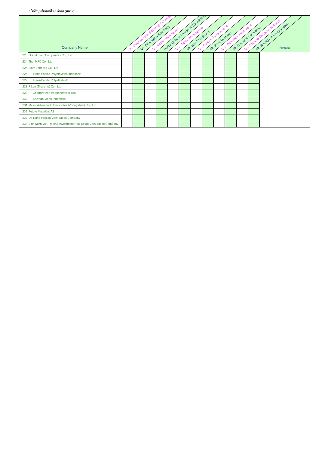# **บริษัทปูนซิเมนต์ไทยจากํ ัด (มหาชน)**

| <b>Company Name</b>                                                   | -niet | Mr. Orwingo Na aniversa | Police Calaren (minimum wanichinali<br>Kassm Walanadia | Mr. Kan Trakilhoon | Prasam | Traitatyora.<br>Mr. Pasu Decharin | Parnstree Amatayaku | Mr. Ordianal Vanazardo | Mr. Roomgale Renderly Deed<br>Thatama Simadhanab |
|-----------------------------------------------------------------------|-------|-------------------------|--------------------------------------------------------|--------------------|--------|-----------------------------------|---------------------|------------------------|--------------------------------------------------|
| 223 Grand Siam Composites Co., Ltd.                                   |       |                         |                                                        |                    |        |                                   |                     |                        |                                                  |
| 224 Thai MFC Co., Ltd.                                                |       |                         |                                                        |                    |        |                                   |                     |                        |                                                  |
| 225 Siam Tohcello Co., Ltd.                                           |       |                         |                                                        |                    |        |                                   |                     |                        |                                                  |
| 226 PT Trans-Pacific Polyethylene Indonesia                           |       |                         |                                                        |                    |        |                                   |                     |                        |                                                  |
| 227 PT Trans-Pacific Polyethylindo                                    |       |                         |                                                        |                    |        |                                   |                     |                        |                                                  |
| 228 Riken (Thailand) Co., Ltd.                                        |       |                         |                                                        |                    |        |                                   |                     |                        |                                                  |
| 229 PT Chandra Asri Petrochemical Tbk.                                |       |                         |                                                        |                    |        |                                   |                     |                        |                                                  |
| 230 PT Styrindo Mono Indonesia                                        |       |                         |                                                        |                    |        |                                   |                     |                        |                                                  |
| 231 Mitsui Advanced Composites (Zhongshan) Co., Ltd.                  |       |                         |                                                        |                    |        |                                   |                     |                        |                                                  |
| 232 Future Materials AS                                               |       |                         |                                                        |                    |        |                                   |                     |                        |                                                  |
| 233 Da Nang Plastics Joint Stock Company                              |       |                         |                                                        |                    |        |                                   |                     |                        |                                                  |
| 234 Binh Minh Viet Trading Investment Real Estate Joint Stock Company |       |                         |                                                        |                    |        |                                   |                     |                        |                                                  |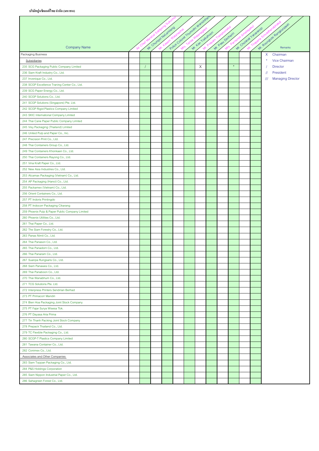| Police Colored Trummitti Wallows<br>Mr. Roongale Rangyongan<br>M. Orwings Nationales<br>M. Ordered Y anarando<br>Mr. Kan Tracihoon<br>Mr. Pasu Dechain<br><b>Company Name</b><br>X<br>Chairman<br>$\star$<br>Vice Chairman<br>Subsidiaries<br>$\star$<br>X<br>235 SCG Packaging Public Company Limited<br><b>Director</b><br>236 Siam Kraft Industry Co., Ltd.<br>11<br>President<br>$^{\prime\prime\prime}$<br><b>Managing Director</b><br>237 Invenique Co., Ltd.<br>238 SCGP Excellence Traning Center Co., Ltd.<br>239 SCG Paper Energy Co., Ltd.<br>240 SCGP Solutions Co., Ltd.<br>241 SCGP Solutions (Singapore) Pte. Ltd.<br>242 SCGP Rigid Plastics Company Limited<br>243 SKIC International Company Limited<br>244 Thai Cane Paper Public Company Limited<br>245 Visy Packaging (Thailand) Limited<br>246 United Pulp and Paper Co., Inc.<br>247 Precision Print Co., Ltd.<br>248 Thai Containers Group Co., Ltd.<br>249 Thai Containers Khonkaen Co., Ltd.<br>250 Thai Containers Rayong Co., Ltd.<br>251 Vina Kraft Paper Co., Ltd.<br>252 New Asia Industries Co., Ltd.<br>253 Alcamax Packaging (Vietnam) Co., Ltd.<br>254 AP Packaging (Hanoi) Co., Ltd.<br>255 Packamex (Vietnam) Co., Ltd.<br>256 Orient Containers Co., Ltd.<br>257 PT Indoris Printingdo<br>258 PT Indocorr Packaging Cikarang<br>259 Phoenix Pulp & Paper Public Company Limited<br>260 Phoenix Utilities Co., Ltd.<br>261 Thai Paper Co., Ltd.<br>262 The Siam Forestry Co., Ltd.<br>263 Panas Nimit Co., Ltd.<br>264 Thai Panason Co., Ltd.<br>265 Thai Panadorn Co., Ltd.<br>266 Thai Panaram Co., Ltd.<br>267 Suanpa Rungsaris Co., Ltd.<br>268 Siam Panawes Co., Ltd.<br>269 Thai Panaboon Co., Ltd.<br>270 Thai Wanabhum Co., Ltd.<br>271 TCG Solutions Pte. Ltd.<br>272 Interpress Printers Sendirian Berhad<br>273 PT Primacorr Mandiri<br>274 Bien Hoa Packaging Joint Stock Company<br>275 PT Fajar Surya Wisesa Tbk.<br>276 PT Dayasa Aria Prima<br>277 Tin Thanh Packing Joint Stock Company<br>278 Prepack Thailand Co., Ltd.<br>279 TC Flexible Packaging Co., Ltd.<br>280 SCGP-T Plastics Company Limited<br>281 Tawana Container Co., Ltd.<br>282 Conimex Co., Ltd.<br>Associates and Other Companies<br>283 Siam Toppan Packaging Co., Ltd.<br>284 P&S Holdings Corporation<br>285 Siam Nippon Industrial Paper Co., Ltd.<br>286 Sahagreen Forest Co., Ltd. |                    |  |  |  |  |  |  |  |
|-------------------------------------------------------------------------------------------------------------------------------------------------------------------------------------------------------------------------------------------------------------------------------------------------------------------------------------------------------------------------------------------------------------------------------------------------------------------------------------------------------------------------------------------------------------------------------------------------------------------------------------------------------------------------------------------------------------------------------------------------------------------------------------------------------------------------------------------------------------------------------------------------------------------------------------------------------------------------------------------------------------------------------------------------------------------------------------------------------------------------------------------------------------------------------------------------------------------------------------------------------------------------------------------------------------------------------------------------------------------------------------------------------------------------------------------------------------------------------------------------------------------------------------------------------------------------------------------------------------------------------------------------------------------------------------------------------------------------------------------------------------------------------------------------------------------------------------------------------------------------------------------------------------------------------------------------------------------------------------------------------------------------------------------------------------------------------------------------------------------------------------------------------------------------------------------------------------------------------------------------------------------------------------------------------------------------------------------------------------------|--------------------|--|--|--|--|--|--|--|
|                                                                                                                                                                                                                                                                                                                                                                                                                                                                                                                                                                                                                                                                                                                                                                                                                                                                                                                                                                                                                                                                                                                                                                                                                                                                                                                                                                                                                                                                                                                                                                                                                                                                                                                                                                                                                                                                                                                                                                                                                                                                                                                                                                                                                                                                                                                                                                   |                    |  |  |  |  |  |  |  |
|                                                                                                                                                                                                                                                                                                                                                                                                                                                                                                                                                                                                                                                                                                                                                                                                                                                                                                                                                                                                                                                                                                                                                                                                                                                                                                                                                                                                                                                                                                                                                                                                                                                                                                                                                                                                                                                                                                                                                                                                                                                                                                                                                                                                                                                                                                                                                                   |                    |  |  |  |  |  |  |  |
|                                                                                                                                                                                                                                                                                                                                                                                                                                                                                                                                                                                                                                                                                                                                                                                                                                                                                                                                                                                                                                                                                                                                                                                                                                                                                                                                                                                                                                                                                                                                                                                                                                                                                                                                                                                                                                                                                                                                                                                                                                                                                                                                                                                                                                                                                                                                                                   |                    |  |  |  |  |  |  |  |
|                                                                                                                                                                                                                                                                                                                                                                                                                                                                                                                                                                                                                                                                                                                                                                                                                                                                                                                                                                                                                                                                                                                                                                                                                                                                                                                                                                                                                                                                                                                                                                                                                                                                                                                                                                                                                                                                                                                                                                                                                                                                                                                                                                                                                                                                                                                                                                   |                    |  |  |  |  |  |  |  |
|                                                                                                                                                                                                                                                                                                                                                                                                                                                                                                                                                                                                                                                                                                                                                                                                                                                                                                                                                                                                                                                                                                                                                                                                                                                                                                                                                                                                                                                                                                                                                                                                                                                                                                                                                                                                                                                                                                                                                                                                                                                                                                                                                                                                                                                                                                                                                                   | Packaging Business |  |  |  |  |  |  |  |
|                                                                                                                                                                                                                                                                                                                                                                                                                                                                                                                                                                                                                                                                                                                                                                                                                                                                                                                                                                                                                                                                                                                                                                                                                                                                                                                                                                                                                                                                                                                                                                                                                                                                                                                                                                                                                                                                                                                                                                                                                                                                                                                                                                                                                                                                                                                                                                   |                    |  |  |  |  |  |  |  |
|                                                                                                                                                                                                                                                                                                                                                                                                                                                                                                                                                                                                                                                                                                                                                                                                                                                                                                                                                                                                                                                                                                                                                                                                                                                                                                                                                                                                                                                                                                                                                                                                                                                                                                                                                                                                                                                                                                                                                                                                                                                                                                                                                                                                                                                                                                                                                                   |                    |  |  |  |  |  |  |  |
|                                                                                                                                                                                                                                                                                                                                                                                                                                                                                                                                                                                                                                                                                                                                                                                                                                                                                                                                                                                                                                                                                                                                                                                                                                                                                                                                                                                                                                                                                                                                                                                                                                                                                                                                                                                                                                                                                                                                                                                                                                                                                                                                                                                                                                                                                                                                                                   |                    |  |  |  |  |  |  |  |
|                                                                                                                                                                                                                                                                                                                                                                                                                                                                                                                                                                                                                                                                                                                                                                                                                                                                                                                                                                                                                                                                                                                                                                                                                                                                                                                                                                                                                                                                                                                                                                                                                                                                                                                                                                                                                                                                                                                                                                                                                                                                                                                                                                                                                                                                                                                                                                   |                    |  |  |  |  |  |  |  |
|                                                                                                                                                                                                                                                                                                                                                                                                                                                                                                                                                                                                                                                                                                                                                                                                                                                                                                                                                                                                                                                                                                                                                                                                                                                                                                                                                                                                                                                                                                                                                                                                                                                                                                                                                                                                                                                                                                                                                                                                                                                                                                                                                                                                                                                                                                                                                                   |                    |  |  |  |  |  |  |  |
|                                                                                                                                                                                                                                                                                                                                                                                                                                                                                                                                                                                                                                                                                                                                                                                                                                                                                                                                                                                                                                                                                                                                                                                                                                                                                                                                                                                                                                                                                                                                                                                                                                                                                                                                                                                                                                                                                                                                                                                                                                                                                                                                                                                                                                                                                                                                                                   |                    |  |  |  |  |  |  |  |
|                                                                                                                                                                                                                                                                                                                                                                                                                                                                                                                                                                                                                                                                                                                                                                                                                                                                                                                                                                                                                                                                                                                                                                                                                                                                                                                                                                                                                                                                                                                                                                                                                                                                                                                                                                                                                                                                                                                                                                                                                                                                                                                                                                                                                                                                                                                                                                   |                    |  |  |  |  |  |  |  |
|                                                                                                                                                                                                                                                                                                                                                                                                                                                                                                                                                                                                                                                                                                                                                                                                                                                                                                                                                                                                                                                                                                                                                                                                                                                                                                                                                                                                                                                                                                                                                                                                                                                                                                                                                                                                                                                                                                                                                                                                                                                                                                                                                                                                                                                                                                                                                                   |                    |  |  |  |  |  |  |  |
|                                                                                                                                                                                                                                                                                                                                                                                                                                                                                                                                                                                                                                                                                                                                                                                                                                                                                                                                                                                                                                                                                                                                                                                                                                                                                                                                                                                                                                                                                                                                                                                                                                                                                                                                                                                                                                                                                                                                                                                                                                                                                                                                                                                                                                                                                                                                                                   |                    |  |  |  |  |  |  |  |
|                                                                                                                                                                                                                                                                                                                                                                                                                                                                                                                                                                                                                                                                                                                                                                                                                                                                                                                                                                                                                                                                                                                                                                                                                                                                                                                                                                                                                                                                                                                                                                                                                                                                                                                                                                                                                                                                                                                                                                                                                                                                                                                                                                                                                                                                                                                                                                   |                    |  |  |  |  |  |  |  |
|                                                                                                                                                                                                                                                                                                                                                                                                                                                                                                                                                                                                                                                                                                                                                                                                                                                                                                                                                                                                                                                                                                                                                                                                                                                                                                                                                                                                                                                                                                                                                                                                                                                                                                                                                                                                                                                                                                                                                                                                                                                                                                                                                                                                                                                                                                                                                                   |                    |  |  |  |  |  |  |  |
|                                                                                                                                                                                                                                                                                                                                                                                                                                                                                                                                                                                                                                                                                                                                                                                                                                                                                                                                                                                                                                                                                                                                                                                                                                                                                                                                                                                                                                                                                                                                                                                                                                                                                                                                                                                                                                                                                                                                                                                                                                                                                                                                                                                                                                                                                                                                                                   |                    |  |  |  |  |  |  |  |
|                                                                                                                                                                                                                                                                                                                                                                                                                                                                                                                                                                                                                                                                                                                                                                                                                                                                                                                                                                                                                                                                                                                                                                                                                                                                                                                                                                                                                                                                                                                                                                                                                                                                                                                                                                                                                                                                                                                                                                                                                                                                                                                                                                                                                                                                                                                                                                   |                    |  |  |  |  |  |  |  |
|                                                                                                                                                                                                                                                                                                                                                                                                                                                                                                                                                                                                                                                                                                                                                                                                                                                                                                                                                                                                                                                                                                                                                                                                                                                                                                                                                                                                                                                                                                                                                                                                                                                                                                                                                                                                                                                                                                                                                                                                                                                                                                                                                                                                                                                                                                                                                                   |                    |  |  |  |  |  |  |  |
|                                                                                                                                                                                                                                                                                                                                                                                                                                                                                                                                                                                                                                                                                                                                                                                                                                                                                                                                                                                                                                                                                                                                                                                                                                                                                                                                                                                                                                                                                                                                                                                                                                                                                                                                                                                                                                                                                                                                                                                                                                                                                                                                                                                                                                                                                                                                                                   |                    |  |  |  |  |  |  |  |
|                                                                                                                                                                                                                                                                                                                                                                                                                                                                                                                                                                                                                                                                                                                                                                                                                                                                                                                                                                                                                                                                                                                                                                                                                                                                                                                                                                                                                                                                                                                                                                                                                                                                                                                                                                                                                                                                                                                                                                                                                                                                                                                                                                                                                                                                                                                                                                   |                    |  |  |  |  |  |  |  |
|                                                                                                                                                                                                                                                                                                                                                                                                                                                                                                                                                                                                                                                                                                                                                                                                                                                                                                                                                                                                                                                                                                                                                                                                                                                                                                                                                                                                                                                                                                                                                                                                                                                                                                                                                                                                                                                                                                                                                                                                                                                                                                                                                                                                                                                                                                                                                                   |                    |  |  |  |  |  |  |  |
|                                                                                                                                                                                                                                                                                                                                                                                                                                                                                                                                                                                                                                                                                                                                                                                                                                                                                                                                                                                                                                                                                                                                                                                                                                                                                                                                                                                                                                                                                                                                                                                                                                                                                                                                                                                                                                                                                                                                                                                                                                                                                                                                                                                                                                                                                                                                                                   |                    |  |  |  |  |  |  |  |
|                                                                                                                                                                                                                                                                                                                                                                                                                                                                                                                                                                                                                                                                                                                                                                                                                                                                                                                                                                                                                                                                                                                                                                                                                                                                                                                                                                                                                                                                                                                                                                                                                                                                                                                                                                                                                                                                                                                                                                                                                                                                                                                                                                                                                                                                                                                                                                   |                    |  |  |  |  |  |  |  |
|                                                                                                                                                                                                                                                                                                                                                                                                                                                                                                                                                                                                                                                                                                                                                                                                                                                                                                                                                                                                                                                                                                                                                                                                                                                                                                                                                                                                                                                                                                                                                                                                                                                                                                                                                                                                                                                                                                                                                                                                                                                                                                                                                                                                                                                                                                                                                                   |                    |  |  |  |  |  |  |  |
|                                                                                                                                                                                                                                                                                                                                                                                                                                                                                                                                                                                                                                                                                                                                                                                                                                                                                                                                                                                                                                                                                                                                                                                                                                                                                                                                                                                                                                                                                                                                                                                                                                                                                                                                                                                                                                                                                                                                                                                                                                                                                                                                                                                                                                                                                                                                                                   |                    |  |  |  |  |  |  |  |
|                                                                                                                                                                                                                                                                                                                                                                                                                                                                                                                                                                                                                                                                                                                                                                                                                                                                                                                                                                                                                                                                                                                                                                                                                                                                                                                                                                                                                                                                                                                                                                                                                                                                                                                                                                                                                                                                                                                                                                                                                                                                                                                                                                                                                                                                                                                                                                   |                    |  |  |  |  |  |  |  |
|                                                                                                                                                                                                                                                                                                                                                                                                                                                                                                                                                                                                                                                                                                                                                                                                                                                                                                                                                                                                                                                                                                                                                                                                                                                                                                                                                                                                                                                                                                                                                                                                                                                                                                                                                                                                                                                                                                                                                                                                                                                                                                                                                                                                                                                                                                                                                                   |                    |  |  |  |  |  |  |  |
|                                                                                                                                                                                                                                                                                                                                                                                                                                                                                                                                                                                                                                                                                                                                                                                                                                                                                                                                                                                                                                                                                                                                                                                                                                                                                                                                                                                                                                                                                                                                                                                                                                                                                                                                                                                                                                                                                                                                                                                                                                                                                                                                                                                                                                                                                                                                                                   |                    |  |  |  |  |  |  |  |
|                                                                                                                                                                                                                                                                                                                                                                                                                                                                                                                                                                                                                                                                                                                                                                                                                                                                                                                                                                                                                                                                                                                                                                                                                                                                                                                                                                                                                                                                                                                                                                                                                                                                                                                                                                                                                                                                                                                                                                                                                                                                                                                                                                                                                                                                                                                                                                   |                    |  |  |  |  |  |  |  |
|                                                                                                                                                                                                                                                                                                                                                                                                                                                                                                                                                                                                                                                                                                                                                                                                                                                                                                                                                                                                                                                                                                                                                                                                                                                                                                                                                                                                                                                                                                                                                                                                                                                                                                                                                                                                                                                                                                                                                                                                                                                                                                                                                                                                                                                                                                                                                                   |                    |  |  |  |  |  |  |  |
|                                                                                                                                                                                                                                                                                                                                                                                                                                                                                                                                                                                                                                                                                                                                                                                                                                                                                                                                                                                                                                                                                                                                                                                                                                                                                                                                                                                                                                                                                                                                                                                                                                                                                                                                                                                                                                                                                                                                                                                                                                                                                                                                                                                                                                                                                                                                                                   |                    |  |  |  |  |  |  |  |
|                                                                                                                                                                                                                                                                                                                                                                                                                                                                                                                                                                                                                                                                                                                                                                                                                                                                                                                                                                                                                                                                                                                                                                                                                                                                                                                                                                                                                                                                                                                                                                                                                                                                                                                                                                                                                                                                                                                                                                                                                                                                                                                                                                                                                                                                                                                                                                   |                    |  |  |  |  |  |  |  |
|                                                                                                                                                                                                                                                                                                                                                                                                                                                                                                                                                                                                                                                                                                                                                                                                                                                                                                                                                                                                                                                                                                                                                                                                                                                                                                                                                                                                                                                                                                                                                                                                                                                                                                                                                                                                                                                                                                                                                                                                                                                                                                                                                                                                                                                                                                                                                                   |                    |  |  |  |  |  |  |  |
|                                                                                                                                                                                                                                                                                                                                                                                                                                                                                                                                                                                                                                                                                                                                                                                                                                                                                                                                                                                                                                                                                                                                                                                                                                                                                                                                                                                                                                                                                                                                                                                                                                                                                                                                                                                                                                                                                                                                                                                                                                                                                                                                                                                                                                                                                                                                                                   |                    |  |  |  |  |  |  |  |
|                                                                                                                                                                                                                                                                                                                                                                                                                                                                                                                                                                                                                                                                                                                                                                                                                                                                                                                                                                                                                                                                                                                                                                                                                                                                                                                                                                                                                                                                                                                                                                                                                                                                                                                                                                                                                                                                                                                                                                                                                                                                                                                                                                                                                                                                                                                                                                   |                    |  |  |  |  |  |  |  |
|                                                                                                                                                                                                                                                                                                                                                                                                                                                                                                                                                                                                                                                                                                                                                                                                                                                                                                                                                                                                                                                                                                                                                                                                                                                                                                                                                                                                                                                                                                                                                                                                                                                                                                                                                                                                                                                                                                                                                                                                                                                                                                                                                                                                                                                                                                                                                                   |                    |  |  |  |  |  |  |  |
|                                                                                                                                                                                                                                                                                                                                                                                                                                                                                                                                                                                                                                                                                                                                                                                                                                                                                                                                                                                                                                                                                                                                                                                                                                                                                                                                                                                                                                                                                                                                                                                                                                                                                                                                                                                                                                                                                                                                                                                                                                                                                                                                                                                                                                                                                                                                                                   |                    |  |  |  |  |  |  |  |
|                                                                                                                                                                                                                                                                                                                                                                                                                                                                                                                                                                                                                                                                                                                                                                                                                                                                                                                                                                                                                                                                                                                                                                                                                                                                                                                                                                                                                                                                                                                                                                                                                                                                                                                                                                                                                                                                                                                                                                                                                                                                                                                                                                                                                                                                                                                                                                   |                    |  |  |  |  |  |  |  |
|                                                                                                                                                                                                                                                                                                                                                                                                                                                                                                                                                                                                                                                                                                                                                                                                                                                                                                                                                                                                                                                                                                                                                                                                                                                                                                                                                                                                                                                                                                                                                                                                                                                                                                                                                                                                                                                                                                                                                                                                                                                                                                                                                                                                                                                                                                                                                                   |                    |  |  |  |  |  |  |  |
|                                                                                                                                                                                                                                                                                                                                                                                                                                                                                                                                                                                                                                                                                                                                                                                                                                                                                                                                                                                                                                                                                                                                                                                                                                                                                                                                                                                                                                                                                                                                                                                                                                                                                                                                                                                                                                                                                                                                                                                                                                                                                                                                                                                                                                                                                                                                                                   |                    |  |  |  |  |  |  |  |
|                                                                                                                                                                                                                                                                                                                                                                                                                                                                                                                                                                                                                                                                                                                                                                                                                                                                                                                                                                                                                                                                                                                                                                                                                                                                                                                                                                                                                                                                                                                                                                                                                                                                                                                                                                                                                                                                                                                                                                                                                                                                                                                                                                                                                                                                                                                                                                   |                    |  |  |  |  |  |  |  |
|                                                                                                                                                                                                                                                                                                                                                                                                                                                                                                                                                                                                                                                                                                                                                                                                                                                                                                                                                                                                                                                                                                                                                                                                                                                                                                                                                                                                                                                                                                                                                                                                                                                                                                                                                                                                                                                                                                                                                                                                                                                                                                                                                                                                                                                                                                                                                                   |                    |  |  |  |  |  |  |  |
|                                                                                                                                                                                                                                                                                                                                                                                                                                                                                                                                                                                                                                                                                                                                                                                                                                                                                                                                                                                                                                                                                                                                                                                                                                                                                                                                                                                                                                                                                                                                                                                                                                                                                                                                                                                                                                                                                                                                                                                                                                                                                                                                                                                                                                                                                                                                                                   |                    |  |  |  |  |  |  |  |
|                                                                                                                                                                                                                                                                                                                                                                                                                                                                                                                                                                                                                                                                                                                                                                                                                                                                                                                                                                                                                                                                                                                                                                                                                                                                                                                                                                                                                                                                                                                                                                                                                                                                                                                                                                                                                                                                                                                                                                                                                                                                                                                                                                                                                                                                                                                                                                   |                    |  |  |  |  |  |  |  |
|                                                                                                                                                                                                                                                                                                                                                                                                                                                                                                                                                                                                                                                                                                                                                                                                                                                                                                                                                                                                                                                                                                                                                                                                                                                                                                                                                                                                                                                                                                                                                                                                                                                                                                                                                                                                                                                                                                                                                                                                                                                                                                                                                                                                                                                                                                                                                                   |                    |  |  |  |  |  |  |  |
|                                                                                                                                                                                                                                                                                                                                                                                                                                                                                                                                                                                                                                                                                                                                                                                                                                                                                                                                                                                                                                                                                                                                                                                                                                                                                                                                                                                                                                                                                                                                                                                                                                                                                                                                                                                                                                                                                                                                                                                                                                                                                                                                                                                                                                                                                                                                                                   |                    |  |  |  |  |  |  |  |
|                                                                                                                                                                                                                                                                                                                                                                                                                                                                                                                                                                                                                                                                                                                                                                                                                                                                                                                                                                                                                                                                                                                                                                                                                                                                                                                                                                                                                                                                                                                                                                                                                                                                                                                                                                                                                                                                                                                                                                                                                                                                                                                                                                                                                                                                                                                                                                   |                    |  |  |  |  |  |  |  |
|                                                                                                                                                                                                                                                                                                                                                                                                                                                                                                                                                                                                                                                                                                                                                                                                                                                                                                                                                                                                                                                                                                                                                                                                                                                                                                                                                                                                                                                                                                                                                                                                                                                                                                                                                                                                                                                                                                                                                                                                                                                                                                                                                                                                                                                                                                                                                                   |                    |  |  |  |  |  |  |  |
|                                                                                                                                                                                                                                                                                                                                                                                                                                                                                                                                                                                                                                                                                                                                                                                                                                                                                                                                                                                                                                                                                                                                                                                                                                                                                                                                                                                                                                                                                                                                                                                                                                                                                                                                                                                                                                                                                                                                                                                                                                                                                                                                                                                                                                                                                                                                                                   |                    |  |  |  |  |  |  |  |
|                                                                                                                                                                                                                                                                                                                                                                                                                                                                                                                                                                                                                                                                                                                                                                                                                                                                                                                                                                                                                                                                                                                                                                                                                                                                                                                                                                                                                                                                                                                                                                                                                                                                                                                                                                                                                                                                                                                                                                                                                                                                                                                                                                                                                                                                                                                                                                   |                    |  |  |  |  |  |  |  |
|                                                                                                                                                                                                                                                                                                                                                                                                                                                                                                                                                                                                                                                                                                                                                                                                                                                                                                                                                                                                                                                                                                                                                                                                                                                                                                                                                                                                                                                                                                                                                                                                                                                                                                                                                                                                                                                                                                                                                                                                                                                                                                                                                                                                                                                                                                                                                                   |                    |  |  |  |  |  |  |  |
|                                                                                                                                                                                                                                                                                                                                                                                                                                                                                                                                                                                                                                                                                                                                                                                                                                                                                                                                                                                                                                                                                                                                                                                                                                                                                                                                                                                                                                                                                                                                                                                                                                                                                                                                                                                                                                                                                                                                                                                                                                                                                                                                                                                                                                                                                                                                                                   |                    |  |  |  |  |  |  |  |
|                                                                                                                                                                                                                                                                                                                                                                                                                                                                                                                                                                                                                                                                                                                                                                                                                                                                                                                                                                                                                                                                                                                                                                                                                                                                                                                                                                                                                                                                                                                                                                                                                                                                                                                                                                                                                                                                                                                                                                                                                                                                                                                                                                                                                                                                                                                                                                   |                    |  |  |  |  |  |  |  |
|                                                                                                                                                                                                                                                                                                                                                                                                                                                                                                                                                                                                                                                                                                                                                                                                                                                                                                                                                                                                                                                                                                                                                                                                                                                                                                                                                                                                                                                                                                                                                                                                                                                                                                                                                                                                                                                                                                                                                                                                                                                                                                                                                                                                                                                                                                                                                                   |                    |  |  |  |  |  |  |  |
|                                                                                                                                                                                                                                                                                                                                                                                                                                                                                                                                                                                                                                                                                                                                                                                                                                                                                                                                                                                                                                                                                                                                                                                                                                                                                                                                                                                                                                                                                                                                                                                                                                                                                                                                                                                                                                                                                                                                                                                                                                                                                                                                                                                                                                                                                                                                                                   |                    |  |  |  |  |  |  |  |
|                                                                                                                                                                                                                                                                                                                                                                                                                                                                                                                                                                                                                                                                                                                                                                                                                                                                                                                                                                                                                                                                                                                                                                                                                                                                                                                                                                                                                                                                                                                                                                                                                                                                                                                                                                                                                                                                                                                                                                                                                                                                                                                                                                                                                                                                                                                                                                   |                    |  |  |  |  |  |  |  |
|                                                                                                                                                                                                                                                                                                                                                                                                                                                                                                                                                                                                                                                                                                                                                                                                                                                                                                                                                                                                                                                                                                                                                                                                                                                                                                                                                                                                                                                                                                                                                                                                                                                                                                                                                                                                                                                                                                                                                                                                                                                                                                                                                                                                                                                                                                                                                                   |                    |  |  |  |  |  |  |  |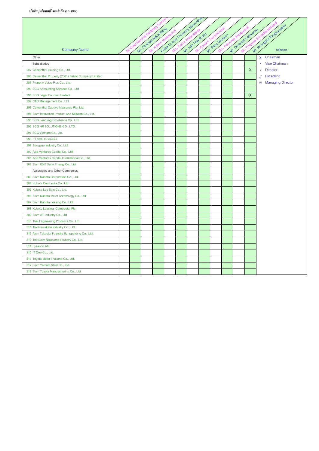|                                                      |  |                      | Police Colored Truminity Manichrea |                   |                  |                       |          | Mr. Roomge's Rangahopean        |
|------------------------------------------------------|--|----------------------|------------------------------------|-------------------|------------------|-----------------------|----------|---------------------------------|
| <b>Company Name</b>                                  |  | Mr. Orumpa Nabanjeno |                                    | Mr. Kan Trakuhoon | Mr. Pasu Dechain | Mr. Organa J analando |          |                                 |
| Other                                                |  |                      |                                    |                   |                  |                       |          | X Chairman                      |
| Subsidiaries                                         |  |                      |                                    |                   |                  |                       |          | <b>Vice Chairman</b><br>$\star$ |
| 287 Cementhai Holding Co., Ltd.                      |  |                      |                                    |                   |                  |                       | $\times$ | <b>Director</b>                 |
| 288 Cementhai Property (2001) Public Company Limited |  |                      |                                    |                   |                  |                       |          | President<br>$^{\prime\prime}$  |
| 289 Property Value Plus Co., Ltd.                    |  |                      |                                    |                   |                  |                       |          | /// Managing Director           |
| 290 SCG Accounting Services Co., Ltd.                |  |                      |                                    |                   |                  |                       |          |                                 |
| 291 SCG Legal Counsel Limited                        |  |                      |                                    |                   |                  |                       | $\times$ |                                 |
| 292 CTO Management Co., Ltd.                         |  |                      |                                    |                   |                  |                       |          |                                 |
| 293 Cementhai Captive Insurance Pte. Ltd.            |  |                      |                                    |                   |                  |                       |          |                                 |
| 294 Siam Innovation Product and Solution Co., Ltd.   |  |                      |                                    |                   |                  |                       |          |                                 |
| 295 SCG Learning Excellence Co., Ltd                 |  |                      |                                    |                   |                  |                       |          |                                 |
| 296 SCG HR SOLUTIONS CO., LTD.                       |  |                      |                                    |                   |                  |                       |          |                                 |
| 297 SCG Vietnam Co., Ltd.                            |  |                      |                                    |                   |                  |                       |          |                                 |
| 298 PT SCG Indonesia                                 |  |                      |                                    |                   |                  |                       |          |                                 |
| 299 Bangsue Industry Co., Ltd.                       |  |                      |                                    |                   |                  |                       |          |                                 |
| 300 Add Ventures Capital Co., Ltd.                   |  |                      |                                    |                   |                  |                       |          |                                 |
| 301 Add Ventures Capital International Co., Ltd.     |  |                      |                                    |                   |                  |                       |          |                                 |
| 302 Siam GNE Solar Energy Co., Ltd                   |  |                      |                                    |                   |                  |                       |          |                                 |
| <b>Associates and Other Companies</b>                |  |                      |                                    |                   |                  |                       |          |                                 |
| 303 Siam Kubota Corporation Co., Ltd.                |  |                      |                                    |                   |                  |                       |          |                                 |
| 304 Kubota Cambodia Co., Ltd.                        |  |                      |                                    |                   |                  |                       |          |                                 |
| 305 Kubota Lao Sole Co., Ltd.                        |  |                      |                                    |                   |                  |                       |          |                                 |
| 306 Siam Kubota Metal Technology Co., Ltd.           |  |                      |                                    |                   |                  |                       |          |                                 |
| 307 Siam Kubota Leasing Co., Ltd.                    |  |                      |                                    |                   |                  |                       |          |                                 |
| 308 Kubota Leasing (Cambodia) Plc.                   |  |                      |                                    |                   |                  |                       |          |                                 |
| 309 Siam AT Industry Co., Ltd.                       |  |                      |                                    |                   |                  |                       |          |                                 |
| 310 Thai Engineering Products Co., Ltd.              |  |                      |                                    |                   |                  |                       |          |                                 |
| 311 The Nawaloha Industry Co., Ltd.                  |  |                      |                                    |                   |                  |                       |          |                                 |
| 312 Aisin Takaoka Foundry Bangpakong Co., Ltd.       |  |                      |                                    |                   |                  |                       |          |                                 |
| 313 The Siam Nawaloha Foundry Co., Ltd.              |  |                      |                                    |                   |                  |                       |          |                                 |
| 314 Lysando AG                                       |  |                      |                                    |                   |                  |                       |          |                                 |
| 315 IT One Co., Ltd.                                 |  |                      |                                    |                   |                  |                       |          |                                 |
| 316 Toyota Motor Thailand Co., Ltd.                  |  |                      |                                    |                   |                  |                       |          |                                 |
| 317 Siam Yamato Steel Co., Ltd.                      |  |                      |                                    |                   |                  |                       |          |                                 |
| 318 Siam Toyota Manufacturing Co., Ltd.              |  |                      |                                    |                   |                  |                       |          |                                 |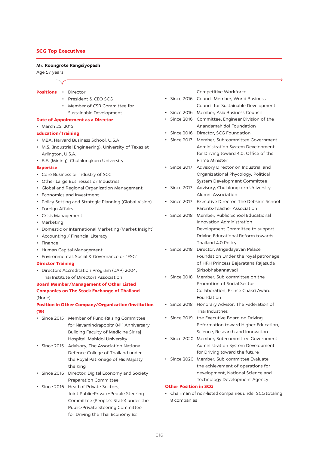# **SCG Top Executives**

#### Mr. Roongrote Rangsiyopash

#### Age 57 years

- Positions . Director
	- President & CEO SCG
	- Member of CSR Committee for Sustainable Development

# **Date of Appointment as a Director**

• March 25, 2015

#### **Education/Training**

- MBA, Harvard Business School, U.S.A
- M.S. (Industrial Engineering), University of Texas at Arlington, U.S.A.
- B.E. (Mining), Chulalongkorn University
- **Expertise**
- Core Business or Industry of SCG
- Other Large Businesses or Industries
- Global and Regional Organization Management
- Economics and Investment
- Policy Setting and Strategic Planning (Global Vision)
- Foreign Affairs
- Crisis Management
- Marketing
- Domestic or International Marketing (Market Insight)
- Accounting / Financial Literacy
- $\cdot$  Finance
- Human Capital Management
- Environmental, Social & Governance or "ESG"
- **Director Training**
- Directors Accreditation Program (DAP) 2004, Thai Institute of Directors Association

# **Board Member/Management of Other Listed Companies on The Stock Exchange of Thailand**  $(None)$

# **Position in Other Company/Organization/Institution**  $(19)$

- Since 2015 Member of Fund-Raising Committee for Navamindrapobitr 84<sup>th</sup> Anniversary **Building Faculty of Medicine Siriraj** Hospital, Mahidol University
- Since 2015 Advisory, The Association National Defence College of Thailand under the Royal Patronage of His Majesty the King
- Since 2016 Director, Digital Economy and Society **Preparation Committee**
- Since 2016 Head of Private Sectors. Joint Public-Private-People Steering Committee (People's State) under the Public-Private Steering Committee for Driving the Thai Economy E2

Competitive Workforce

- · Since 2016 Council Member, World Business Council for Sustainable Development
- · Since 2016 Member, Asia Business Council
- Since 2016 Committee, Engineer Division of the Anandamahidol Foundation
- · Since 2016 Director, SCG Foundation
- · Since 2017 Member, Sub-committee Government Administration System Development for Driving toward 4.0, Office of the Prime Minister
- Since 2017 Advisory Director on Industrial and Organizational Phycology, Political System Development Committee
- Advisory, Chulalongkorn University • Since 2017 Alumni Association
- Since 2017 Executive Director, The Debsirin School Parents-Teacher Association
- · Since 2018 Member, Public School Educational Innovation Administration Development Committee to support Driving Educational Reform towards Thailand 4.0 Policy
- · Since 2018 Director, Mrigadayavan Palace Foundation Under the royal patronage of HRH Princess Bejaratana Rajasuda Sirisobhabannavadi
- Since 2018 Member, Sub-committee on the Promotion of Social Sector Collaboration, Prince Chakri Award Foundation
- Since 2018 Honorary Advisor, The Federation of Thai Industries
- Since 2019 the Executive Board on Driving Reformation toward Higher Education, Science, Research and Innovation
- · Since 2020 Member, Sub-committee Government Administration System Development for Driving toward the future
- · Since 2020 Member, Sub-committee Evaluate the achievement of operations for development, National Science and Technology Development Agency

#### **Other Position in SCG**

• Chairman of non-listed companies under SCG totaling 8 companies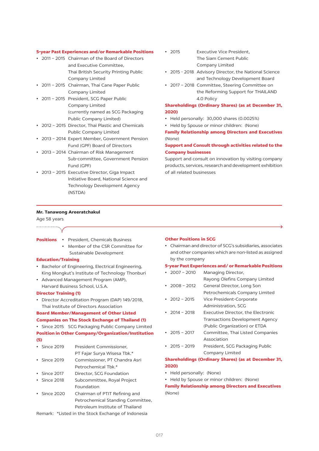#### **5-year Past Experiences and/or Remarkable Positions**

- 2011 2015 Chairman of the Board of Directors and Executive Committee. Thai British Security Printing Public Company Limited
- 2011 2015 Chairman, Thai Cane Paper Public Company Limited
- 2011 2015 President, SCG Paper Public Company Limited (currently named as SCG Packaging Public Company Limited)
- 2012 2015 Director, Thai Plastic and Chemicals Public Company Limited
- 2013 2014 Expert Member, Government Pension Fund (GPF) Board of Directors
- 2013 2014 Chairman of Risk Management Sub-committee, Government Pension Fund (GPF)
- · 2013 2015 Executive Director, Giga Impact Initiative Board, National Science and Technology Development Agency (NSTDA)
- $.7015$ Executive Vice President The Siam Cement Public Company Limited
- 2015 2018 Advisory Director, the National Science and Technology Development Board
- 2017 2018 Committee, Steering Committee on the Reforming Support for THAILAND 4.0 Policy

# **Shareholdings (Ordinary Shares) (as at December 31,** 2020)

- Held personally: 30,000 shares (0.0025%)
- Held by Spouse or minor children: (None)

**Family Relationship among Directors and Executives** (None)

# Support and Consult through activities related to the **Company businesses**

Support and consult on innovation by visiting company products, services, research and development exhibition of all related businesses

#### Mr. Tanawong Areeratchakul

Age 58 years

| <b>Positions</b> |  | President, Chemicals Business |  |
|------------------|--|-------------------------------|--|
|                  |  |                               |  |

• Member of the CSR Committee for Sustainable Development

#### **Education/Training**

- Bachelor of Engineering, Electrical Engineering, King Mongkut's Institute of Technology Thonburi
- Advanced Management Program (AMP), Harvard Business School, U.S.A.

#### **Director Training (1)**

• Director Accreditation Program (DAP) 149/2018, Thai Institute of Directors Association

# **Board Member/Management of Other Listed**

**Companies on The Stock Exchange of Thailand (1)** • Since 2015 SCG Packaging Public Company Limited

**Position in Other Company/Organization/Institution**  $(5)$ 

- $\cdot$  Since 2019 President Commissioner,
- PT Fajar Surya Wisesa Tbk.\*  $\cdot$  Since 2019 Commissioner, PT Chandra Asri
- Petrochemical Tbk.\*
- $\cdot$  Since 2017 Director, SCG Foundation

• Since 2018 Subcommittee, Royal Project Foundation

• Since 2020 Chairman of PTIT Refining and Petrochemical Standing Committee. Petroleum Institute of Thailand

Remark: \*Listed in the Stock Exchange of Indonesia

#### **Other Positions in SCG**

• Chairman and director of SCG's subsidiaries, associates and other companies which are non-listed as assigned by the company

#### 5-year Past Experiences and/or Remarkable Positions

 $\cdot$  2007 - 2010 Managing Director. Rayong Olefins Company Limited  $\cdot$  2008 - 2012 General Director, Long Son Petrochemicals Company Limited •  $2012 - 2015$ Vice President-Corporate Administration, SCG  $\cdot$  2014 - 2018 Executive Director, the Electronic **Transactions Development Agency** (Public Organization) or ETDA  $\cdot$  2015 - 2017 Committee, Thai Listed Companies Association  $\cdot$  2015 - 2019 President, SCG Packaging Public Company Limited

# **Shareholdings (Ordinary Shares) (as at December 31,** 2020)

- Held personally: (None)
- Held by Spouse or minor children: (None)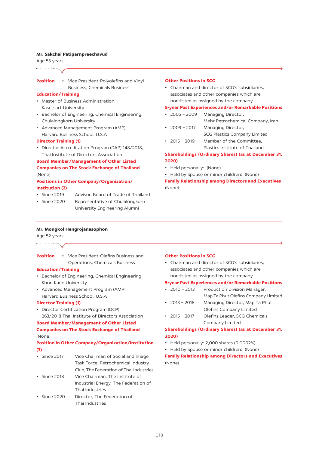#### Mr. Sakchai Patiparnpreechavud

Age 53 years

#### **Position**

• Vice President-Polvolefins and Vinyl **Business, Chemicals Business** 

#### **Education/Training**

- Master of Business Administration. Kasetsart University
- Bachelor of Engineering, Chemical Engineering, Chulalongkorn University
- Advanced Management Program (AMP) Harvard Business School, U.S.A

#### **Director Training (1)**

• Director Accreditation Program (DAP) 148/2018, Thai Institute of Directors Association

# **Board Member/Management of Other Listed**

# **Companies on The Stock Exchange of Thailand** (None)

# **Positions in Other Company/Organization/ Institution (2)**

- Since 2019 Advisor, Board of Trade of Thailand
- Since 2020 Representative of Chulalongkorn University Engineering Alumni

#### Other Positions in SCG

• Chairman and director of SCG's subsidiaries. associates and other companies which are non-listed as assigned by the company

#### **5-year Past Experiences and/or Remarkable Positions**

- $\cdot$  2005 2009 Managing Director,
- Mehr Petrochemical Company, Iran  $\cdot$  2009 - 2017 Managing Director,
	- **SCG Plastics Company Limited**
- $\cdot$  2015 2019 Member of the Committee. Plastics Institute of Thailand

# **Shareholdings (Ordinary Shares) (as at December 31,** 2020)

- Held personally: (None)
- Held by Spouse or minor children: (None)

**Family Relationship among Directors and Executives** (None)

#### Mr. Mongkol Hengrojanasophon

Age 52 years 

• Vice President-Olefins Business and **Position Operations, Chemicals Business** 

#### **Education/Training**

- Bachelor of Engineering, Chemical Engineering, Khon Kaen University
- Advanced Management Program (AMP) Harvard Business School, U.S.A

#### **Director Training (1)**

• Director Certification Program (DCP), 263/2018 Thai Institute of Directors Association

# **Board Member/Management of Other Listed**

# **Companies on The Stock Exchange of Thailand**  $(None)$

# **Position in Other Company/Organization/Institution**  $(3)$

- $\cdot$  Since 2017 Vice Chairman of Social and Image Task Force, Petrochemical Industry Club, The Federation of Thai Industries
- $\cdot$  Since 2018 Vice Chairman, The Institute of Industrial Energy, The Federation of Thai Industries
- $\cdot$  Since 2020 Director. The Federation of Thai Industries

#### **Other Positions in SCG**

• Chairman and director of SCG's subsidiaries, associates and other companies which are non-listed as assigned by the company

#### **5-year Past Experiences and/or Remarkable Positions**

- $\cdot$  2010 2013 Production Division Manager,
- Map Ta Phut Olefins Company Limited  $\cdot$  2013 - 2018 Managing Director, Map Ta Phut
- Olefins Company Limited
- $\cdot$  2015 2017 Olefins Leader, SCG Chemicals Company Limited

# **Shareholdings (Ordinary Shares) (as at December 31,** 2020)

- Held personally: 2,000 shares (0.0002%)
- Held by Spouse or minor children: (None)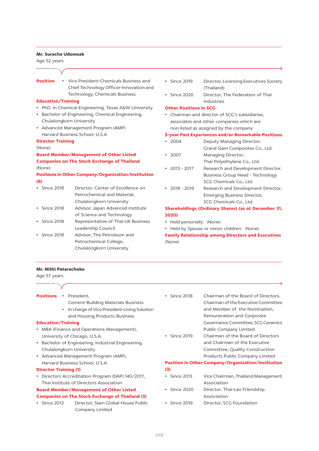#### Mr. Suracha Udomsak

Age 52 years

# **Position**

• Vice President-Chemicals Business and Chief Technology Officer-Innovation and Technology, Chemicals Business

#### **Education/Training**

- PhD. In Chemical Engineering, Texas A&W University
- Bachelor of Engineering, Chemical Engineering, Chulalongkorn University
- Advanced Management Program (AMP) Harvard Business School, U.S.A

#### **Director Training**

(None)

# **Board Member/Management of Other Listed Companies on The Stock Exchange of Thailand** (None)

# **Positions in Other Company/Organization/Institution**  $(6)$

- · Since 2018 Director, Center of Excellence on Petrochemical and Material. Chulalongkorn University
- Since 2018 Advisor, Japan Advanced Institute of Science and Technology
- Since 2018 Representative of Thai-UK Business Leadership Council
- Since 2018 Advisor, The Petroleum and Petrochemical College, Chulalongkorn University
- $\cdot$  Since 2019 Director, Licensing Executives Society (Thailand)
- Since 2020 Director, The Federation of Thai Industries

#### **Other Positions in SCG**

• Chairman and director of SCG's subsidiaries, associates and other companies which are non-listed as assigned by the company

#### **5-year Past Experiences and/or Remarkable Positions**

- $2004$ Deputy Managing Director,
- Grand Siam Composites Co., Ltd.  $\cdot$  2007 Managing Director,
- Thai Polyethylene Co., Ltd.
- $\cdot$  2013 2017 Research and Development Director, **Business Group Head - Technology** SCG Chemicals Co., Ltd.
- Research and Development Director,  $\cdot$  2018 - 2019 Emerging Business Director, SCG Chemicals Co., Ltd.

# **Shareholdings (Ordinary Shares) (as at December 31,** 2020)

- Held personally: (None)
- Held by Spouse or minor children: (None)

**Family Relationship among Directors and Executives** (None)

#### **Mr. Nithi Patarachoke**

Age 57 years

...................

Positions · President,

- **Cement-Building Materials Business**
- In charge of Vice President-Living Solution and Housing Products Business

#### **Education/Training**

- MBA (Finance and Operations Management), University of Chicago, U.S.A.
- Bachelor of Engineering, Industrial Engineering, Chulalongkorn University
- Advanced Management Program (AMP), Harvard Business School, U.S.A.

#### **Director Training (1)**

• Directors Accreditation Program (DAP) 140/2017, Thai Institute of Directors Association

## **Board Member/Management of Other Listed**

#### **Companies on The Stock Exchange of Thailand (3)**

• Since 2012 Director, Siam Global House Public Company Limited

- Since 2018 Chairman of the Board of Directors, Chairman of the Executive Committee and Member of the Nomination, Remuneration and Corporate Governance Committee, SCG Ceramics **Public Company Limited**
- $\cdot$  Since 2019 Chairman of the Board of Directors and Chairman of the Executive Committee, Quality Construction Products Public Company Limited

#### **Position in Other Company/Organization/Institution**  $(3)$

- $\cdot$  Since 2013 Vice Chairman, Thailand Management Association
- Since 2020 Director, Thai-Lao Friendship Association
- · Since 2019 Director, SCG Foundation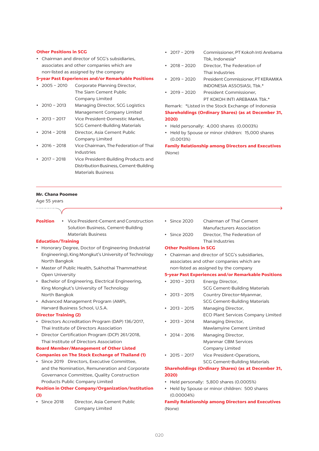#### Other Positions in SCG

• Chairman and director of SCG's subsidiaries. associates and other companies which are non-listed as assigned by the company

# 5-year Past Experiences and/or Remarkable Positions

| $\cdot$ 2005 - 2010 | Corporate Planning Director,     |
|---------------------|----------------------------------|
|                     | The Siam Cement Public           |
|                     | Company Limited                  |
| • 2010 – 2013       | Managing Director, SCG Logistics |
|                     | Management Company Limited       |

 $\cdot$  2013 - 2017 Vice President-Domestic Market, **SCG Cement-Building Materials** 

- $\cdot$  2014 2018 Director, Asia Cement Public Company Limited
- $\cdot$  2016 2018 Vice Chairman, The Federation of Thai Industries
- $\cdot$  2017 2018 Vice President-Building Products and Distribution Business, Cement-Building **Materials Business**

#### **Mr. Chana Poomee**

Age 55 years

# .....................

• Vice President-Cement and Construction **Position** Solution Business, Cement-Building **Materials Business** 

#### **Education/Training**

- Honorary Degree, Doctor of Engineering (Industrial Engineering), King Mongkut's University of Technology North Bangkok
- Master of Public Health, Sukhothai Thammathirat Open University
- Bachelor of Engineering, Electrical Engineering, King Mongkut's University of Technology North Bangkok
- Advanced Management Program (AMP), Harvard Business School, U.S.A.

# **Director Training (2)**

- Directors Accreditation Program (DAP) 136/2017, Thai Institute of Directors Association
- Director Certification Program (DCP) 261/2018, Thai Institute of Directors Association

#### **Board Member/Management of Other Listed Companies on The Stock Exchange of Thailand (1)**

· Since 2019 Directors, Executive Committee, and the Nomination, Remuneration and Corporate Governance Committee, Quality Construction Products Public Company Limited

# **Position in Other Company/Organization/Institution**  $(3)$

• Since 2018 Director, Asia Cement Public Company Limited

- $\cdot$  2017 2019 Commissioner, PT Kokoh Inti Arebama Tbk. Indonesia\*
- $\cdot$  2018 2020 Director, The Federation of Thai Industries
- President Commissioner, PT KERAMIKA  $.7019 - 2020$ INDONESIA ASSOSIASI, Tbk.\*
- $.7019 2020$ President Commissioner. PT KOKOH INTI AREBAMA Tbk.\*

Remark: \*Listed in the Stock Exchange of Indonesia **Shareholdings (Ordinary Shares) (as at December 31,** 2020)

- Held personally: 4,000 shares (0.0003%)
- Held by Spouse or minor children: 15,000 shares  $(0.0013%)$

**Family Relationship among Directors and Executives** (None)

- Since 2020 Chairman of Thai Cement Manufacturers Association
- Since 2020 Director, The Federation of Thai Industries

#### **Other Positions in SCG**

• Chairman and director of SCG's subsidiaries. associates and other companies which are non-listed as assigned by the company

#### **5-year Past Experiences and/or Remarkable Positions**

 $\cdot$  2010 - 2013 Energy Director, **SCG Cement-Building Materials**  $\cdot$  2013 - 2015 Country Director-Myanmar, **SCG Cement-Building Materials**  $\cdot$  2013 - 2015 Managing Director, **ECO Plant Services Company Limited**  $\cdot$  2013 - 2014 Managing Director, Mawlamyine Cement Limited  $\cdot$  2014 - 2016 Managing Director, **Myanmar CBM Services** Company Limited  $\cdot$  2015 - 2017 Vice President-Operations, **SCG Cement-Building Materials** 

#### **Shareholdings (Ordinary Shares) (as at December 31,** 2020)

- Held personally: 5,800 shares (0.0005%)
- Held by Spouse or minor children: 500 shares  $(0.00004%)$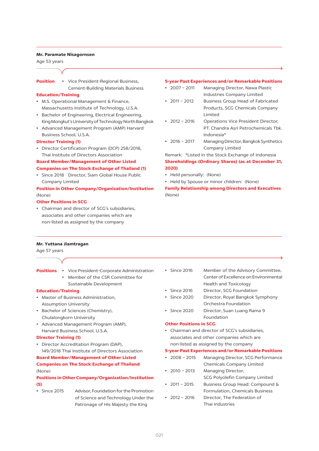#### Mr. Paramate Nisagornsen

Age 53 years

#### **Position**

• Vice President-Regional Business, **Cement-Building Materials Business** 

# **Education/Training**

- M.S. Operational Management & Finance, Massachusetts Institute of Technology, U.S.A.
- Bachelor of Engineering, Electrical Engineering, King Mongkut's University of Technology North Bangkok
- Advanced Management Program (AMP) Harvard Business School, U.S.A.

#### **Director Training (1)**

• Director Certification Program (DCP) 258/2018, Thai Institute of Directors Association

# **Board Member/Management of Other Listed**

#### **Companies on The Stock Exchange of Thailand (1)**

• Since 2018 Director, Siam Global House Public Company Limited

# **Position in Other Company/Organization/Institution** (None)

## Other Positions in SCG

• Chairman and director of SCG's subsidiaries, associates and other companies which are non-listed as assigned by the company

#### **5-year Past Experiences and/or Remarkable Positions**

- $2007 2011$ Managing Director, Nawa Plastic Industries Company Limited
- $\cdot$  2011 2012 **Business Group Head of Fabricated** Products, SCG Chemicals Company Limited
- $\cdot$  2012 2016 Operations Vice President Director, PT. Chandra Asri Petrochemicals Tbk.  $Indonecia*$
- $\cdot$  2016 2017 Managing Director, Bangkok Synthetics Company Limited

Remark: \*Listed in the Stock Exchange of Indonesia **Shareholdings (Ordinary Shares) (as at December 31,** 2020)

- Held personally: (None)
- Held by Spouse or minor children: (None)

**Family Relationship among Directors and Executives**  $(None)$ 

#### Mr. Yuttana Jiamtragan

# Age 57 years

# .................

- **Positions** Vice President-Corporate Administration
	- Member of the CSR Committee for Sustainable Development

#### **Education/Training**

- Master of Business Administration. **Assumption University**
- Bachelor of Sciences (Chemistry), Chulalongkorn University
- Advanced Management Program (AMP), Harvard Business School, U.S.A.

#### **Director Training (1)**

• Director Accreditation Program (DAP), 149/2018 Thai Institute of Directors Association **Board Member/Management of Other Listed** 

# **Companies on The Stock Exchange of Thailand** (None)

# **Positions in Other Company/Organization/Institution**  $(5)$

• Since 2015 Advisor, Foundation for the Promotion of Science and Technology Under the Patronage of His Majesty the King

- Since 2016 Member of the Advisory Committee. Center of Excellence on Environmental **Health and Toxicology**
- $\cdot$  Since 2016 Director, SCG Foundation
- · Since 2020 Director, Royal Bangkok Symphony Orchestra Foundation
- $\cdot$  Since 2020 Director, Suan Luang Rama 9 Foundation

#### **Other Positions in SCG**

• Chairman and director of SCG's subsidiaries. associates and other companies which are non-listed as assigned by the company

#### 5-year Past Experiences and/or Remarkable Positions

- $.7008 2015$ Managing Director, SCG Performance Chemicals Company Limited
- $\cdot$  2010 2013 Managing Director, SCG Polyolefin Company Limited
- $2011 2015$ Business Group Head: Compound & Formulation, Chemicals Business
- $\cdot$  2012 2016 Director. The Federation of Thai Industries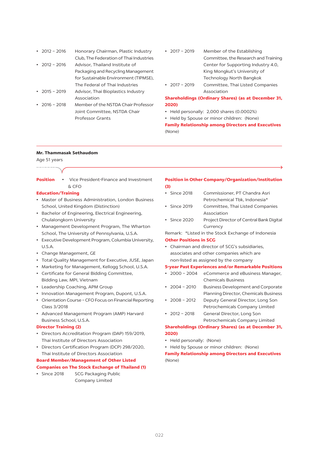| • $2012 - 2016$ | Honorary Chairman, Plastic Industry     |
|-----------------|-----------------------------------------|
|                 | Club, The Federation of Thai Industries |

| • 2012 – 2016 | Advisor. Thailand Institute of        |
|---------------|---------------------------------------|
|               | Packaging and Recycling Management    |
|               | for Sustainable Environment (TIPMSE). |
|               | The Federal of Thai Industries        |

- $\cdot$  2015 2019 Advisor, Thai Bioplastics Industry Association
- $\cdot$  2016 2018 Member of the NSTDA Chair Professor Joint Committee, NSTDA Chair Professor Grants
- $\cdot$  2017 2019 Member of the Establishing Committee, the Research and Training Center for Supporting Industry 4.0, King Mongkut's University of Technology North Bangkok
- Committee, Thai Listed Companies  $.7017 - 2019$ Association

# **Shareholdings (Ordinary Shares) (as at December 31,** 2020)

- Held personally: 2,000 shares (0.0002%)
- Held by Spouse or minor children: (None)

**Family Relationship among Directors and Executives** (None)

#### Mr. Thammasak Sethaudom

#### Age 51 years ...................

• Vice President-Finance and Investment **Position**  $x, CED$ 

# **Education/Training**

- Master of Business Administration. London Business School, United Kingdom (Distinction)
- Bachelor of Engineering, Electrical Engineering, Chulalongkorn University
- Management Development Program, The Wharton School, The University of Pennsylvania, U.S.A.
- Executive Development Program, Columbia University,  $115A$
- Change Management, GE
- Total Quality Management for Executive, JUSE, Japan
- Marketing for Management, Kellogg School, U.S.A.
- Certificate for General Bidding Committee, Bidding Law, MPI, Vietnam
- Leadership Coaching, APM Group
- Innovation Management Program, Dupont, U.S.A.
- Orientation Course CFO Focus on Financial Reporting Class 3/2018
- Advanced Management Program (AMP) Harvard Business School, U.S.A.

#### **Director Training (2)**

- Directors Accreditation Program (DAP) 159/2019, Thai Institute of Directors Association
- Directors Certification Program (DCP) 298/2020, Thai Institute of Directors Association

#### **Board Member/Management of Other Listed**

- **Companies on The Stock Exchange of Thailand (1)**
- Since 2018 **SCG Packaging Public** Company Limited

#### **Position in Other Company/Organization/Institution**  $(3)$

- $\cdot$  Since 2018 Commissioner, PT Chandra Asri Petrochemical Tbk. Indonesia\*
- Since 2019 Committee, Thai Listed Companies Association
- Since 2020 Project Director of Central Bank Digital Currency

Remark: \*Listed in the Stock Exchange of Indonesia Other Positions in SCC

• Chairman and director of SCG's subsidiaries, associates and other companies which are non-listed as assigned by the company

# **5-year Past Experiences and/or Remarkable Positions**

- $\cdot$  2000 2004 eCommerce and eBusiness Manager, **Chemicals Business**
- $\cdot$  2004 2010 **Business Development and Corporate** Planning Director, Chemicals Business
- $\cdot$  2008 2012 Deputy General Director, Long Son Petrochemicals Company Limited
- General Director, Long Son  $\cdot$  2012 - 2018 Petrochemicals Company Limited

# **Shareholdings (Ordinary Shares) (as at December 31,** 2020)

- Held personally: (None)
- Held by Spouse or minor children: (None)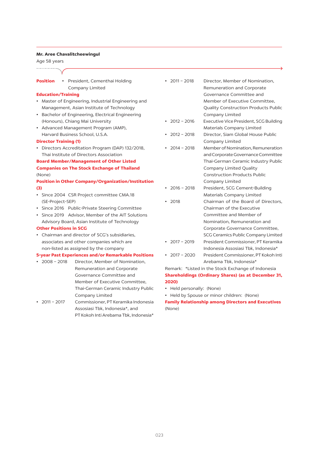#### Mr. Aree Chavalitcheewingul

Age 58 years

Posi

| tion | • President, Cementhai Holding |
|------|--------------------------------|
|      | Company Limited                |

#### **Education/Training**

- Master of Engineering, Industrial Engineering and Management, Asian Institute of Technology
- Bachelor of Engineering, Electrical Engineering (Honours), Chiang Mai University
- Advanced Management Program (AMP). Harvard Business School, U.S.A.

#### **Director Training (1)**

• Directors Accreditation Program (DAP) 132/2018, Thai Institute of Directors Association

# **Board Member/Management of Other Listed Companies on The Stock Exchange of Thailand** (None)

# **Position in Other Company/Organization/Institution**  $(3)$

- · Since 2004 CSR Project committee CMA.18 (SE-Project-SEP)
- Since 2016 Public-Private Steering Committee
- Since 2019 Advisor, Member of the AIT Solutions Advisory Board, Asian Institute of Technology

#### **Other Positions in SCG**

• Chairman and director of SCG's subsidiaries, associates and other companies which are non-listed as assigned by the company

#### **5-year Past Experiences and/or Remarkable Positions**

- $\cdot$  2008 2018 Director. Member of Nomination. Remuneration and Corporate Governance Committee and Member of Executive Committee, Thai-German Ceramic Industry Public Company Limited
- $\cdot$  2011 2017 Commissioner, PT Keramika Indonesia Assosiasi Tbk, Indonesia\*, and PT Kokoh Inti Arebama Tbk, Indonesia\*
- $\cdot$  2011 2018 Director, Member of Nomination, Remuneration and Corporate Governance Committee and Member of Executive Committee. **Quality Construction Products Public** Company Limited  $.7012 - 2016$ Executive Vice President, SCG Building Materials Company Limited  $\cdot$  2012 - 2018 Director, Siam Global House Public Company Limited  $\cdot$  2014 - 2018 Member of Nomination, Remuneration and Corporate Governance Committee Thai-German Ceramic Industry Public Company Limited Ouality **Construction Products Public** Company Limited  $\cdot$  2016 - 2018 President, SCG Cement-Building Materials Company Limited Chairman of the Board of Directors,  $• 2018$ Chairman of the Executive Committee and Member of Nomination, Remuneration and Corporate Governance Committee. SCG Ceramics Public Company Limited
- $\cdot$  2017 2019 President Commissioner, PT Keramika Indonesia Assosiasi Tbk. Indonesia\*
- $\cdot$  2017 2020 President Commissioner, PT Kokoh Inti Arebama Tbk. Indonesia\*

Remark: \*Listed in the Stock Exchange of Indonesia **Shareholdings (Ordinary Shares) (as at December 31,** 2020)

- Held personally: (None)
- Held by Spouse or minor children: (None)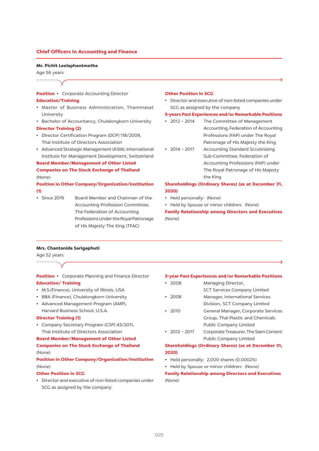#### **Chief Officers in Accounting and Finance**

#### Mr. Pichit Leelaphantmetha

# Age 56 years

. . . . . . . . . . . . . . . . . . . .

# **Position •** Corporate Accounting Director **Education/Training**

- Master of Business Administration, Thammasat University
- Bachelor of Accountancy, Chulalongkorn University **Director Training (2)**
- Director Certification Program (DCP) 118/2009, Thai Institute of Directors Association
- Advanced Strategic Management (ASM), International Institute for Management Development, Switzerland

#### **Board Member/Management of Other Listed**

# **Companies on The Stock Exchange of Thailand** (None)

# **Position in Other Company/Organization/Institution**  $(1)$

• Since 2019 Board Member and Chairman of the Accounting Profession Committee, The Federation of Accounting Professions Under the Royal Patronage of His Majesty The King (TFAC)

#### **Other Position in SCG**

• Director and executive of non-listed companies under SCG as assigned by the company

# 5-years Past Experiences and/or Remarkable Positions

- $\cdot$  2012 2014 The Committee of Management Accounting, Federation of Accounting Professions (FAP) under The Royal Patronage of His Majesty the King
- $2014 2017$ **Accounting Standard Scrutinizing** Sub-Committee, Federation of Accounting Professions (FAP) under The Royal Patronage of His Majesty the King

## **Shareholdings (Ordinary Shares) (as at December 31,** 2020)

- Held personally: (None)
- Held by Spouse or minor children: (None)

**Family Relationship among Directors and Executives** (None)

#### Mrs. Chantanida Sarigaphuti

Age 52 years

Position • Corporate Planning and Finance Director **Education/Training** 

- M.S.(Finance), University of Illinois, USA
- BBA (Finance), Chulalongkorn University
- Advanced Management Program (AMP), Harvard Business School, U.S.A.

# **Director Training (1)**

• Company Secretary Program (CSP) 43/2011, Thai Institute of Directors Association

# **Board Member/Management of Other Listed Companies on The Stock Exchange of Thailand**

#### (None)

# **Position in Other Company/Organization/Institution**  $(None)$

## Other Position in SCG

• Director and executive of non-listed companies under SCG as assigned by the company

#### 5-year Past Experiences and/or Remarkable Positions

| $\cdot$ 2008 | Managing Director,                  |
|--------------|-------------------------------------|
|              | <b>SCT Services Company Limited</b> |
| $\cdot$ 2008 | Manager, International Services     |
|              | Division, SCT Company Limited       |
| $\cdot$ 2010 | General Manager, Corporate Services |
|              | Group, Thai Plastic and Chemicals   |
|              | <b>Public Company Limited</b>       |

•  $2012 - 2017$ Corporate Treasurer, The Siam Cement **Public Company Limited** 

# **Shareholdings (Ordinary Shares) (as at December 31,** 2020)

- Held personally: 2,000 shares (0.0002%)
- Held by Spouse or minor children: (None)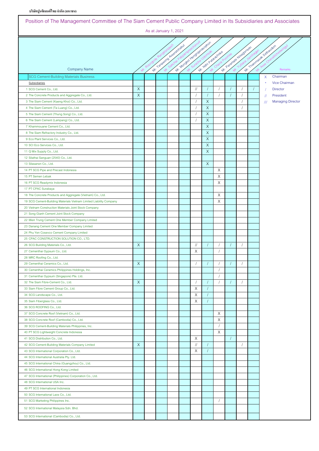**บริษัทปูนซิเมนต์ไทยจากํ ัด (มหาชน)**

| Position of The Management Committee of The Siam Cement Public Company Limited in Its Subsidiaries and Associates |          |                              |                             |               |                       |          |                              |                                 |
|-------------------------------------------------------------------------------------------------------------------|----------|------------------------------|-----------------------------|---------------|-----------------------|----------|------------------------------|---------------------------------|
|                                                                                                                   |          | As at January 1, 2021        |                             |               |                       |          |                              |                                 |
|                                                                                                                   |          |                              |                             |               |                       |          |                              |                                 |
|                                                                                                                   |          |                              |                             |               |                       |          |                              |                                 |
|                                                                                                                   |          | Mr. 1 anaword Area dictional | M. Mordio Neerd own despter |               | M. Niltri Patarachoke |          | MY . Patriciales Hispanieles | Mr. Thammasking attractor       |
|                                                                                                                   |          |                              |                             |               |                       |          |                              |                                 |
|                                                                                                                   |          |                              |                             |               |                       |          |                              |                                 |
| <b>Company Name</b>                                                                                               |          |                              |                             |               |                       |          |                              | Remarks                         |
| <b>SCG Cement-Building Materials Business</b>                                                                     |          |                              |                             |               |                       |          |                              | X<br>Chairman                   |
| Subsidiaries                                                                                                      |          |                              |                             |               |                       |          |                              | Vice Chairman<br>$\star$        |
| 1 SCG Cement Co., Ltd.                                                                                            | X        |                              |                             | $\frac{1}{2}$ |                       |          |                              | <b>Director</b>                 |
| 2 The Concrete Products and Aggregate Co., Ltd.                                                                   | X        |                              |                             |               |                       |          |                              | President<br>$^{\prime\prime}$  |
| 3 The Siam Cement (Kaeng Khoi) Co., Ltd.                                                                          |          |                              |                             |               | X<br>$\times$         |          |                              | <b>Managing Director</b><br>/// |
| 4 The Siam Cement (Ta Luang) Co., Ltd.                                                                            |          |                              |                             |               | $\times$              |          |                              |                                 |
| 5 The Siam Cement (Thung Song) Co., Ltd.                                                                          |          |                              |                             |               | X                     |          |                              |                                 |
| 6 The Siam Cement (Lampang) Co., Ltd.<br>7 Khammouane Cement Co., Ltd.                                            |          |                              |                             |               | $\mathsf{X}$          |          |                              |                                 |
|                                                                                                                   |          |                              |                             |               | $\mathsf{X}$          |          |                              |                                 |
| 8 The Siam Refractory Industry Co., Ltd.<br>9 Eco Plant Services Co., Ltd.                                        |          |                              |                             |               | $\times$              |          |                              |                                 |
| 10 SCI Eco Services Co., Ltd.                                                                                     |          |                              |                             |               | $\times$              |          |                              |                                 |
| 11 Q Mix Supply Co., Ltd.                                                                                         |          |                              |                             |               | X                     |          |                              |                                 |
| 12 Silathai Sanguan (2540) Co., Ltd.                                                                              |          |                              |                             |               |                       |          |                              |                                 |
| 13 Silasanon Co., Ltd.                                                                                            |          |                              |                             |               | X                     |          |                              |                                 |
| 14 PT SCG Pipe and Precast Indonesia                                                                              |          |                              |                             |               |                       | X        |                              |                                 |
| 15 PT Semen Lebak                                                                                                 |          |                              |                             |               |                       | X        |                              |                                 |
| 16 PT SCG Readymix Indonesia                                                                                      |          |                              |                             |               |                       | X        |                              |                                 |
| 17 PT CPAC Surabaya                                                                                               |          |                              |                             |               |                       |          |                              |                                 |
| 18 The Concrete Products and Aggregate (Vietnam) Co., Ltd.                                                        |          |                              |                             |               |                       | X        |                              |                                 |
| 19 SCG Cement-Building Materials Vietnam Limited Liability Company                                                |          |                              |                             |               |                       | Χ        |                              |                                 |
| 20 Vietnam Construction Materials Joint Stock Company                                                             |          |                              |                             |               |                       |          |                              |                                 |
| 21 Song Gianh Cement Joint Stock Company                                                                          |          |                              |                             |               |                       |          |                              |                                 |
| 22 Mien Trung Cement One Member Company Limited                                                                   |          |                              |                             |               |                       |          |                              |                                 |
| 23 Danang Cement One Member Company Limited                                                                       |          |                              |                             |               |                       |          |                              |                                 |
| 24 Phu Yen Cosevco Cement Company Limited                                                                         |          |                              |                             |               |                       |          |                              |                                 |
| 25 CPAC CONSTRUCTION SOLUTION CO., LTD.                                                                           |          |                              |                             |               |                       |          |                              |                                 |
| 26 SCG Building Materials Co., Ltd.                                                                               | X        |                              |                             | $\frac{1}{2}$ |                       |          |                              |                                 |
| 27 Cementhai Gypsum Co., Ltd.                                                                                     |          |                              |                             | X             |                       |          |                              |                                 |
| 28 MRC Roofing Co., Ltd.                                                                                          |          |                              |                             |               |                       |          |                              |                                 |
| 29 Cementhai Ceramics Co., Ltd.                                                                                   | X        |                              |                             |               |                       |          |                              |                                 |
| 30 Cementhai Ceramics Philippines Holdings, Inc.                                                                  |          |                              |                             |               |                       | $\prime$ |                              |                                 |
| 31 Cementhai Gypsum (Singapore) Pte. Ltd.                                                                         |          |                              |                             |               |                       |          |                              |                                 |
| 32 The Siam Fibre-Cement Co., Ltd.                                                                                | $\times$ |                              |                             |               |                       |          |                              |                                 |
| 33 Siam Fibre Cement Group Co., Ltd.                                                                              |          |                              |                             | X             |                       |          |                              |                                 |
| 34 SCG Landscape Co., Ltd.                                                                                        |          |                              |                             | Χ             |                       |          |                              |                                 |
| 35 Siam Fiberglass Co., Ltd.                                                                                      |          |                              |                             | Χ             |                       |          |                              |                                 |
| 36 SCG ROOFING Co., Ltd.                                                                                          |          |                              |                             |               |                       |          |                              |                                 |
| 37 SCG Concrete Roof (Vietnam) Co., Ltd.                                                                          |          |                              |                             |               |                       | X        |                              |                                 |
| 38 SCG Concrete Roof (Cambodia) Co., Ltd.                                                                         |          |                              |                             |               |                       | X        |                              |                                 |
| 39 SCG Cement-Building Materials Philippines, Inc.                                                                |          |                              |                             |               |                       |          |                              |                                 |
| 40 PT SCG Lightweight Concrete Indonesia                                                                          |          |                              |                             |               |                       | X        |                              |                                 |
| 41 SCG Distribution Co., Ltd.                                                                                     |          |                              |                             | Χ             |                       |          |                              |                                 |
| 42 SCG Cement-Building Materials Company Limited                                                                  | X        |                              |                             | $\frac{1}{2}$ |                       |          |                              |                                 |
| 43 SCG International Corporation Co., Ltd.                                                                        |          |                              |                             | X             |                       |          |                              |                                 |
| 44 SCG International Australia Pty. Ltd.                                                                          |          |                              |                             |               |                       |          |                              |                                 |
| 45 SCG International China (Guangzhou) Co., Ltd.                                                                  |          |                              |                             |               |                       |          |                              |                                 |
| 46 SCG International Hong Kong Limited                                                                            |          |                              |                             |               |                       |          |                              |                                 |
| 47 SCG International (Philippines) Corporation Co., Ltd.                                                          |          |                              |                             |               |                       |          |                              |                                 |
| 48 SCG International USA Inc.                                                                                     |          |                              |                             |               |                       |          |                              |                                 |
| 49 PT SCG International Indonesia                                                                                 |          |                              |                             |               |                       |          |                              |                                 |
| 50 SCG International Laos Co., Ltd.                                                                               |          |                              |                             |               |                       |          |                              |                                 |
| 51 SCG Marketing Philippines Inc.                                                                                 |          |                              |                             |               |                       |          |                              |                                 |
| 52 SCG International Malaysia Sdn. Bhd.                                                                           |          |                              |                             |               |                       |          |                              |                                 |
| 53 SCG International (Cambodia) Co., Ltd.                                                                         |          |                              |                             |               |                       |          |                              |                                 |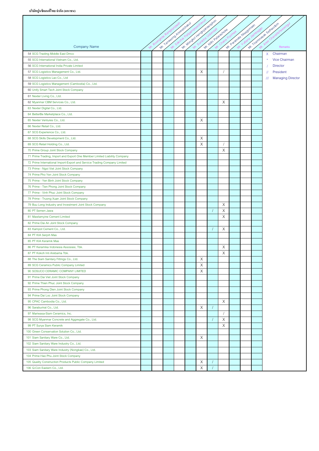r

|                                                                          |  |                                 |  |             | Mr. Mondroll New Orleans assigned |   |                         |  |                                 |
|--------------------------------------------------------------------------|--|---------------------------------|--|-------------|-----------------------------------|---|-------------------------|--|---------------------------------|
|                                                                          |  | Mr. 1 availance di Registration |  |             |                                   |   | Mr. Parentale Headersee |  | Mr. Transmitted Scholarshow     |
|                                                                          |  |                                 |  |             |                                   |   |                         |  |                                 |
|                                                                          |  |                                 |  |             |                                   |   |                         |  |                                 |
| Company Name                                                             |  |                                 |  |             | Mr. Nimi Palatechoke              |   |                         |  | Remarks                         |
| 54 SCG Trading Middle East Dmcc                                          |  |                                 |  |             |                                   |   |                         |  | X Chairman                      |
| 55 SCG International Vietnam Co., Ltd.                                   |  |                                 |  |             |                                   |   |                         |  | Vice Chairman<br>$\star$        |
| 56 SCG International India Private Limited                               |  |                                 |  |             |                                   |   |                         |  | <b>Director</b>                 |
| 57 SCG Logistics Management Co., Ltd.                                    |  |                                 |  | Χ           |                                   |   |                         |  | President<br>$^{\prime\prime}$  |
| 58 SCG Logistics Lao Co., Ltd                                            |  |                                 |  |             |                                   |   |                         |  | <b>Managing Director</b><br>/// |
| 59 SCG Logistics Management (Cambodia) Co., Ltd.                         |  |                                 |  |             |                                   |   |                         |  |                                 |
| 60 Unify Smart Tech Joint Stock Company                                  |  |                                 |  |             |                                   |   |                         |  |                                 |
| 61 Nexter Living Co., Ltd.                                               |  |                                 |  |             |                                   |   |                         |  |                                 |
| 62 Myanmar CBM Services Co., Ltd.                                        |  |                                 |  |             |                                   | X |                         |  |                                 |
| 63 Nexter Digital Co., Ltd.                                              |  |                                 |  |             |                                   |   |                         |  |                                 |
| 64 BetterBe Marketplace Co., Ltd.                                        |  |                                 |  |             |                                   |   |                         |  |                                 |
| 65 Nexter Ventures Co., Ltd.                                             |  |                                 |  | Χ           |                                   |   |                         |  |                                 |
| 66 Nexter Retail Co., Ltd.                                               |  |                                 |  |             |                                   |   |                         |  |                                 |
| 67 SCG Experience Co., Ltd.                                              |  |                                 |  |             |                                   |   |                         |  |                                 |
| 68 SCG Skills Development Co., Ltd.                                      |  |                                 |  | X           |                                   |   |                         |  |                                 |
| 69 SCG Retail Holding Co., Ltd.                                          |  |                                 |  | X           |                                   |   |                         |  |                                 |
| 70 Prime Group Joint Stock Company                                       |  |                                 |  |             |                                   | X |                         |  |                                 |
| 71 Prime Trading, Import and Export One Member Limited Liability Company |  |                                 |  |             |                                   |   |                         |  |                                 |
| 72 Prime International Import-Export and Service Trading Company Limited |  |                                 |  |             |                                   |   |                         |  |                                 |
| 73 Prime - Ngoi Viet Joint Stock Company                                 |  |                                 |  |             |                                   |   |                         |  |                                 |
| 74 Prime Pho Yen Joint Stock Company                                     |  |                                 |  |             |                                   |   |                         |  |                                 |
| 75 Prime - Yen Binh Joint Stock Company                                  |  |                                 |  |             |                                   |   |                         |  |                                 |
| 76 Prime - Tien Phong Joint Stock Company                                |  |                                 |  |             |                                   |   |                         |  |                                 |
| 77 Prime - Vinh Phuc Joint Stock Company                                 |  |                                 |  |             |                                   |   |                         |  |                                 |
| 78 Prime - Truong Xuan Joint Stock Company                               |  |                                 |  |             |                                   |   |                         |  |                                 |
| 79 Buu Long Industry and Investment Joint Stock Company                  |  |                                 |  |             |                                   | X |                         |  |                                 |
| 80 PT Semen Jawa                                                         |  |                                 |  |             |                                   | X |                         |  |                                 |
| 81 Mawlamyine Cement Limited                                             |  |                                 |  |             |                                   | X |                         |  |                                 |
| 82 Prime Dai An Joint Stock Company                                      |  |                                 |  |             |                                   |   |                         |  |                                 |
| 83 Kampot Cement Co., Ltd.                                               |  |                                 |  |             |                                   | X |                         |  |                                 |
| 84 PT KIA Serpih Mas                                                     |  |                                 |  |             |                                   |   |                         |  |                                 |
| 85 PT KIA Keramik Mas                                                    |  |                                 |  |             |                                   |   |                         |  |                                 |
| 86 PT Keramika Indonesia Assosiasi, Tbk.                                 |  |                                 |  |             |                                   | Χ |                         |  |                                 |
| 87 PT Kokoh Inti Arebama Tbk.                                            |  |                                 |  |             |                                   | X |                         |  |                                 |
| 88 The Siam Sanitary Fittings Co., Ltd.                                  |  |                                 |  | X           |                                   |   |                         |  |                                 |
| 89 SCG Ceramics Public Company Limited                                   |  |                                 |  | X           |                                   |   |                         |  |                                 |
| 90 SOSUCO CERAMIC COMPANY LIMITED                                        |  |                                 |  | $\mathsf X$ |                                   |   |                         |  |                                 |
| 91 Prime Dai Viet Joint Stock Company                                    |  |                                 |  |             |                                   |   |                         |  |                                 |
| 92 Prime Thien Phuc Joint Stock Company                                  |  |                                 |  |             |                                   |   |                         |  |                                 |
| 93 Prime Phong Dien Joint Stock Company                                  |  |                                 |  |             |                                   |   |                         |  |                                 |
| 94 Prime Dai Loc Joint Stock Company                                     |  |                                 |  |             |                                   |   |                         |  |                                 |
| 95 CPAC Cambodia Co., Ltd.                                               |  |                                 |  |             |                                   | Χ |                         |  |                                 |
| 96 Saraburirat Co., Ltd.                                                 |  |                                 |  | X           |                                   |   |                         |  |                                 |
| 97 Mariwasa-Siam Ceramics, Inc.                                          |  |                                 |  |             |                                   |   |                         |  |                                 |
| 98 SCG Myanmar Concrete and Aggregate Co., Ltd.                          |  |                                 |  |             |                                   | Χ |                         |  |                                 |
| 99 PT Surya Siam Keramik                                                 |  |                                 |  |             |                                   | X |                         |  |                                 |
| 100 Green Conservation Solution Co., Ltd.                                |  |                                 |  |             |                                   |   |                         |  |                                 |
| 101 Siam Sanitary Ware Co., Ltd.                                         |  |                                 |  | Χ           |                                   |   |                         |  |                                 |
| 102 Siam Sanitary Ware Industry Co., Ltd.                                |  |                                 |  |             |                                   |   |                         |  |                                 |
| 103 Siam Sanitary Ware Industry (Nongkae) Co., Ltd.                      |  |                                 |  |             |                                   |   |                         |  |                                 |
| 104 Prime Hao Phu Joint Stock Company                                    |  |                                 |  |             |                                   |   |                         |  |                                 |
| 105 Quality Construction Products Public Company Limited                 |  |                                 |  | X           |                                   |   |                         |  |                                 |
| 106 Q-Con Eastern Co., Ltd.                                              |  |                                 |  | Χ           |                                   |   |                         |  |                                 |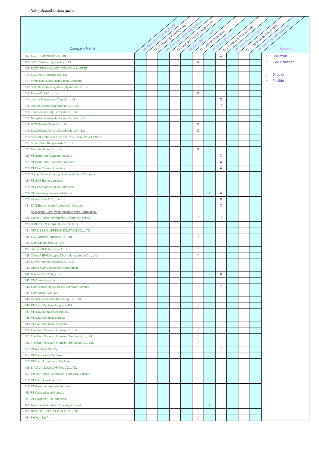|                                                                            |     |  |                              |         | Mr. Mondro Hendromasoptan |        |                         |  |                                  |
|----------------------------------------------------------------------------|-----|--|------------------------------|---------|---------------------------|--------|-------------------------|--|----------------------------------|
|                                                                            |     |  |                              |         |                           |        |                         |  |                                  |
|                                                                            |     |  |                              |         |                           |        |                         |  |                                  |
| <b>Company Name</b>                                                        | Ar. |  | Mr. 1 anaword Area of chased |         | Mr. With Paterake         |        | Mr. Parentale Headqueen |  | Mr. Thammed Sethandom<br>Remarks |
| 107 SCGT Automobile Co., Ltd.                                              |     |  |                              |         |                           | X      |                         |  | Chairman<br>X                    |
| 108 SCG Yamato Express Co., Ltd.                                           |     |  |                              | Χ       |                           |        |                         |  | <b>Vice Chairman</b>             |
| 109 RUDY TECHNOLOGY COMPANY LIMITED                                        |     |  |                              |         |                           |        |                         |  |                                  |
| 110 SCG-PSA Holdings Co., Ltd.                                             |     |  |                              |         |                           |        |                         |  | <b>Director</b>                  |
| 111 Prime Dai Quang Joint Stock Company                                    |     |  |                              |         |                           |        |                         |  | President<br>$\frac{1}{2}$       |
| 112 SCG-Shwe Me Logistics (Myanmar) Co., Ltd.                              |     |  |                              |         |                           |        |                         |  |                                  |
| 113 Panel World Co., Ltd.                                                  |     |  |                              | X       |                           |        |                         |  |                                  |
| 114 Jumbo Barges and Tugs Co., Ltd.                                        |     |  |                              |         |                           | Χ      |                         |  |                                  |
| 115 Jumbo Barges (Cambodia) Co., Ltd.                                      |     |  |                              |         |                           |        |                         |  |                                  |
| 116 Thai Connectivity Terminal Co., Ltd.                                   |     |  |                              |         |                           |        |                         |  |                                  |
| 117 Bangkok Interfreight Forwarding Co., Ltd.                              |     |  |                              |         |                           |        |                         |  |                                  |
| 118 SCG-Sekisui Sales Co., Ltd.                                            |     |  |                              | X       |                           |        |                         |  |                                  |
| 119 SCG HOME RETAIL COMPANY LIMITED                                        |     |  |                              | X       |                           |        |                         |  |                                  |
| 120 SCG-BOONTHAVORN HOLDING COMPANY LIMITED                                |     |  |                              |         |                           |        |                         |  |                                  |
| 121 Smart Build Bangladesh Co., Ltd.                                       |     |  |                              |         |                           |        |                         |  |                                  |
| 122 Mingalar Motor Co., Ltd.                                               |     |  |                              | Χ       |                           |        |                         |  |                                  |
| 123 PT Siam-Indo Gypsum Industry                                           |     |  |                              |         |                           | Χ      |                         |  |                                  |
| 124 PT Siam-Indo Concrete Products                                         |     |  |                              |         |                           | X      |                         |  |                                  |
| 125 PT Pion Quarry Nusantara                                               |     |  |                              |         |                           | Χ      |                         |  |                                  |
| 126 Home Center Quaung Ninh Joint Stock Company                            |     |  |                              |         |                           |        |                         |  |                                  |
| 127 PT SCG Barito Logistics                                                |     |  |                              |         |                           |        |                         |  |                                  |
| 128 PT Renos Marketplace Indonesia                                         |     |  |                              |         |                           |        |                         |  |                                  |
| 129 PT Tambang Semen Sukabumi                                              |     |  |                              |         |                           | X      |                         |  |                                  |
| 130 Kampot Land Co., Ltd.<br>131 SCG-Boonthavorn (Cambodia) Co., Ltd.      |     |  |                              |         |                           | Χ<br>X |                         |  |                                  |
| Associates, Joint Ventures and Other Companies                             |     |  |                              |         |                           |        |                         |  |                                  |
| 132 Global House International Company Limited                             |     |  |                              |         |                           |        |                         |  |                                  |
| 133 BIMOBJECT (THAILAND) CO., LTD.                                         |     |  |                              |         |                           |        |                         |  |                                  |
| 134 CPAC SB&M LIFETIME SOLUTION CO., LTD.                                  |     |  |                              |         |                           |        |                         |  |                                  |
| 135 SCG Nichirei Logistics Co., Ltd.                                       |     |  |                              |         |                           |        |                         |  |                                  |
| 136 Siam Smart Data Co., Ltd.                                              |     |  |                              |         |                           |        |                         |  |                                  |
| 137 Sekisui-SCG Industry Co., Ltd.                                         |     |  |                              |         |                           |        |                         |  |                                  |
| 138 China ASEAN Supply Chain Management Co., Ltd.                          |     |  |                              | $\star$ |                           |        |                         |  |                                  |
| 139 Survey Marine Services Co., Ltd.                                       |     |  |                              |         |                           |        |                         |  |                                  |
| 140 Green Siam Resources Corporation                                       |     |  |                              |         |                           |        |                         |  |                                  |
| 141 Mariwasa Holdings, Inc.                                                |     |  |                              |         |                           | X      |                         |  |                                  |
| 142 CMPI Holdings, Inc.                                                    |     |  |                              |         |                           |        |                         |  |                                  |
| 143 Siam Global House Public Company Limited                               |     |  |                              |         |                           |        |                         |  |                                  |
| 144 Siam Saison Co., Ltd.                                                  |     |  |                              |         |                           |        |                         |  |                                  |
| 145 Anhui Conch-SCG Refractory Co., Ltd.                                   |     |  |                              |         |                           |        |                         |  |                                  |
| 146 PT Catur Sentosa Adiprana Tbk                                          |     |  |                              |         |                           |        |                         |  |                                  |
| 147 PT Catur Mitra Sejati Sentosa                                          |     |  |                              |         |                           |        |                         |  |                                  |
| 148 PT Catur Sentosa Berhasil                                              |     |  |                              |         |                           |        |                         |  |                                  |
| 149 PT Catur Sentosa Anugerah                                              |     |  |                              |         |                           |        |                         |  |                                  |
| 150 The Siam Gypsum Industry Co., Ltd.                                     |     |  |                              |         |                           |        |                         |  |                                  |
| 151 The Siam Gypsum Industry (Saraburi) Co., Ltd.                          |     |  |                              |         |                           |        |                         |  |                                  |
| 152 The Siam Gypsum Industry (Songkhla) Co., Ltd.                          |     |  |                              |         |                           |        |                         |  |                                  |
| 153 PT M Class Industry                                                    |     |  |                              |         |                           |        |                         |  |                                  |
| 154 PT Caturaditya Sentosa                                                 |     |  |                              |         |                           |        |                         |  |                                  |
| 155 PT Catur Logamindo Sentosa                                             |     |  |                              |         |                           |        |                         |  |                                  |
| 156 SIAM VALIDUS CAPITAL CO., LTD.                                         |     |  |                              |         |                           |        |                         |  |                                  |
| 157 Global House (Cambodia) Company Limited                                |     |  |                              |         |                           |        |                         |  |                                  |
| 158 PT Catur Hasil Sentosa                                                 |     |  |                              |         |                           |        |                         |  |                                  |
| 159 PT Kusuma Kemindo Sentosa                                              |     |  |                              |         |                           |        |                         |  |                                  |
| 160 PT Caturadiluhur Sentosa                                               |     |  |                              |         |                           |        |                         |  |                                  |
| 161 PT Eleganza Tile Indonesia                                             |     |  |                              |         |                           |        |                         |  |                                  |
| 162 Asia Cement Public Company Limited<br>163 NORITAKE SCG PLASTER CO.,LTD |     |  |                              |         |                           |        |                         |  |                                  |
| 164 Finfloor S.p.A.                                                        |     |  |                              |         |                           |        |                         |  |                                  |
|                                                                            |     |  |                              |         |                           |        |                         |  |                                  |

٦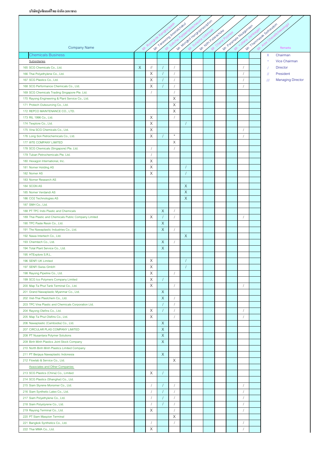|                                                       |              |               |              | MY Tanawoo Area actacaed |             | Mr. Mondoi Hendoianasopton |                     | MY Paramale Headqueen |  | Mr. Tiammeask-sativaudam |                          |
|-------------------------------------------------------|--------------|---------------|--------------|--------------------------|-------------|----------------------------|---------------------|-----------------------|--|--------------------------|--------------------------|
|                                                       |              |               |              |                          |             |                            | M. Nimi Palarachove |                       |  |                          |                          |
|                                                       |              |               |              |                          |             |                            |                     |                       |  |                          |                          |
| <b>Company Name</b>                                   | Mr.          |               |              |                          |             |                            |                     |                       |  |                          | Remarks                  |
| <b>Chemicals Business</b>                             |              |               |              |                          |             |                            |                     |                       |  | X                        | Chairman                 |
| Subsidiaries                                          |              |               |              |                          |             |                            |                     |                       |  |                          | <b>Vice Chairman</b>     |
| 165 SCG Chemicals Co., Ltd.                           | $\mathsf{X}$ | $\frac{1}{2}$ |              |                          |             |                            |                     |                       |  |                          | <b>Director</b>          |
| 166 Thai Polyethylene Co., Ltd.                       |              | X             |              |                          |             |                            |                     |                       |  | $^{\prime\prime}$        | President                |
| 167 SCG Plastics Co., Ltd.                            |              | X             |              |                          |             |                            |                     |                       |  | $^{\prime\prime\prime}$  | <b>Managing Director</b> |
| 168 SCG Performance Chemicals Co., Ltd.               |              | X             |              |                          |             |                            |                     |                       |  |                          |                          |
| 169 SCG Chemicals Trading Singapore Pte. Ltd.         |              |               |              | $\prime$                 |             |                            |                     |                       |  |                          |                          |
| 170 Rayong Engineering & Plant Service Co., Ltd.      |              |               |              | X                        |             |                            |                     |                       |  |                          |                          |
| 171 Protech Outsourcing Co., Ltd.                     |              |               |              | X                        |             |                            |                     |                       |  |                          |                          |
| 172 REPCO MAINTENANCE CO., LTD.                       |              |               |              | Χ                        |             |                            |                     |                       |  |                          |                          |
| 173 RIL 1996 Co., Ltd.                                |              | Χ             |              | $\prime$                 |             |                            |                     |                       |  |                          |                          |
| 174 Texplore Co., Ltd.                                |              | X             |              |                          |             |                            |                     |                       |  |                          |                          |
| 175 Vina SCG Chemicals Co., Ltd.                      |              | X             |              |                          |             |                            |                     |                       |  |                          |                          |
| 176 Long Son Petrochemicals Co., Ltd.                 |              | Χ             |              | $\star$                  |             |                            |                     |                       |  |                          |                          |
| 177 WTE COMPANY LIMITED                               |              |               |              | Χ                        |             |                            |                     |                       |  |                          |                          |
| 178 SCG Chemicals (Singapore) Pte. Ltd.               |              |               |              |                          |             |                            |                     |                       |  |                          |                          |
| 179 Tuban Petrochemicals Pte. Ltd.                    |              |               |              |                          |             |                            |                     |                       |  |                          |                          |
| 180 Hexagon International, Inc.                       |              | X             |              |                          |             |                            |                     |                       |  |                          |                          |
| 181 Norner Holding AS                                 |              | X             |              |                          |             |                            |                     |                       |  |                          |                          |
| 182 Norner AS                                         |              | X             |              |                          |             |                            |                     |                       |  |                          |                          |
| 183 Norner Research AS                                |              |               |              |                          |             |                            |                     |                       |  |                          |                          |
| 184 SCGN AS                                           |              |               |              |                          | X           |                            |                     |                       |  |                          |                          |
| 185 Norner Verdandi AS                                |              |               |              |                          | X           |                            |                     |                       |  |                          |                          |
| 186 CO2 Technologies AS                               |              |               |              |                          | $\mathsf X$ |                            |                     |                       |  |                          |                          |
| 187 SMH Co., Ltd.                                     |              |               |              |                          |             |                            |                     |                       |  |                          |                          |
| 188 PT TPC Indo Plastic and Chemicals                 |              |               | $\times$     | $\sqrt{ }$               |             |                            |                     |                       |  |                          |                          |
| 189 Thai Plastic and Chemicals Public Company Limited |              | Χ             |              | $\prime$                 |             |                            |                     |                       |  |                          |                          |
| 190 TPC Paste Resin Co., Ltd.                         |              |               | $\mathsf X$  |                          |             |                            |                     |                       |  |                          |                          |
| 191 The Nawaplastic Industries Co., Ltd.              |              |               | $\mathsf{X}$ |                          |             |                            |                     |                       |  |                          |                          |
| 192 Nawa Intertech Co., Ltd.                          |              |               |              |                          | $\mathsf X$ |                            |                     |                       |  |                          |                          |
| 193 Chemtech Co., Ltd.                                |              |               | X            |                          |             |                            |                     |                       |  |                          |                          |
| 194 Total Plant Service Co., Ltd.                     |              |               | X            |                          |             |                            |                     |                       |  |                          |                          |
| 195 HTExplore S.R.L.                                  |              |               |              |                          |             |                            |                     |                       |  |                          |                          |
| 196 SENFI UK Limited                                  |              | X             |              |                          |             |                            |                     |                       |  |                          |                          |
| 197 SENFI Swiss GmbH                                  |              | X             |              |                          |             |                            |                     |                       |  |                          |                          |
| 198 Rayong Pipeline Co., Ltd.                         |              | X             |              | $\sqrt{2}$               |             |                            |                     |                       |  |                          |                          |
| 199 SCG Ico Polymers Company Limited                  |              | X             |              |                          |             |                            |                     |                       |  |                          |                          |
| 200 Map Ta Phut Tank Terminal Co., Ltd.               |              | X             |              |                          |             |                            |                     |                       |  |                          |                          |
| 201 Grand Nawaplastic Myanmar Co., Ltd.               |              |               | X            |                          |             |                            |                     |                       |  |                          |                          |
| 202 Viet-Thai Plastchem Co., Ltd.                     |              |               | X            |                          |             |                            |                     |                       |  |                          |                          |
| 203 TPC Vina Plastic and Chemicals Corporation Ltd.   |              |               |              | $\sqrt{2}$               |             |                            |                     |                       |  |                          |                          |
| 204 Rayong Olefins Co., Ltd.                          |              | X             |              | $\prime$                 |             |                            |                     |                       |  |                          |                          |
| 205 Map Ta Phut Olefins Co., Ltd.                     |              | X             |              | $\prime$                 |             |                            |                     |                       |  |                          |                          |
| 206 Nawaplastic (Cambodia) Co., Ltd.                  |              |               | $\mathsf{X}$ |                          |             |                            |                     |                       |  |                          |                          |
| 207 CIRCULAR PLAS COMPANY LIMITED                     |              |               | $\mathsf X$  |                          |             |                            |                     |                       |  |                          |                          |
| 208 PT Nusantara Polymer Solutions                    |              |               | $\mathsf X$  |                          |             |                            |                     |                       |  |                          |                          |
| 209 Binh Minh Plastics Joint Stock Company            |              |               | $\mathsf X$  |                          |             |                            |                     |                       |  |                          |                          |
| 210 North Binh Minh Plastics Limited Company          |              |               |              |                          |             |                            |                     |                       |  |                          |                          |
| 211 PT Berjaya Nawaplastic Indonesia                  |              |               | $\mathsf{X}$ |                          |             |                            |                     |                       |  |                          |                          |
| 212 Flowlab & Service Co., Ltd.                       |              |               |              | Χ                        |             |                            |                     |                       |  |                          |                          |
| <b>Associates and Other Companies</b>                 |              |               |              |                          |             |                            |                     |                       |  |                          |                          |
| 213 SCG Plastics (China) Co., Limited                 |              | X             |              |                          |             |                            |                     |                       |  |                          |                          |
| 214 SCG Plastics (Shanghai) Co., Ltd.                 |              |               |              |                          |             |                            |                     |                       |  |                          |                          |
| 215 Siam Styrene Monomer Co., Ltd.                    |              |               |              |                          |             |                            |                     |                       |  |                          |                          |
| 216 Siam Synthetic Latex Co., Ltd.                    |              |               |              |                          |             |                            |                     |                       |  |                          |                          |
| 217 Siam Polyethylene Co., Ltd.                       |              |               |              |                          |             |                            |                     |                       |  |                          |                          |
| 218 Siam Polystyrene Co., Ltd.                        |              |               |              | $\sqrt{2}$               |             |                            |                     |                       |  |                          |                          |
| 219 Rayong Terminal Co., Ltd.                         |              | X             |              |                          |             |                            |                     |                       |  |                          |                          |
| 220 PT Siam Maspion Terminal                          |              |               |              | X                        |             |                            |                     |                       |  |                          |                          |
| 221 Bangkok Synthetics Co., Ltd.                      |              |               |              | $\prime$                 |             |                            |                     |                       |  |                          |                          |
| 222 Thai MMA Co., Ltd.                                |              | X             |              |                          |             |                            |                     |                       |  |                          |                          |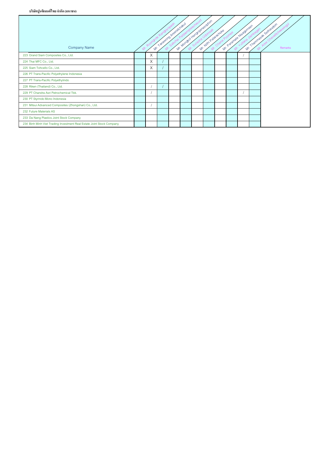# **บริษัทปูนซิเมนต์ไทยจากํ ัด (มหาชน)**

| <b>Company Name</b>                                                   | $\mathcal{N}$ | Roongr | Mr. Tanadong Area activacus |  | Mr. Mondool vence olange option<br>Mr. Nitri Palatachoke | Chana Poonnee | Mr. Paramate Hispanneen |  | 1. Thanmesok Sethausom<br>Chavalitoreewingu<br>Remarks |
|-----------------------------------------------------------------------|---------------|--------|-----------------------------|--|----------------------------------------------------------|---------------|-------------------------|--|--------------------------------------------------------|
| 223 Grand Siam Composites Co., Ltd.                                   |               | X      |                             |  |                                                          |               |                         |  |                                                        |
| 224 Thai MFC Co., Ltd.                                                |               | X      |                             |  |                                                          |               |                         |  |                                                        |
| 225 Siam Tohcello Co., Ltd.                                           |               | X      |                             |  |                                                          |               |                         |  |                                                        |
| 226 PT Trans-Pacific Polyethylene Indonesia                           |               |        |                             |  |                                                          |               |                         |  |                                                        |
| 227 PT Trans-Pacific Polyethylindo                                    |               |        |                             |  |                                                          |               |                         |  |                                                        |
| 228 Riken (Thailand) Co., Ltd.                                        |               |        |                             |  |                                                          |               |                         |  |                                                        |
| 229 PT Chandra Asri Petrochemical Tbk.                                |               |        |                             |  |                                                          |               |                         |  |                                                        |
| 230 PT Styrindo Mono Indonesia                                        |               |        |                             |  |                                                          |               |                         |  |                                                        |
| 231 Mitsui Advanced Composites (Zhongshan) Co., Ltd.                  |               |        |                             |  |                                                          |               |                         |  |                                                        |
| 232 Future Materials AS                                               |               |        |                             |  |                                                          |               |                         |  |                                                        |
| 233 Da Nang Plastics Joint Stock Company                              |               |        |                             |  |                                                          |               |                         |  |                                                        |
| 234 Binh Minh Viet Trading Investment Real Estate Joint Stock Company |               |        |                             |  |                                                          |               |                         |  |                                                        |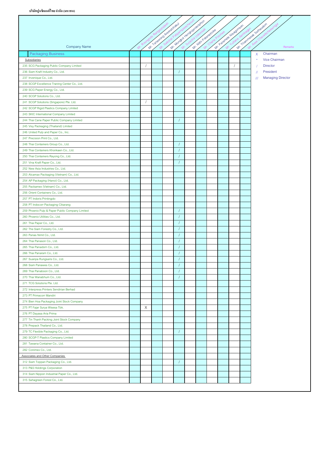$\mathsf{r}$ 

|                                                                                       |                           | Mr. 1 availada di presidentale d | Mr. Mondo Hendroimesopher |                      |  | MY Patientale Hispanieles | Mr. Transmassive Settlewayon                        |
|---------------------------------------------------------------------------------------|---------------------------|----------------------------------|---------------------------|----------------------|--|---------------------------|-----------------------------------------------------|
|                                                                                       |                           |                                  |                           | M. Nitri Pataradroke |  |                           |                                                     |
|                                                                                       |                           |                                  |                           |                      |  |                           |                                                     |
|                                                                                       |                           |                                  |                           |                      |  |                           |                                                     |
| <b>Company Name</b>                                                                   |                           |                                  |                           |                      |  |                           | Remarks                                             |
| <b>Packaging Business</b>                                                             |                           |                                  |                           |                      |  |                           | Chairman<br>X                                       |
| Subsidiaries                                                                          |                           |                                  |                           |                      |  |                           | Vice Chairman<br>$\star$                            |
| 235 SCG Packaging Public Company Limited                                              |                           |                                  |                           |                      |  |                           | <b>Director</b>                                     |
| 236 Siam Kraft Industry Co., Ltd.                                                     |                           |                                  |                           |                      |  |                           | President<br>$^{\prime\prime}$                      |
| 237 Invenique Co., Ltd.                                                               |                           |                                  |                           |                      |  |                           | <b>Managing Director</b><br>$^{\prime\prime\prime}$ |
| 238 SCGP Excellence Traning Center Co., Ltd.                                          |                           |                                  |                           |                      |  |                           |                                                     |
| 239 SCG Paper Energy Co., Ltd.                                                        |                           |                                  |                           |                      |  |                           |                                                     |
| 240 SCGP Solutions Co., Ltd.                                                          |                           |                                  |                           |                      |  |                           |                                                     |
| 241 SCGP Solutions (Singapore) Pte. Ltd.                                              | $\sqrt{2}$                |                                  |                           |                      |  |                           |                                                     |
| 242 SCGP Rigid Plastics Company Limited                                               |                           |                                  |                           |                      |  |                           |                                                     |
| 243 SKIC International Company Limited                                                |                           |                                  |                           |                      |  |                           |                                                     |
| 244 Thai Cane Paper Public Company Limited                                            |                           |                                  |                           |                      |  |                           |                                                     |
| 245 Visy Packaging (Thailand) Limited                                                 |                           |                                  |                           |                      |  |                           |                                                     |
| 246 United Pulp and Paper Co., Inc.                                                   |                           |                                  |                           |                      |  |                           |                                                     |
| 247 Precision Print Co., Ltd.                                                         |                           |                                  |                           |                      |  |                           |                                                     |
| 248 Thai Containers Group Co., Ltd.                                                   |                           |                                  |                           |                      |  |                           |                                                     |
| 249 Thai Containers Khonkaen Co., Ltd.                                                |                           |                                  |                           |                      |  |                           |                                                     |
| 250 Thai Containers Rayong Co., Ltd.                                                  |                           |                                  |                           |                      |  |                           |                                                     |
| 251 Vina Kraft Paper Co., Ltd.                                                        |                           |                                  |                           |                      |  |                           |                                                     |
| 252 New Asia Industries Co., Ltd.                                                     |                           |                                  |                           |                      |  |                           |                                                     |
| 253 Alcamax Packaging (Vietnam) Co., Ltd.                                             |                           |                                  |                           |                      |  |                           |                                                     |
| 254 AP Packaging (Hanoi) Co., Ltd.                                                    |                           |                                  |                           |                      |  |                           |                                                     |
| 255 Packamex (Vietnam) Co., Ltd.                                                      |                           |                                  |                           |                      |  |                           |                                                     |
| 256 Orient Containers Co., Ltd.                                                       |                           |                                  |                           |                      |  |                           |                                                     |
| 257 PT Indoris Printingdo                                                             |                           |                                  |                           |                      |  |                           |                                                     |
| 258 PT Indocorr Packaging Cikarang<br>259 Phoenix Pulp & Paper Public Company Limited |                           |                                  |                           |                      |  |                           |                                                     |
| 260 Phoenix Utilities Co., Ltd.                                                       |                           |                                  |                           |                      |  |                           |                                                     |
| 261 Thai Paper Co., Ltd.                                                              |                           |                                  |                           |                      |  |                           |                                                     |
| 262 The Siam Forestry Co., Ltd.                                                       |                           |                                  |                           |                      |  |                           |                                                     |
| 263 Panas Nimit Co., Ltd.                                                             |                           |                                  |                           |                      |  |                           |                                                     |
| 264 Thai Panason Co., Ltd.                                                            |                           |                                  |                           |                      |  |                           |                                                     |
| 265 Thai Panadorn Co., Ltd.                                                           |                           |                                  |                           |                      |  |                           |                                                     |
| 266 Thai Panaram Co., Ltd.                                                            |                           |                                  |                           |                      |  |                           |                                                     |
| 267 Suanpa Rungsaris Co., Ltd.                                                        |                           |                                  |                           |                      |  |                           |                                                     |
| 268 Siam Panawes Co., Ltd.                                                            |                           |                                  |                           |                      |  |                           |                                                     |
| 269 Thai Panaboon Co., Ltd.                                                           |                           |                                  |                           |                      |  |                           |                                                     |
| 270 Thai Wanabhum Co., Ltd.                                                           |                           |                                  |                           |                      |  |                           |                                                     |
| 271 TCG Solutions Pte. Ltd.                                                           |                           |                                  |                           |                      |  |                           |                                                     |
| 272 Interpress Printers Sendirian Berhad                                              |                           |                                  |                           |                      |  |                           |                                                     |
| 273 PT Primacorr Mandiri                                                              |                           |                                  |                           |                      |  |                           |                                                     |
| 274 Bien Hoa Packaging Joint Stock Company                                            |                           |                                  |                           |                      |  |                           |                                                     |
| 275 PT Fajar Surya Wisesa Tbk.                                                        | $\boldsymbol{\mathsf{X}}$ |                                  |                           |                      |  |                           |                                                     |
| 276 PT Dayasa Aria Prima                                                              |                           |                                  |                           |                      |  |                           |                                                     |
| 277 Tin Thanh Packing Joint Stock Company                                             |                           |                                  |                           |                      |  |                           |                                                     |
| 278 Prepack Thailand Co., Ltd.                                                        |                           |                                  |                           |                      |  |                           |                                                     |
| 279 TC Flexible Packaging Co., Ltd.                                                   |                           |                                  |                           |                      |  |                           |                                                     |
| 280 SCGP-T Plastics Company Limited                                                   |                           |                                  |                           |                      |  |                           |                                                     |
| 281 Tawana Container Co., Ltd.                                                        |                           |                                  |                           |                      |  |                           |                                                     |
| 282 Conimex Co., Ltd.                                                                 |                           |                                  |                           |                      |  |                           |                                                     |
| Associates and Other Companies                                                        |                           |                                  |                           |                      |  |                           |                                                     |
| 312 Siam Toppan Packaging Co., Ltd.                                                   |                           |                                  |                           |                      |  |                           |                                                     |
| 313 P&S Holdings Corporation                                                          |                           |                                  |                           |                      |  |                           |                                                     |
| 314 Siam Nippon Industrial Paper Co., Ltd.                                            |                           |                                  |                           |                      |  |                           |                                                     |
| 315 Sahagreen Forest Co., Ltd.                                                        |                           |                                  |                           |                      |  |                           |                                                     |
|                                                                                       |                           |                                  |                           |                      |  |                           |                                                     |

 $\overline{\phantom{a}}$ 

 $\overline{\phantom{a}}$ 

 $\overline{\phantom{a}}$  $\sim$   $\overline{\phantom{a}}$ 

 $\overline{\phantom{a}}$ 

 $\overline{\phantom{a}}$ 

 $\overline{\phantom{a}}$ 

 $\overline{\phantom{a}}$  $\overline{\phantom{a}}$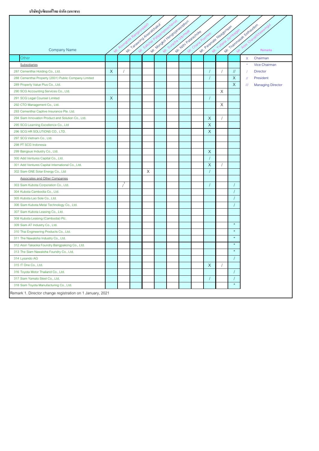T

|                                                           |          |            |                           |   | Mr. Mondou Hendolphesophor |                     |                        |            |               | Mr. Themmelweak Sethautom                           |
|-----------------------------------------------------------|----------|------------|---------------------------|---|----------------------------|---------------------|------------------------|------------|---------------|-----------------------------------------------------|
|                                                           |          |            |                           |   |                            |                     |                        |            |               |                                                     |
|                                                           |          |            |                           |   |                            |                     |                        |            |               |                                                     |
| <b>Company Name</b>                                       |          |            | Mr. 1 anaword Area doraku |   |                            | Mr. Nim Palarachoke | Mr. Paramae Hieaganeer |            |               | Remarks                                             |
| Other                                                     |          |            |                           |   |                            |                     |                        |            |               | Chairman<br>$\mathsf{X}$                            |
| Subsidiaries                                              |          |            |                           |   |                            |                     |                        |            |               | Vice Chairman<br>$\star$                            |
| 287 Cementhai Holding Co., Ltd.                           | $\times$ | $\sqrt{2}$ |                           |   |                            |                     |                        |            | $\frac{1}{2}$ | <b>Director</b><br>$\overline{1}$                   |
| 288 Cementhai Property (2001) Public Company Limited      |          |            |                           |   |                            |                     |                        |            | $\sf X$       | $\sqrt{ }$<br>President                             |
| 289 Property Value Plus Co., Ltd.                         |          |            |                           |   |                            |                     |                        |            | $\mathsf X$   | <b>Managing Director</b><br>$^{\prime\prime\prime}$ |
| 290 SCG Accounting Services Co., Ltd.                     |          |            |                           |   |                            |                     |                        | X          |               |                                                     |
| 291 SCG Legal Counsel Limited                             | X        |            |                           |   |                            |                     |                        |            |               |                                                     |
| 292 CTO Management Co., Ltd.                              |          |            |                           |   |                            |                     |                        | X          |               |                                                     |
| 293 Cementhai Captive Insurance Pte. Ltd.                 |          |            |                           |   |                            |                     |                        |            |               |                                                     |
| 294 Siam Innovation Product and Solution Co., Ltd.        |          |            |                           |   |                            |                     | X                      |            |               |                                                     |
| 295 SCG Learning Excellence Co., Ltd                      |          |            |                           |   |                            |                     | $\mathsf{X}$           |            |               |                                                     |
| 296 SCG HR SOLUTIONS CO., LTD.                            |          |            |                           |   |                            |                     | $\mathsf X$            |            |               |                                                     |
| 297 SCG Vietnam Co., Ltd.                                 |          |            |                           |   |                            |                     |                        |            |               |                                                     |
| 298 PT SCG Indonesia                                      |          |            |                           |   |                            |                     |                        |            |               |                                                     |
| 299 Bangsue Industry Co., Ltd.                            |          |            |                           |   |                            |                     | X                      |            |               |                                                     |
| 300 Add Ventures Capital Co., Ltd.                        |          |            |                           |   |                            |                     |                        |            |               |                                                     |
| 301 Add Ventures Capital International Co., Ltd.          |          |            |                           |   |                            |                     | $\mathsf X$            |            |               |                                                     |
| 302 Siam GNE Solar Energy Co., Ltd                        |          |            |                           | X |                            |                     |                        |            |               |                                                     |
| <b>Associates and Other Companies</b>                     |          |            |                           |   |                            |                     |                        |            |               |                                                     |
| 303 Siam Kubota Corporation Co., Ltd.                     |          |            |                           |   |                            |                     |                        |            |               |                                                     |
| 304 Kubota Cambodia Co., Ltd.                             |          |            |                           |   |                            |                     |                        |            |               |                                                     |
| 305 Kubota Lao Sole Co., Ltd.                             |          |            |                           |   |                            |                     |                        |            |               |                                                     |
| 306 Siam Kubota Metal Technology Co., Ltd.                |          |            |                           |   |                            |                     |                        |            |               |                                                     |
| 307 Siam Kubota Leasing Co., Ltd.                         |          |            |                           |   |                            |                     |                        |            |               |                                                     |
| 308 Kubota Leasing (Cambodia) Plc.                        |          |            |                           |   |                            |                     |                        |            |               |                                                     |
| 309 Siam AT Industry Co., Ltd.                            |          |            |                           |   |                            |                     |                        |            | $\star$       |                                                     |
| 310 Thai Engineering Products Co., Ltd.                   |          |            |                           |   |                            |                     |                        |            | $\star$       |                                                     |
| 311 The Nawaloha Industry Co., Ltd.                       |          |            |                           |   |                            |                     |                        |            | $\star$       |                                                     |
| 312 Aisin Takaoka Foundry Bangpakong Co., Ltd.            |          |            |                           |   |                            |                     |                        |            | $\star$       |                                                     |
| 313 The Siam Nawaloha Foundry Co., Ltd.                   |          |            |                           |   |                            |                     |                        |            | $\star$       |                                                     |
| 314 Lysando AG                                            |          |            |                           |   |                            |                     |                        |            |               |                                                     |
| 315 IT One Co., Ltd.                                      |          |            |                           |   |                            |                     | X                      | $\sqrt{ }$ |               |                                                     |
| 316 Toyota Motor Thailand Co., Ltd.                       |          |            |                           |   |                            |                     |                        |            |               |                                                     |
| 317 Siam Yamato Steel Co., Ltd.                           |          |            |                           |   |                            |                     |                        |            |               |                                                     |
| 318 Siam Toyota Manufacturing Co., Ltd.                   |          |            |                           |   |                            |                     |                        |            |               |                                                     |
| Remark 1. Director change registration on 1 January, 2021 |          |            |                           |   |                            |                     |                        |            |               |                                                     |